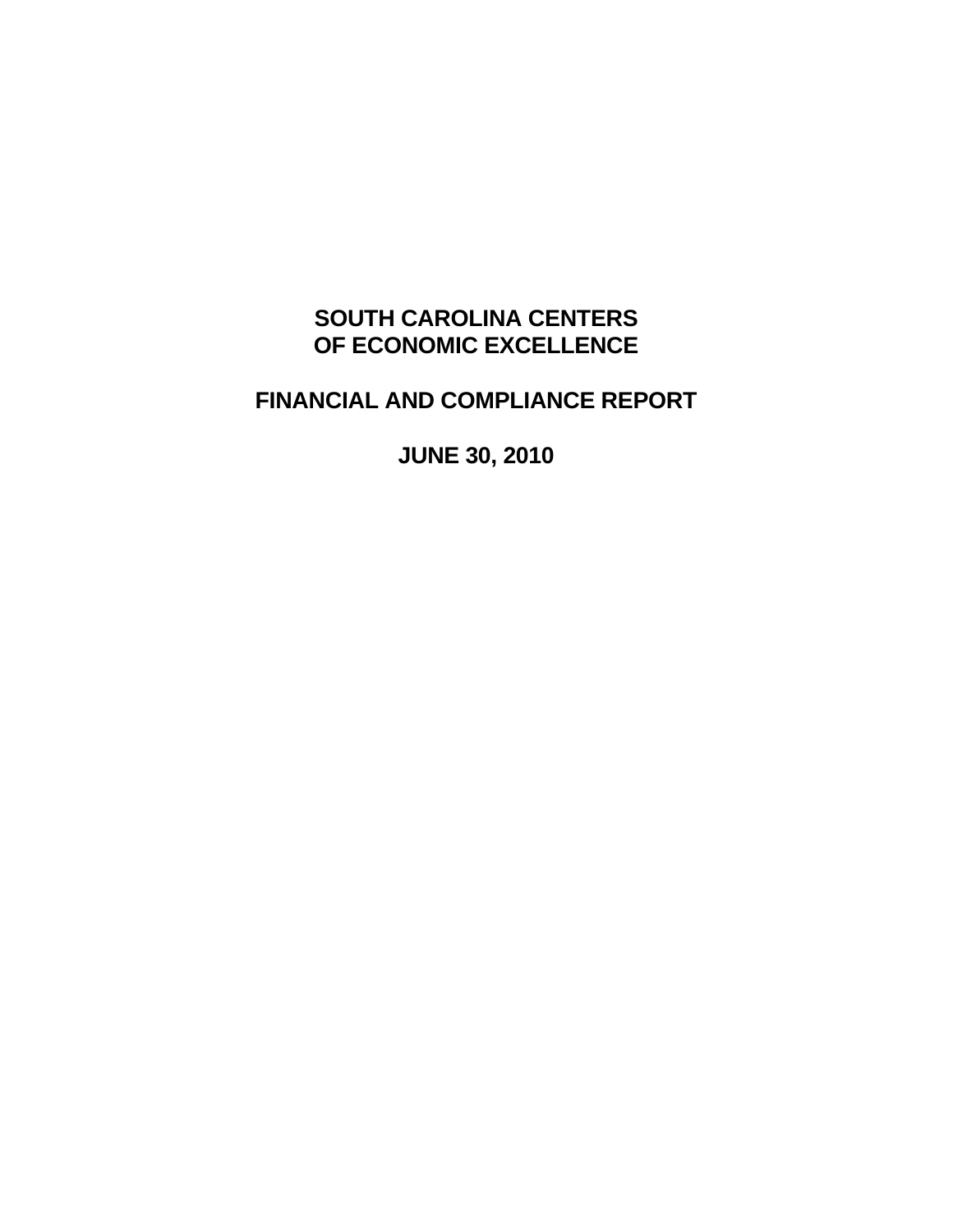# **SOUTH CAROLINA CENTERS OF ECONOMIC EXCELLENCE**

# **FINANCIAL AND COMPLIANCE REPORT**

**JUNE 30, 2010**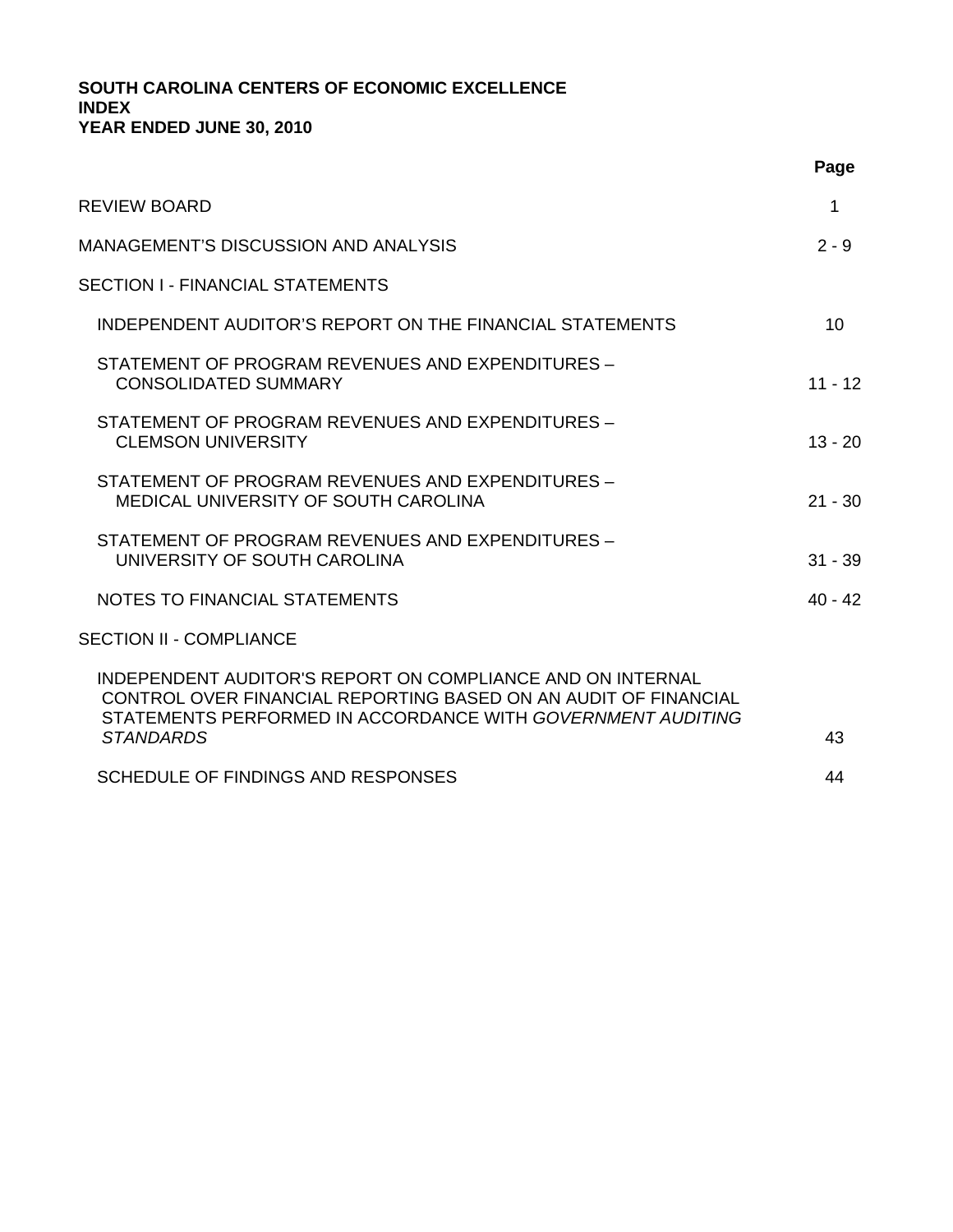## **SOUTH CAROLINA CENTERS OF ECONOMIC EXCELLENCE INDEX YEAR ENDED JUNE 30, 2010**

|                                                                                                                                                                                              | Page      |
|----------------------------------------------------------------------------------------------------------------------------------------------------------------------------------------------|-----------|
| <b>REVIEW BOARD</b>                                                                                                                                                                          | 1         |
| MANAGEMENT'S DISCUSSION AND ANALYSIS                                                                                                                                                         | $2 - 9$   |
| SECTION I - FINANCIAL STATEMENTS                                                                                                                                                             |           |
| INDEPENDENT AUDITOR'S REPORT ON THE FINANCIAL STATEMENTS                                                                                                                                     | 10        |
| STATEMENT OF PROGRAM REVENUES AND EXPENDITURES -<br><b>CONSOLIDATED SUMMARY</b>                                                                                                              | $11 - 12$ |
| STATEMENT OF PROGRAM REVENUES AND EXPENDITURES -<br><b>CLEMSON UNIVERSITY</b>                                                                                                                | $13 - 20$ |
| STATEMENT OF PROGRAM REVENUES AND EXPENDITURES -<br>MEDICAL UNIVERSITY OF SOUTH CAROLINA                                                                                                     | $21 - 30$ |
| STATEMENT OF PROGRAM REVENUES AND EXPENDITURES -<br>UNIVERSITY OF SOUTH CAROLINA                                                                                                             | $31 - 39$ |
| NOTES TO FINANCIAL STATEMENTS                                                                                                                                                                | $40 - 42$ |
| <b>SECTION II - COMPLIANCE</b>                                                                                                                                                               |           |
| INDEPENDENT AUDITOR'S REPORT ON COMPLIANCE AND ON INTERNAL<br>CONTROL OVER FINANCIAL REPORTING BASED ON AN AUDIT OF FINANCIAL<br>STATEMENTS PERFORMED IN ACCORDANCE WITH GOVERNMENT AUDITING |           |
| <b>STANDARDS</b>                                                                                                                                                                             | 43        |
| SCHEDULE OF FINDINGS AND RESPONSES                                                                                                                                                           | 44        |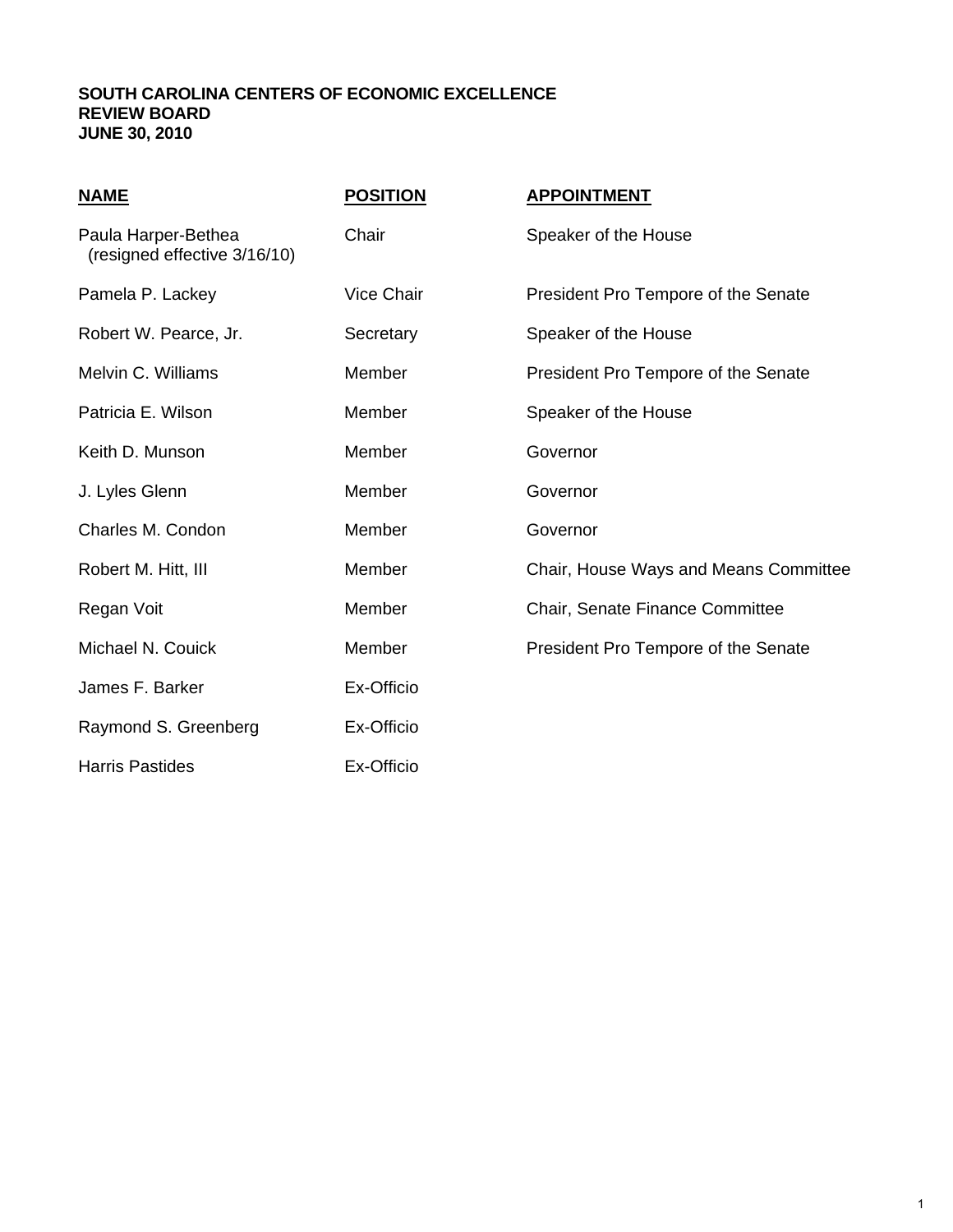### **SOUTH CAROLINA CENTERS OF ECONOMIC EXCELLENCE REVIEW BOARD JUNE 30, 2010**

| <u>NAME</u>                                         | <b>POSITION</b> | <b>APPOINTMENT</b>                    |
|-----------------------------------------------------|-----------------|---------------------------------------|
| Paula Harper-Bethea<br>(resigned effective 3/16/10) | Chair           | Speaker of the House                  |
| Pamela P. Lackey                                    | Vice Chair      | President Pro Tempore of the Senate   |
| Robert W. Pearce, Jr.                               | Secretary       | Speaker of the House                  |
| Melvin C. Williams                                  | Member          | President Pro Tempore of the Senate   |
| Patricia E. Wilson                                  | Member          | Speaker of the House                  |
| Keith D. Munson                                     | Member          | Governor                              |
| J. Lyles Glenn                                      | Member          | Governor                              |
| Charles M. Condon                                   | Member          | Governor                              |
| Robert M. Hitt, III                                 | Member          | Chair, House Ways and Means Committee |
| Regan Voit                                          | Member          | Chair, Senate Finance Committee       |
| Michael N. Couick                                   | Member          | President Pro Tempore of the Senate   |
| James F. Barker                                     | Ex-Officio      |                                       |
| Raymond S. Greenberg                                | Ex-Officio      |                                       |
| <b>Harris Pastides</b>                              | Ex-Officio      |                                       |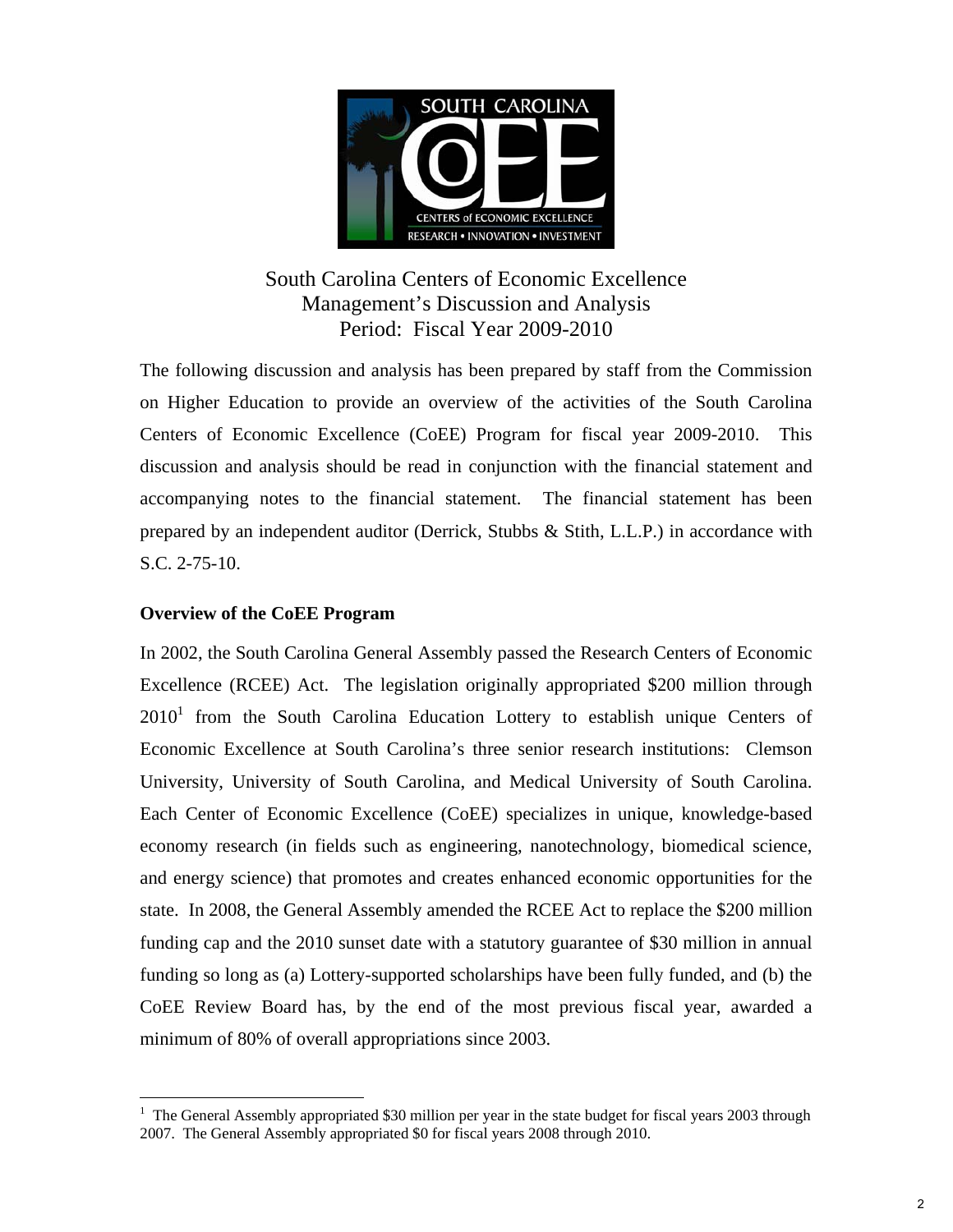

## South Carolina Centers of Economic Excellence Management's Discussion and Analysis Period: Fiscal Year 2009-2010

The following discussion and analysis has been prepared by staff from the Commission on Higher Education to provide an overview of the activities of the South Carolina Centers of Economic Excellence (CoEE) Program for fiscal year 2009-2010. This discussion and analysis should be read in conjunction with the financial statement and accompanying notes to the financial statement. The financial statement has been prepared by an independent auditor (Derrick, Stubbs & Stith, L.L.P.) in accordance with S.C. 2-75-10.

## **Overview of the CoEE Program**

 $\overline{a}$ 

In 2002, the South Carolina General Assembly passed the Research Centers of Economic Excellence (RCEE) Act. The legislation originally appropriated \$200 million through  $2010<sup>1</sup>$  from the South Carolina Education Lottery to establish unique Centers of Economic Excellence at South Carolina's three senior research institutions: Clemson University, University of South Carolina, and Medical University of South Carolina. Each Center of Economic Excellence (CoEE) specializes in unique, knowledge-based economy research (in fields such as engineering, nanotechnology, biomedical science, and energy science) that promotes and creates enhanced economic opportunities for the state. In 2008, the General Assembly amended the RCEE Act to replace the \$200 million funding cap and the 2010 sunset date with a statutory guarantee of \$30 million in annual funding so long as (a) Lottery-supported scholarships have been fully funded, and (b) the CoEE Review Board has, by the end of the most previous fiscal year, awarded a minimum of 80% of overall appropriations since 2003.

<sup>&</sup>lt;sup>1</sup> The General Assembly appropriated \$30 million per year in the state budget for fiscal years 2003 through 2007. The General Assembly appropriated \$0 for fiscal years 2008 through 2010.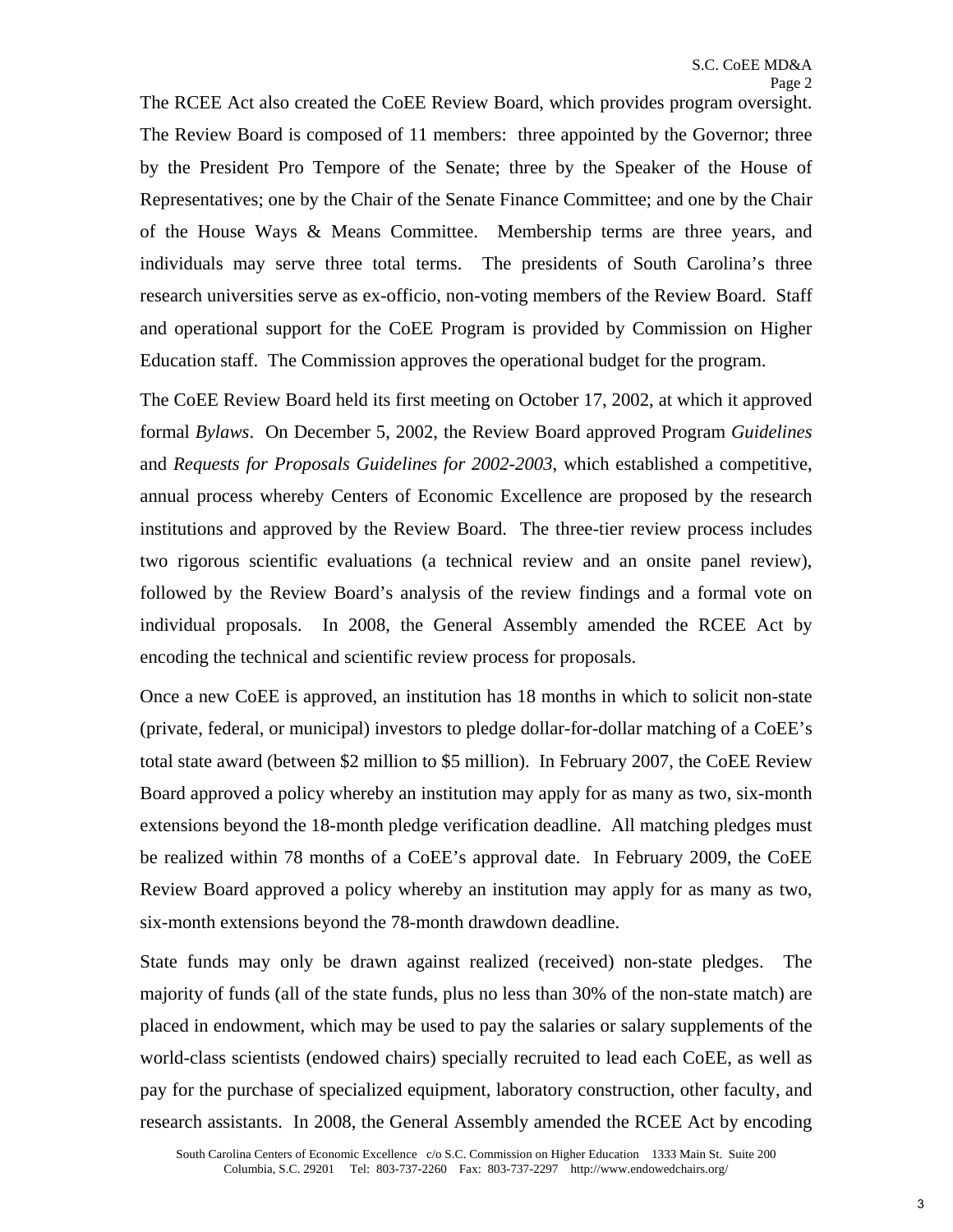The RCEE Act also created the CoEE Review Board, which provides program oversight. The Review Board is composed of 11 members: three appointed by the Governor; three by the President Pro Tempore of the Senate; three by the Speaker of the House of Representatives; one by the Chair of the Senate Finance Committee; and one by the Chair of the House Ways & Means Committee. Membership terms are three years, and individuals may serve three total terms. The presidents of South Carolina's three research universities serve as ex-officio, non-voting members of the Review Board. Staff and operational support for the CoEE Program is provided by Commission on Higher Education staff. The Commission approves the operational budget for the program.

The CoEE Review Board held its first meeting on October 17, 2002, at which it approved formal *Bylaws*. On December 5, 2002, the Review Board approved Program *Guidelines*  and *Requests for Proposals Guidelines for 2002-2003*, which established a competitive, annual process whereby Centers of Economic Excellence are proposed by the research institutions and approved by the Review Board. The three-tier review process includes two rigorous scientific evaluations (a technical review and an onsite panel review), followed by the Review Board's analysis of the review findings and a formal vote on individual proposals. In 2008, the General Assembly amended the RCEE Act by encoding the technical and scientific review process for proposals.

Once a new CoEE is approved, an institution has 18 months in which to solicit non-state (private, federal, or municipal) investors to pledge dollar-for-dollar matching of a CoEE's total state award (between \$2 million to \$5 million). In February 2007, the CoEE Review Board approved a policy whereby an institution may apply for as many as two, six-month extensions beyond the 18-month pledge verification deadline. All matching pledges must be realized within 78 months of a CoEE's approval date. In February 2009, the CoEE Review Board approved a policy whereby an institution may apply for as many as two, six-month extensions beyond the 78-month drawdown deadline.

State funds may only be drawn against realized (received) non-state pledges. The majority of funds (all of the state funds, plus no less than 30% of the non-state match) are placed in endowment, which may be used to pay the salaries or salary supplements of the world-class scientists (endowed chairs) specially recruited to lead each CoEE, as well as pay for the purchase of specialized equipment, laboratory construction, other faculty, and research assistants. In 2008, the General Assembly amended the RCEE Act by encoding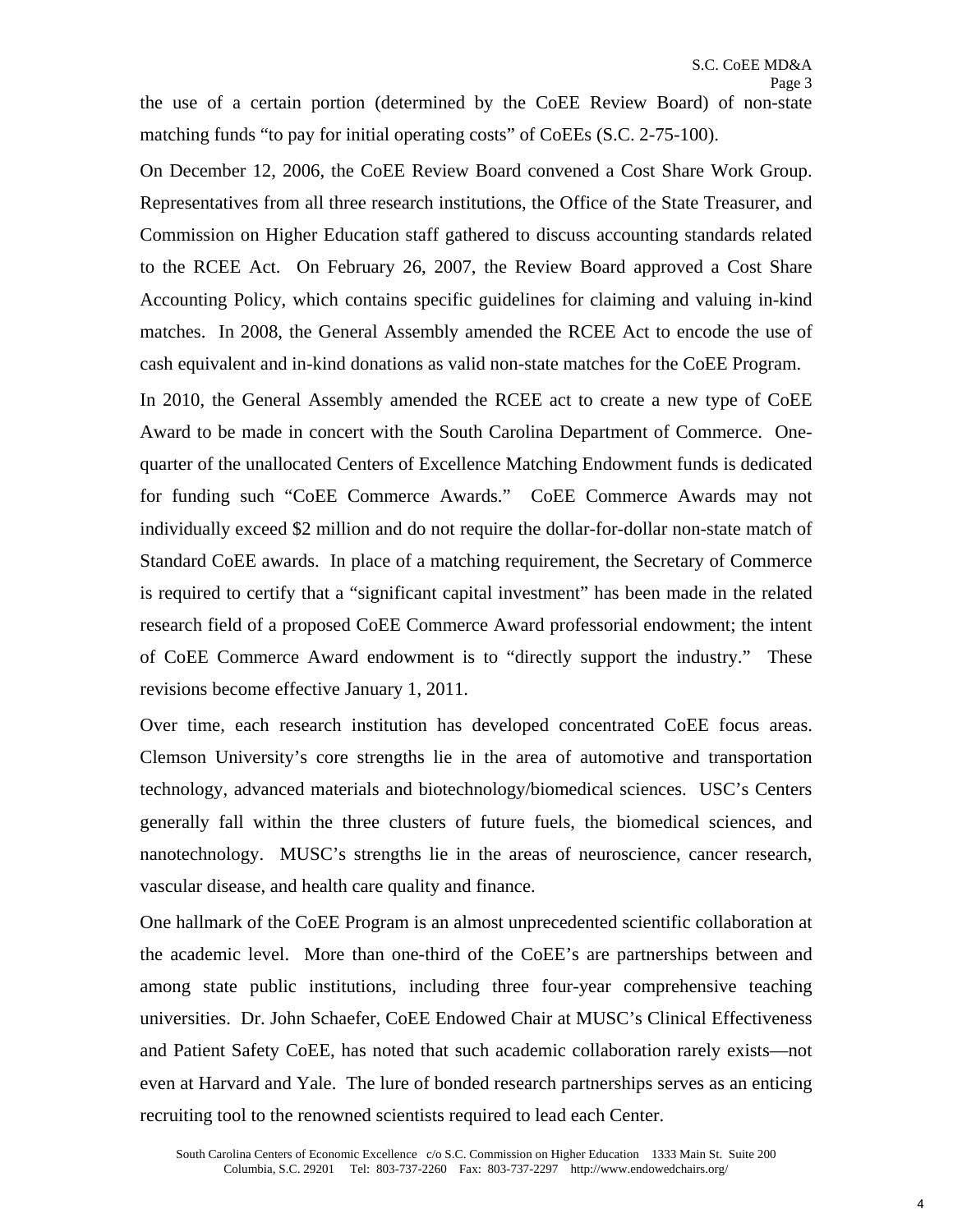the use of a certain portion (determined by the CoEE Review Board) of non-state matching funds "to pay for initial operating costs" of CoEEs (S.C. 2-75-100).

On December 12, 2006, the CoEE Review Board convened a Cost Share Work Group. Representatives from all three research institutions, the Office of the State Treasurer, and Commission on Higher Education staff gathered to discuss accounting standards related to the RCEE Act. On February 26, 2007, the Review Board approved a Cost Share Accounting Policy, which contains specific guidelines for claiming and valuing in-kind matches. In 2008, the General Assembly amended the RCEE Act to encode the use of cash equivalent and in-kind donations as valid non-state matches for the CoEE Program.

In 2010, the General Assembly amended the RCEE act to create a new type of CoEE Award to be made in concert with the South Carolina Department of Commerce. Onequarter of the unallocated Centers of Excellence Matching Endowment funds is dedicated for funding such "CoEE Commerce Awards." CoEE Commerce Awards may not individually exceed \$2 million and do not require the dollar-for-dollar non-state match of Standard CoEE awards. In place of a matching requirement, the Secretary of Commerce is required to certify that a "significant capital investment" has been made in the related research field of a proposed CoEE Commerce Award professorial endowment; the intent of CoEE Commerce Award endowment is to "directly support the industry." These revisions become effective January 1, 2011.

 Over time, each research institution has developed concentrated CoEE focus areas. Clemson University's core strengths lie in the area of automotive and transportation technology, advanced materials and biotechnology/biomedical sciences. USC's Centers generally fall within the three clusters of future fuels, the biomedical sciences, and nanotechnology. MUSC's strengths lie in the areas of neuroscience, cancer research, vascular disease, and health care quality and finance.

One hallmark of the CoEE Program is an almost unprecedented scientific collaboration at the academic level. More than one-third of the CoEE's are partnerships between and among state public institutions, including three four-year comprehensive teaching universities. Dr. John Schaefer, CoEE Endowed Chair at MUSC's Clinical Effectiveness and Patient Safety CoEE, has noted that such academic collaboration rarely exists—not even at Harvard and Yale. The lure of bonded research partnerships serves as an enticing recruiting tool to the renowned scientists required to lead each Center.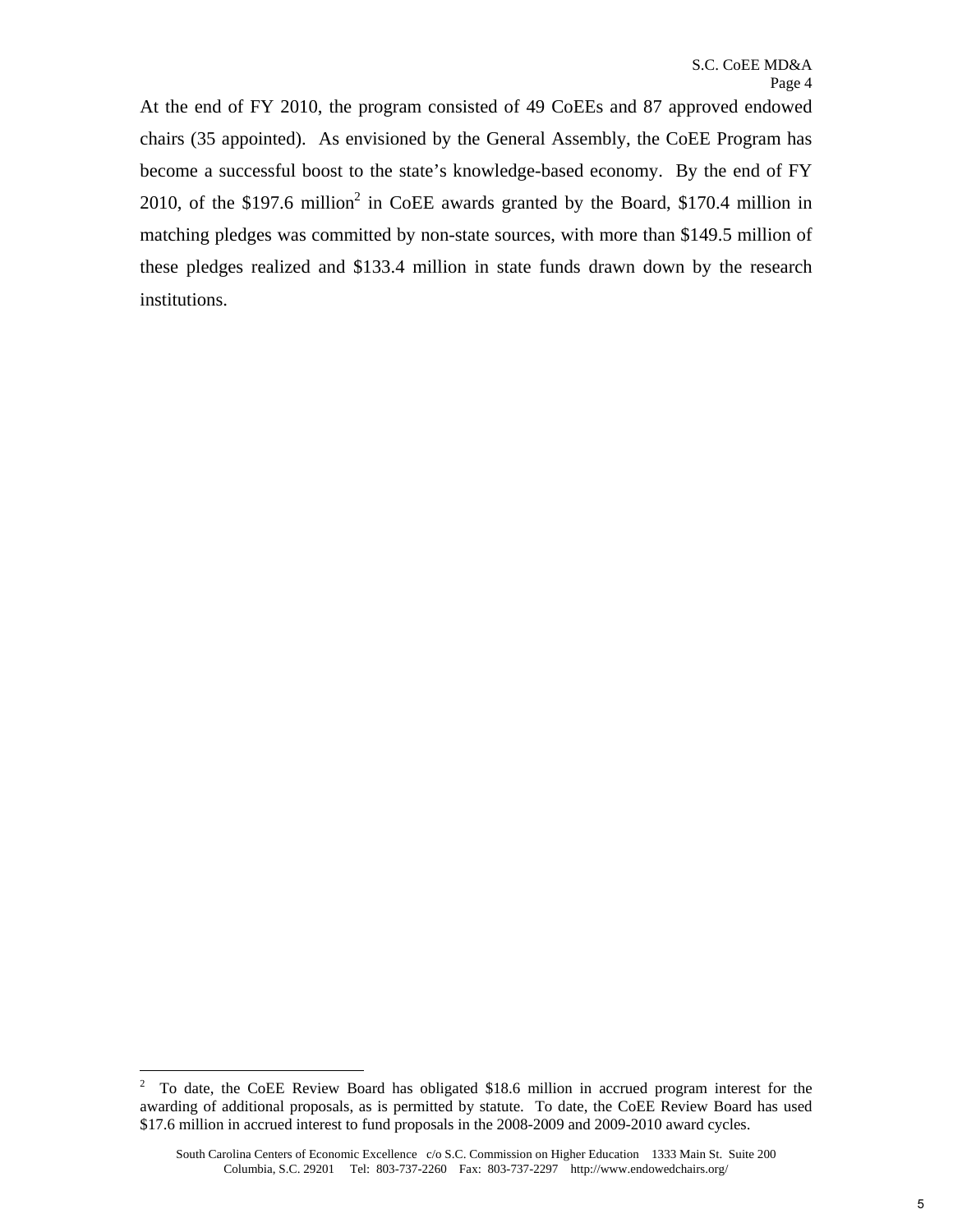At the end of FY 2010, the program consisted of 49 CoEEs and 87 approved endowed chairs (35 appointed). As envisioned by the General Assembly, the CoEE Program has become a successful boost to the state's knowledge-based economy. By the end of FY 2010, of the \$197.6 million<sup>2</sup> in CoEE awards granted by the Board, \$170.4 million in matching pledges was committed by non-state sources, with more than \$149.5 million of these pledges realized and \$133.4 million in state funds drawn down by the research institutions.

1

 $2^{\circ}$  To date, the CoEE Review Board has obligated \$18.6 million in accrued program interest for the awarding of additional proposals, as is permitted by statute. To date, the CoEE Review Board has used \$17.6 million in accrued interest to fund proposals in the 2008-2009 and 2009-2010 award cycles.

 Columbia, S.C. 29201 Tel: 803-737-2260 Fax: 803-737-2297 http://www.endowedchairs.org/ South Carolina Centers of Economic Excellence c/o S.C. Commission on Higher Education 1333 Main St. Suite 200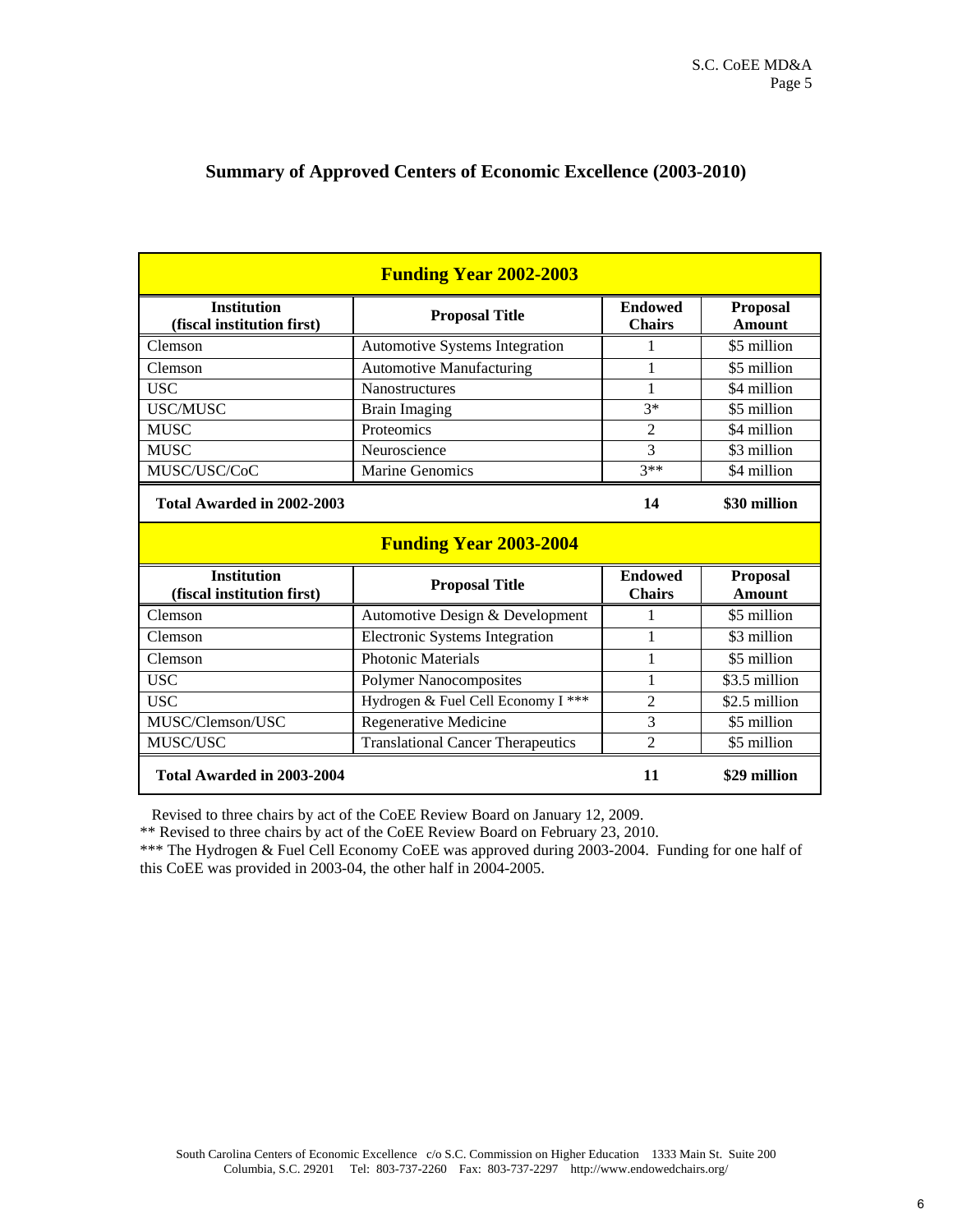|                                                  | <b>Funding Year 2002-2003</b>            |                                 |                                  |
|--------------------------------------------------|------------------------------------------|---------------------------------|----------------------------------|
| <b>Institution</b><br>(fiscal institution first) | <b>Proposal Title</b>                    | <b>Endowed</b><br><b>Chairs</b> | <b>Proposal</b><br><b>Amount</b> |
| Clemson                                          | Automotive Systems Integration           | 1                               | \$5 million                      |
| Clemson                                          | <b>Automotive Manufacturing</b>          | 1                               | \$5 million                      |
| <b>USC</b>                                       | Nanostructures                           | 1                               | \$4 million                      |
| <b>USC/MUSC</b>                                  | <b>Brain Imaging</b>                     | $3*$                            | \$5 million                      |
| <b>MUSC</b>                                      | Proteomics                               | $\mathfrak{D}$                  | \$4 million                      |
| <b>MUSC</b>                                      | Neuroscience                             | 3                               | \$3 million                      |
| MUSC/USC/CoC                                     | <b>Marine Genomics</b>                   | $3**$                           | \$4 million                      |
| Total Awarded in 2002-2003                       |                                          | 14                              | \$30 million                     |
|                                                  |                                          |                                 |                                  |
|                                                  | <b>Funding Year 2003-2004</b>            |                                 |                                  |
| <b>Institution</b><br>(fiscal institution first) | <b>Proposal Title</b>                    | <b>Endowed</b><br><b>Chairs</b> | <b>Proposal</b><br><b>Amount</b> |
| Clemson                                          | Automotive Design & Development          | 1                               | \$5 million                      |
| Clemson                                          | <b>Electronic Systems Integration</b>    | 1                               | \$3 million                      |
| Clemson                                          | <b>Photonic Materials</b>                | 1                               | \$5 million                      |
| <b>USC</b>                                       | <b>Polymer Nanocomposites</b>            | 1                               | \$3.5 million                    |
| <b>USC</b>                                       | Hydrogen & Fuel Cell Economy I ***       | $\overline{2}$                  | \$2.5 million                    |
| MUSC/Clemson/USC                                 | Regenerative Medicine                    | 3                               | \$5 million                      |
| MUSC/USC                                         | <b>Translational Cancer Therapeutics</b> | $\mathfrak{D}$                  | \$5 million                      |

### **Summary of Approved Centers of Economic Excellence (2003-2010)**

Revised to three chairs by act of the CoEE Review Board on January 12, 2009.

\*\* Revised to three chairs by act of the CoEE Review Board on February 23, 2010.

 \*\*\* The Hydrogen & Fuel Cell Economy CoEE was approved during 2003-2004. Funding for one half of this CoEE was provided in 2003-04, the other half in 2004-2005.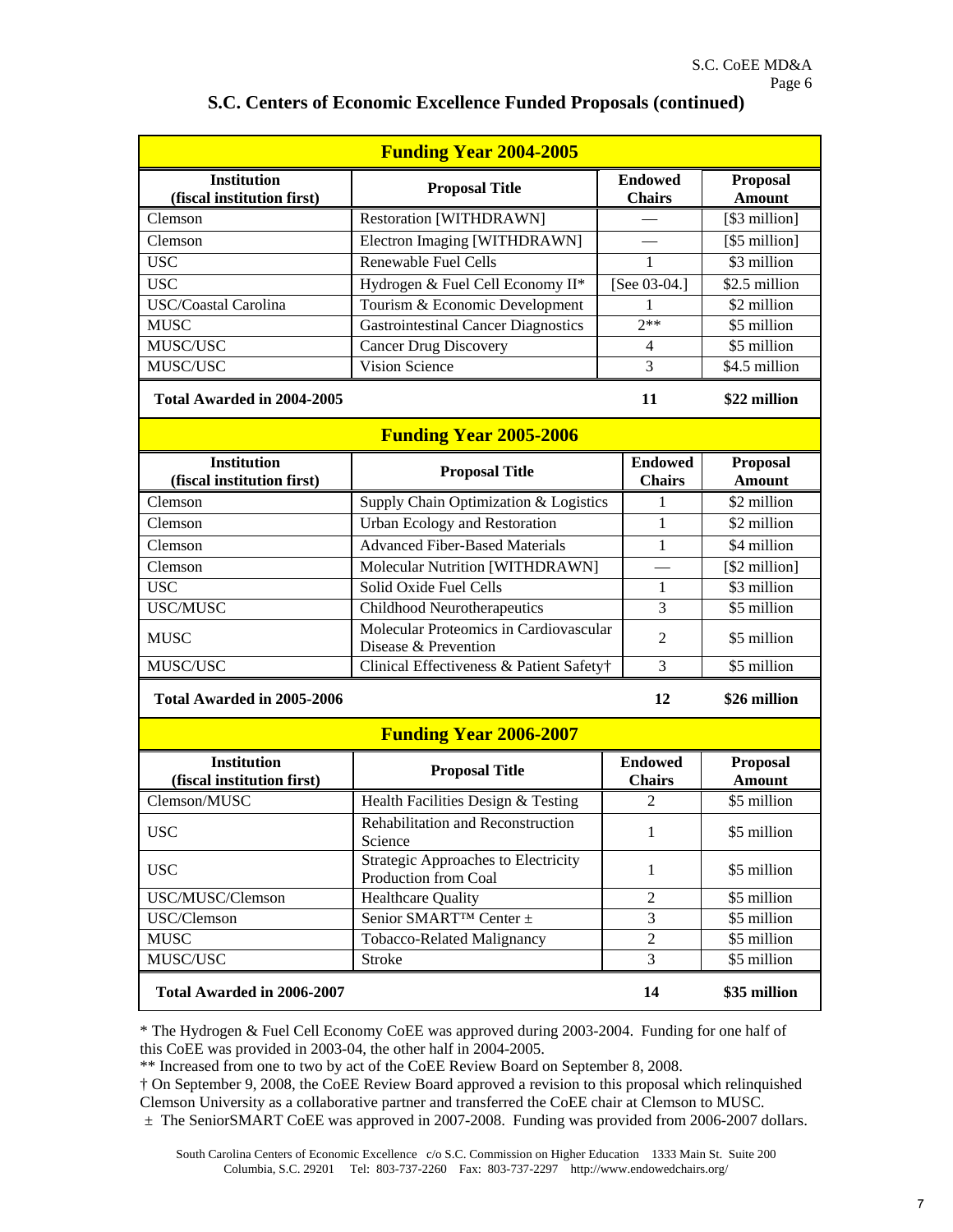|                                                  | <b>Funding Year 2004-2005</b>                                      |                                 |                                  |
|--------------------------------------------------|--------------------------------------------------------------------|---------------------------------|----------------------------------|
| <b>Institution</b><br>(fiscal institution first) | <b>Proposal Title</b>                                              | <b>Endowed</b><br><b>Chairs</b> | Proposal<br><b>Amount</b>        |
| Clemson                                          | <b>Restoration [WITHDRAWN]</b>                                     |                                 | [\$3 million]                    |
| Clemson                                          | Electron Imaging [WITHDRAWN]                                       |                                 | [\$5 million]                    |
| <b>USC</b>                                       | <b>Renewable Fuel Cells</b>                                        | 1                               | \$3 million                      |
| <b>USC</b>                                       | Hydrogen & Fuel Cell Economy II*                                   | [See 03-04.]                    | \$2.5 million                    |
| USC/Coastal Carolina                             | Tourism & Economic Development                                     | 1                               | \$2 million                      |
| <b>MUSC</b>                                      | <b>Gastrointestinal Cancer Diagnostics</b>                         | $2**$                           | \$5 million                      |
| MUSC/USC                                         | <b>Cancer Drug Discovery</b>                                       | $\overline{4}$                  | \$5 million                      |
| MUSC/USC                                         | Vision Science                                                     | 3                               | \$4.5 million                    |
| Total Awarded in 2004-2005                       |                                                                    | 11                              | \$22 million                     |
|                                                  | <b>Funding Year 2005-2006</b>                                      |                                 |                                  |
| <b>Institution</b><br>(fiscal institution first) | <b>Proposal Title</b>                                              | <b>Endowed</b><br><b>Chairs</b> | <b>Proposal</b><br><b>Amount</b> |
| Clemson                                          | Supply Chain Optimization & Logistics                              | 1                               | \$2 million                      |
| $\overline{\text{C}}$ lemson                     | <b>Urban Ecology and Restoration</b>                               | 1                               | \$2 million                      |
| Clemson                                          | <b>Advanced Fiber-Based Materials</b>                              | 1                               | \$4 million                      |
| Clemson                                          | Molecular Nutrition [WITHDRAWN]                                    |                                 | [\$2 million]                    |
| <b>USC</b>                                       | Solid Oxide Fuel Cells                                             | 1                               | \$3 million                      |
| <b>USC/MUSC</b>                                  | Childhood Neurotherapeutics                                        | 3                               | \$5 million                      |
| <b>MUSC</b>                                      | Molecular Proteomics in Cardiovascular<br>Disease & Prevention     | $\overline{2}$                  | \$5 million                      |
| MUSC/USC                                         | Clinical Effectiveness & Patient Safety†                           | 3                               | \$5 million                      |
| Total Awarded in 2005-2006                       |                                                                    | 12                              | \$26 million                     |
|                                                  | <b>Funding Year 2006-2007</b>                                      |                                 |                                  |
| <b>Institution</b><br>(fiscal institution first) | <b>Proposal Title</b>                                              | <b>Endowed</b><br><b>Chairs</b> | Proposal<br><b>Amount</b>        |
| Clemson/MUSC                                     | Health Facilities Design & Testing                                 | 2                               | \$5 million                      |
| <b>USC</b>                                       | Rehabilitation and Reconstruction<br>Science                       | $\mathbf{1}$                    | \$5 million                      |
| <b>USC</b>                                       | <b>Strategic Approaches to Electricity</b><br>Production from Coal | $\mathbf{1}$                    | \$5 million                      |
| USC/MUSC/Clemson                                 | <b>Healthcare Quality</b>                                          | $\overline{2}$                  | \$5 million                      |
| USC/Clemson                                      | Senior SMART <sup>TM</sup> Center ±                                | 3                               | \$5 million                      |
| <b>MUSC</b>                                      | Tobacco-Related Malignancy                                         | $\mathfrak{2}$                  | \$5 million                      |
| MUSC/USC                                         | Stroke                                                             | 3                               | \$5 million                      |
| Total Awarded in 2006-2007                       |                                                                    | 14                              | \$35 million                     |

#### **S.C. Centers of Economic Excellence Funded Proposals (continued)**

 \* The Hydrogen & Fuel Cell Economy CoEE was approved during 2003-2004. Funding for one half of this CoEE was provided in 2003-04, the other half in 2004-2005.

\*\* Increased from one to two by act of the CoEE Review Board on September 8, 2008.

 † On September 9, 2008, the CoEE Review Board approved a revision to this proposal which relinquished ± The SeniorSMART CoEE was approved in 2007-2008. Funding was provided from 2006-2007 dollars. Clemson University as a collaborative partner and transferred the CoEE chair at Clemson to MUSC.

 Columbia, S.C. 29201 Tel: 803-737-2260 Fax: 803-737-2297 http://www.endowedchairs.org/ South Carolina Centers of Economic Excellence c/o S.C. Commission on Higher Education 1333 Main St. Suite 200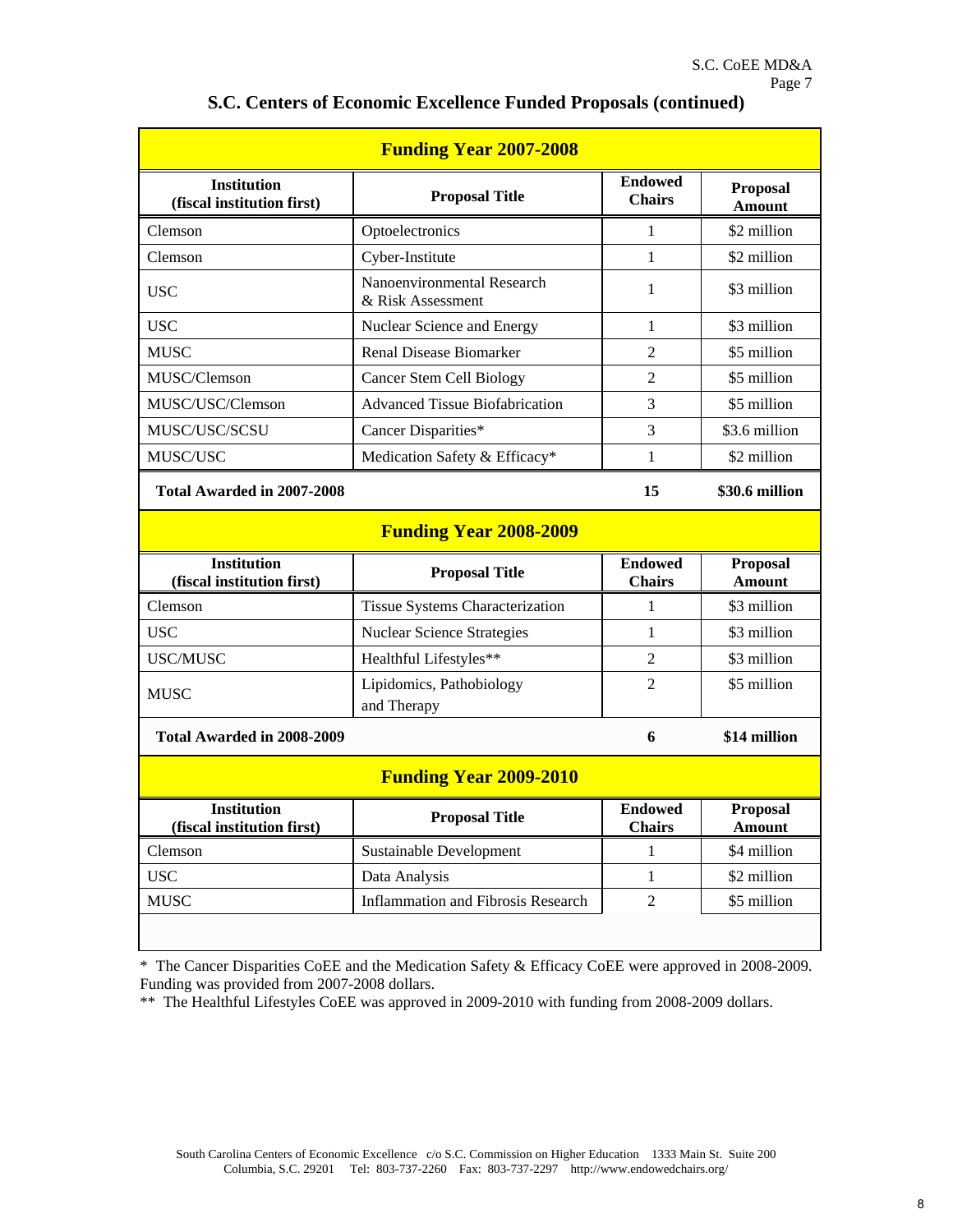|                                                  | <b>Funding Year 2007-2008</b>                   |                                 |                           |
|--------------------------------------------------|-------------------------------------------------|---------------------------------|---------------------------|
| <b>Institution</b><br>(fiscal institution first) | <b>Proposal Title</b>                           | <b>Endowed</b><br><b>Chairs</b> | Proposal<br><b>Amount</b> |
| Clemson                                          | Optoelectronics                                 | $\mathbf{1}$                    | \$2 million               |
| Clemson                                          | Cyber-Institute                                 | 1                               | \$2 million               |
| <b>USC</b>                                       | Nanoenvironmental Research<br>& Risk Assessment | 1                               | \$3 million               |
| <b>USC</b>                                       | Nuclear Science and Energy                      | 1                               | \$3 million               |
| <b>MUSC</b>                                      | <b>Renal Disease Biomarker</b>                  | $\overline{2}$                  | \$5 million               |
| MUSC/Clemson                                     | <b>Cancer Stem Cell Biology</b>                 | $\overline{2}$                  | \$5 million               |
| MUSC/USC/Clemson                                 | <b>Advanced Tissue Biofabrication</b>           | 3                               | \$5 million               |
| MUSC/USC/SCSU                                    | Cancer Disparities*                             | 3                               | \$3.6 million             |
| MUSC/USC                                         | Medication Safety & Efficacy*                   | 1                               | \$2 million               |
| Total Awarded in 2007-2008                       |                                                 | 15                              | \$30.6 million            |
|                                                  | <b>Funding Year 2008-2009</b>                   |                                 |                           |
|                                                  |                                                 |                                 |                           |
| <b>Institution</b><br>(fiscal institution first) | <b>Proposal Title</b>                           | <b>Endowed</b><br><b>Chairs</b> | Proposal<br><b>Amount</b> |
| Clemson                                          | Tissue Systems Characterization                 | 1                               | \$3 million               |
| <b>USC</b>                                       | <b>Nuclear Science Strategies</b>               | 1                               | \$3 million               |
| <b>USC/MUSC</b>                                  | Healthful Lifestyles**                          | $\overline{2}$                  | \$3 million               |
| <b>MUSC</b>                                      | Lipidomics, Pathobiology<br>and Therapy         | $\overline{2}$                  | \$5 million               |
| Total Awarded in 2008-2009                       |                                                 | 6                               | \$14 million              |
|                                                  | <b>Funding Year 2009-2010</b>                   |                                 |                           |
| <b>Institution</b><br>(fiscal institution first) | <b>Proposal Title</b>                           | <b>Endowed</b><br><b>Chairs</b> | <b>Proposal</b><br>Amount |
| Clemson                                          | Sustainable Development                         | 1                               | \$4 million               |
| <b>USC</b>                                       | Data Analysis                                   | $\mathbf{1}$                    | \$2 million               |
| <b>MUSC</b>                                      | <b>Inflammation and Fibrosis Research</b>       | $\overline{2}$                  | \$5 million               |

### **S.C. Centers of Economic Excellence Funded Proposals (continued)**

\* The Cancer Disparities CoEE and the Medication Safety & Efficacy CoEE were approved in 2008-2009. Funding was provided from 2007-2008 dollars.

\*\* The Healthful Lifestyles CoEE was approved in 2009-2010 with funding from 2008-2009 dollars.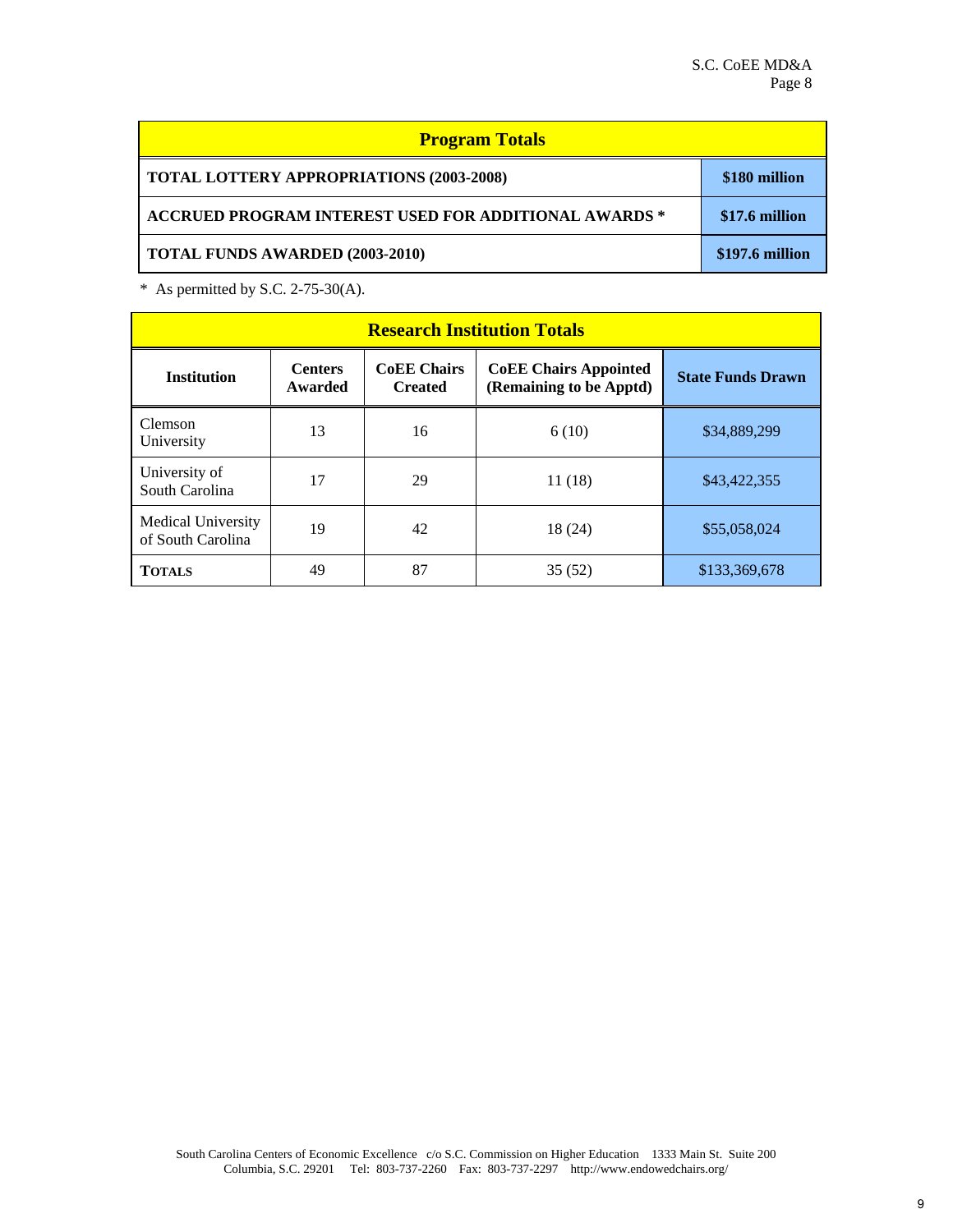| <b>Program Totals</b>                                        |                 |
|--------------------------------------------------------------|-----------------|
| <b>TOTAL LOTTERY APPROPRIATIONS (2003-2008)</b>              | \$180 million   |
| <b>ACCRUED PROGRAM INTEREST USED FOR ADDITIONAL AWARDS *</b> | \$17.6 million  |
| <b>TOTAL FUNDS AWARDED (2003-2010)</b>                       | \$197.6 million |

 $*$  As permitted by S.C. 2-75-30(A).

|                                                |                           |                                      | <b>Research Institution Totals</b>                      |                          |
|------------------------------------------------|---------------------------|--------------------------------------|---------------------------------------------------------|--------------------------|
| <b>Institution</b>                             | <b>Centers</b><br>Awarded | <b>CoEE</b> Chairs<br><b>Created</b> | <b>CoEE Chairs Appointed</b><br>(Remaining to be Apptd) | <b>State Funds Drawn</b> |
| Clemson<br>University                          | 13                        | 16                                   | 6(10)                                                   | \$34,889,299             |
| University of<br>South Carolina                | 17                        | 29                                   | 11(18)                                                  | \$43,422,355             |
| <b>Medical University</b><br>of South Carolina | 19                        | 42                                   | 18 (24)                                                 | \$55,058,024             |
| <b>TOTALS</b>                                  | 49                        | 87                                   | 35(52)                                                  | \$133,369,678            |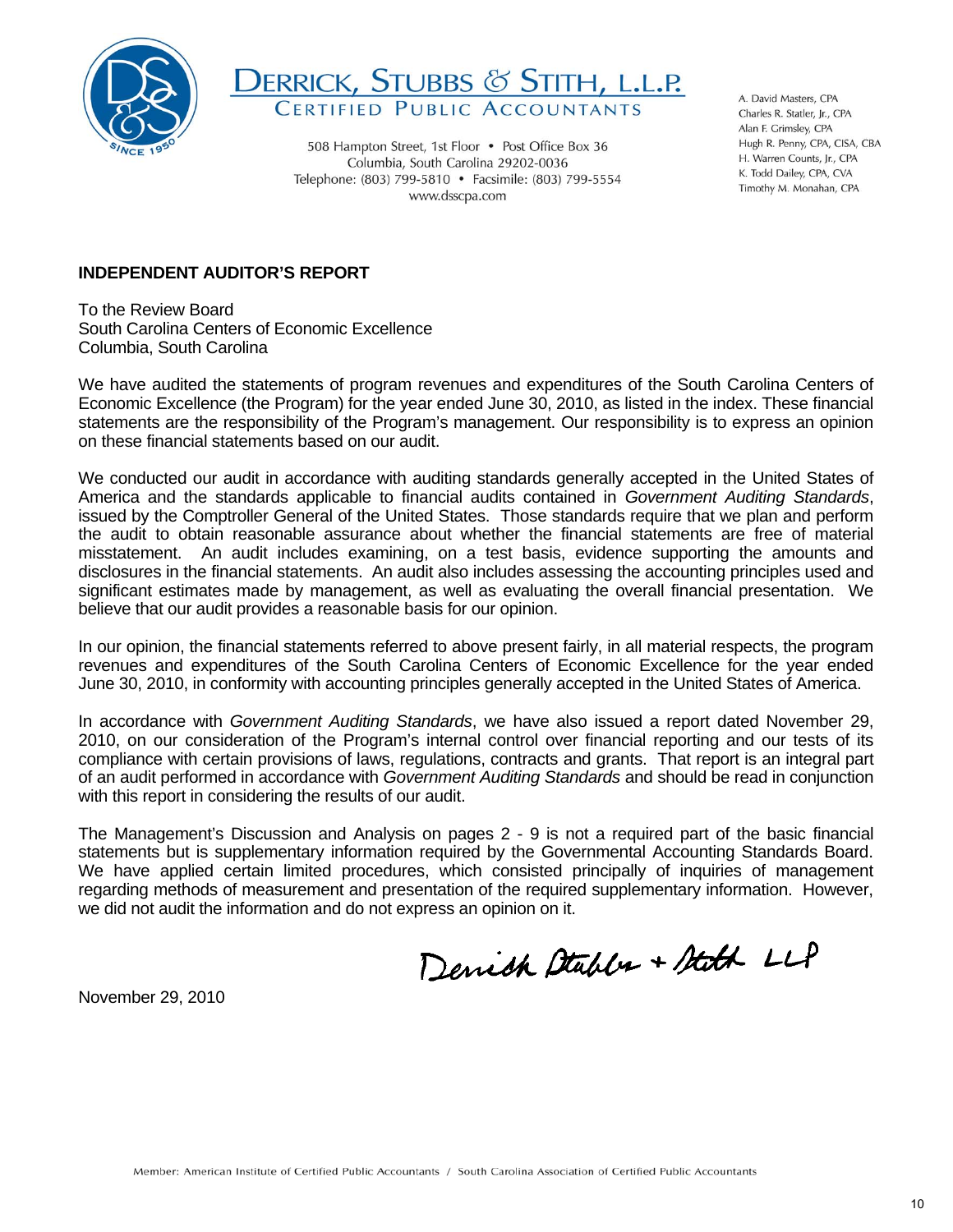



508 Hampton Street, 1st Floor • Post Office Box 36 Columbia, South Carolina 29202-0036 Telephone: (803) 799-5810 • Facsimile: (803) 799-5554 www.dsscpa.com

A. David Masters, CPA Charles R. Statler, Ir. CPA Alan F. Grimsley, CPA Hugh R. Penny, CPA, CISA, CBA H. Warren Counts, Jr., CPA K. Todd Dailey, CPA, CVA Timothy M. Monahan, CPA

### **INDEPENDENT AUDITOR'S REPORT**

To the Review Board South Carolina Centers of Economic Excellence Columbia, South Carolina

We have audited the statements of program revenues and expenditures of the South Carolina Centers of Economic Excellence (the Program) for the year ended June 30, 2010, as listed in the index. These financial statements are the responsibility of the Program's management. Our responsibility is to express an opinion on these financial statements based on our audit.

 the audit to obtain reasonable assurance about whether the financial statements are free of material significant estimates made by management, as well as evaluating the overall financial presentation. We We conducted our audit in accordance with auditing standards generally accepted in the United States of America and the standards applicable to financial audits contained in *Government Auditing Standards*, issued by the Comptroller General of the United States. Those standards require that we plan and perform misstatement. An audit includes examining, on a test basis, evidence supporting the amounts and disclosures in the financial statements. An audit also includes assessing the accounting principles used and believe that our audit provides a reasonable basis for our opinion.

In our opinion, the financial statements referred to above present fairly, in all material respects, the program revenues and expenditures of the South Carolina Centers of Economic Excellence for the year ended June 30, 2010, in conformity with accounting principles generally accepted in the United States of America.

 In accordance with *Government Auditing Standards*, we have also issued a report dated November 29, of an audit performed in accordance with *Government Auditing Standards* and should be read in conjunction 2010, on our consideration of the Program's internal control over financial reporting and our tests of its compliance with certain provisions of laws, regulations, contracts and grants. That report is an integral part with this report in considering the results of our audit.

 statements but is supplementary information required by the Governmental Accounting Standards Board. regarding methods of measurement and presentation of the required supplementary information. However, The Management's Discussion and Analysis on pages 2 - 9 is not a required part of the basic financial We have applied certain limited procedures, which consisted principally of inquiries of management we did not audit the information and do not express an opinion on it.

Denick Stables + Stath LLP

November 29, 2010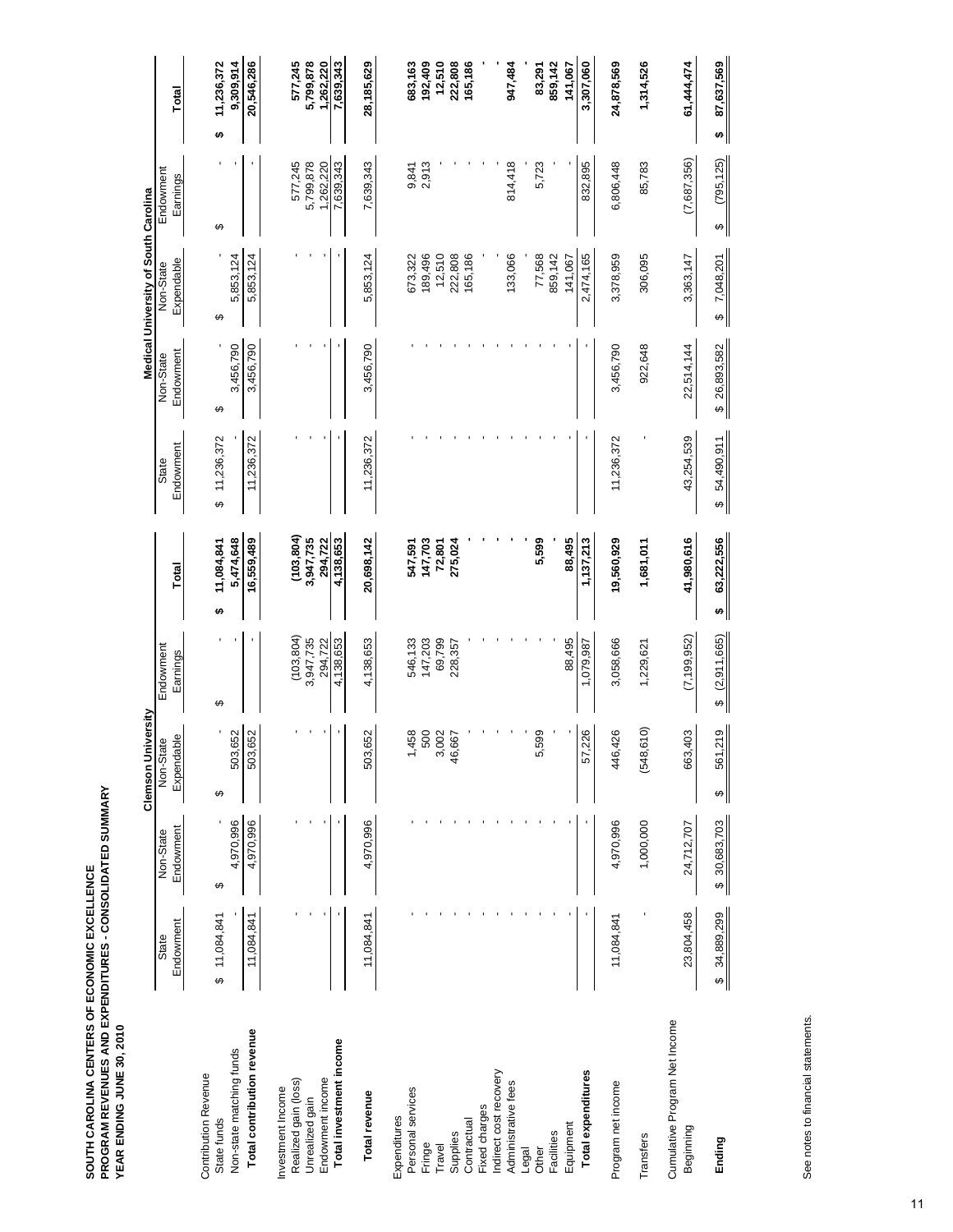SOUTH CAROLINA CENTERS OF ECONOMIC EXCELLENCE<br>PROGRAM REVENUES AND EXPENDITURES - CONSOLIDATED SUMMARY<br>YEAR ENDING JUNE 30, 2010 **PROGRAM REVENUES AND EXPENDITURES - CONSOLIDATED SUMMARY SOUTH CAROLINA CENTERS OF ECONOMIC EXCELLENCE YEAR ENDING JUNE 30, 2010** 

|                                            |                    |                        | Clemson University      |                       |                 |                    |                        | Medical University of South Carolina |                       |                 |
|--------------------------------------------|--------------------|------------------------|-------------------------|-----------------------|-----------------|--------------------|------------------------|--------------------------------------|-----------------------|-----------------|
|                                            | Endowment<br>State | Endowment<br>Non-State | Expendable<br>Non-State | Endowment<br>Earnings | Total           | Endowment<br>State | Endowment<br>Non-State | Expendable<br>Non-State              | Endowment<br>Earnings | Total           |
|                                            |                    |                        |                         |                       |                 |                    |                        |                                      |                       |                 |
| <b>Contribution Revenue</b>                |                    |                        |                         |                       |                 |                    |                        |                                      |                       |                 |
| State funds                                | \$11,084,841       | ı<br>↮                 | ↔                       | ↮                     | 11,084,841<br>↮ | 11,236,372<br>မာ   | ↮                      | ↔                                    | ↮                     | 11,236,372<br>↮ |
| Non-state matching funds                   |                    | 4,970,996              | 503,652                 |                       | 5,474,648       |                    | 3,456,790              | 5,853,124                            |                       | 9,309,914       |
| Total contribution revenue                 | 11,084,841         | 4,970,996              | 503,652                 |                       | 16,559,489      | 11,236,372         | 3,456,790              | 5,853,124                            |                       | 20,546,286      |
|                                            |                    |                        |                         |                       |                 |                    |                        |                                      |                       |                 |
| Investment Income                          |                    |                        |                         |                       |                 |                    |                        |                                      |                       |                 |
| Realized gain (loss)                       |                    |                        |                         | (103, 804)            | (103, 804)      |                    |                        |                                      | 577,245               | 577,245         |
| Unrealized gain                            |                    |                        |                         | 3,947,735             | 3,947,735       |                    |                        |                                      | 5,799,878             | 5,799,878       |
| Endowment income                           |                    |                        |                         | 294,722               | 294,722         |                    |                        |                                      | 1,262,220             | 1,262,220       |
| Total investment income                    |                    |                        |                         | 4,138,653             | 4,138,653       |                    |                        |                                      | 7,639,343             | 7,639,343       |
| Total revenue                              | 11,084,841         | 4,970,996              | 503,652                 | 4,138,653             | 20,698,142      | 11,236,372         | 3,456,790              | 5,853,124                            | 7,639,343             | 28,185,629      |
| Expenditures                               |                    |                        |                         |                       |                 |                    |                        |                                      |                       |                 |
| Personal services                          |                    |                        | 1,458                   | 546, 133<br>147, 203  | 547,591         |                    |                        | 673,322                              | 9,841                 | 683,163         |
| Fringe                                     |                    |                        | 500                     |                       | 147,703         |                    |                        | 189,496                              | 2,913                 | 192,409         |
| Travel                                     |                    |                        | 3,002                   | 69,799                | 72,801          |                    |                        | 12,510                               |                       | 12,510          |
| Supplies                                   |                    |                        | 46,667                  | 228,357               | 275,024         |                    |                        | 222,808                              |                       | 222,808         |
| Contractual                                |                    |                        |                         |                       |                 |                    |                        | 165,186                              |                       | 165,186         |
| Fixed charges                              |                    |                        |                         |                       |                 |                    |                        |                                      |                       |                 |
| Indirect cost recovery                     |                    |                        |                         |                       |                 |                    |                        |                                      |                       |                 |
| Administrative fees                        |                    |                        |                         |                       |                 |                    |                        | 133,066                              | 814,418               | 947,484         |
| Legal                                      |                    |                        |                         |                       |                 |                    |                        |                                      |                       |                 |
| Other                                      |                    |                        | 5,599                   |                       | 5,599           |                    |                        | 77,568                               | 5,723                 | 83,291          |
| Facilities                                 |                    |                        |                         |                       |                 |                    |                        | 859,142                              |                       | 859,142         |
| Equipment                                  |                    |                        |                         | 88,495                | 88,495          |                    |                        | 141,067                              |                       | 141,067         |
| Total expenditures                         |                    |                        | 57,226                  | 1,079,987             | 1,137,213       |                    |                        | 2,474,165                            | 832,895               | 3,307,060       |
| Program net income                         | 11,084,841         | 4,970,996              | 446,426                 | 3,058,666             | 19,560,929      | 11,236,372         | 3,456,790              | 3,378,959                            | 6,806,448             | 24,878,569      |
| Transfers                                  |                    | 1,000,000              | (548, 610)              | 1,229,621             | 1,681,011       |                    | 922,648                | 306,095                              | 85,783                | 1,314,526       |
| Cumulative Program Net Income<br>Beginning | 23,804,458         | 24,712,707             | 663,403                 | (7, 199, 952)         | 41,980,616      | 43,254,539         | 22,514,144             | 3,363,147                            | (7,687,356)           | 61,444,474      |
| Ending                                     | 34,889,299<br>↔    | \$30,683,703           | 561,219<br>ക            | (2,911,665)<br>↔      | 63,222,556<br>↮ | 54,490,911<br>↔    | \$26,893,582           | 7,048,201<br>↮                       | (795, 125)<br>↮       | 87,637,569<br>↮ |

See notes to financial statements. See notes to financial statements.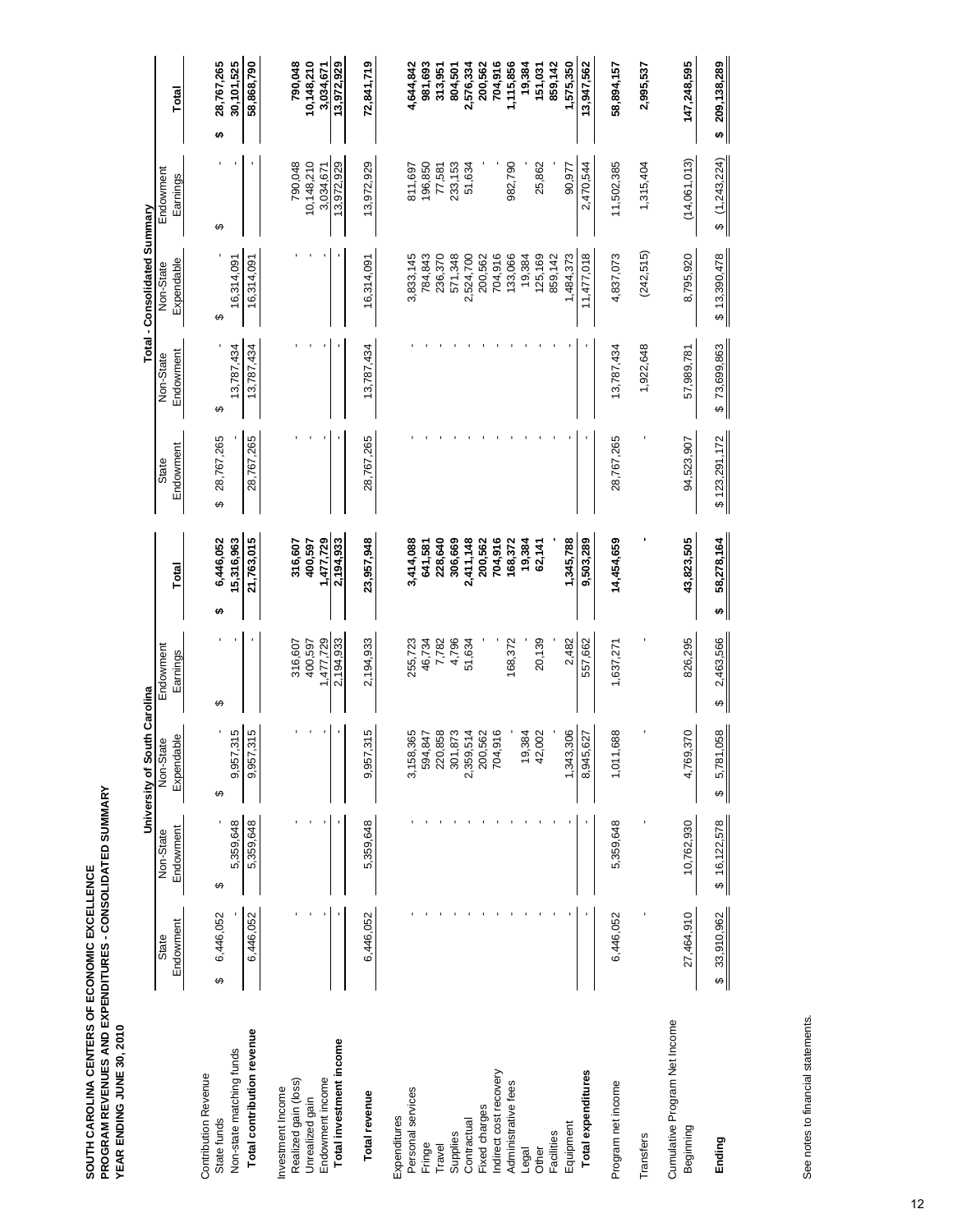SOUTH CAROLINA CENTERS OF ECONOMIC EXCELLENCE<br>PROGRAM REVENUES AND EXPENDITURES - CONSOLIDATED SUMMARY<br>YEAR ENDING JUNE 30, 2010 **PROGRAM REVENUES AND EXPENDITURES - CONSOLIDATED SUMMARY SOUTH CAROLINA CENTERS OF ECONOMIC EXCELLENCE YEAR ENDING JUNE 30, 2010** 

|                                            |                 |              | University of South Carolina |                |                 |                 |              | Total - Consolidated Summary |               |                            |
|--------------------------------------------|-----------------|--------------|------------------------------|----------------|-----------------|-----------------|--------------|------------------------------|---------------|----------------------------|
|                                            | State           | Non-State    | Non-State                    | Endowment      |                 | State           | Non-State    | Non-State                    | Endowment     |                            |
|                                            | Endowment       | Endowment    | Expendable                   | Earnings       | Total           | Endowment       | Endowment    | Expendable                   | Earnings      | Total                      |
| <b>Contribution Revenue</b>                |                 |              |                              |                |                 |                 |              |                              |               |                            |
| State funds                                | 6,446,052<br>↮  | ↮            | ↮                            | ↔              | 6,446,052<br>↮  | 28,767,265<br>↔ | ↮            | ↮                            | ↮             | 28,767,265<br><del>ഗ</del> |
| Non-state matching funds                   |                 | 5,359,648    | 9,957,315                    |                | 15,316,963      |                 | 13,787,434   | 16,314,091                   |               | 30,101,525                 |
| Total contribution revenue                 | 6,446,052       | 5,359,648    | 9,957,315                    |                | 21,763,015      | 28,767,265      | 13,787,434   | 16,314,091                   |               | 58,868,790                 |
| Investment Income                          |                 |              |                              |                |                 |                 |              |                              |               |                            |
| Realized gain (loss)                       |                 |              |                              | 316,607        | 316,607         |                 |              |                              | 790,048       | 790,048                    |
| Unrealized gain                            |                 |              |                              | 400,597        | 400,597         |                 |              |                              | 10,148,210    | 10,148,210                 |
| Endowment income                           |                 |              |                              | 1,477,729      | 1,477,729       |                 |              |                              | 3,034,67      | 3,034,671                  |
| Total investment income                    |                 |              |                              | 2,194,933      | 2,194,933       |                 |              |                              | 13,972,929    | 13,972,929                 |
| Total revenue                              | 6,446,052       | 5,359,648    | 9,957,315                    | 2,194,933      | 23,957,948      | 28,767,265      | 13,787,434   | 16,314,091                   | 13,972,929    | 72,841,719                 |
| Expenditures                               |                 |              |                              |                |                 |                 |              |                              |               |                            |
| Personal services                          |                 |              | 3,158,365                    | 255,723        | 3,414,088       |                 |              | 3,833,145                    | 811,697       | 4,644,842                  |
| Fringe                                     |                 |              | 594,847                      | 46,734         | 641,581         |                 |              | 784,843                      | 196,850       | 981,693                    |
| Travel                                     |                 |              | 220,858                      | 7,782          | 228,640         |                 |              | 236,370                      | 77,581        | 313,951                    |
| Supplies                                   |                 |              | 301,873                      | 4,796          | 306,669         |                 |              | 571,348                      | 233,153       | 804,501                    |
| Contractual                                |                 |              | 2,359,514                    | 51,634         | 2,411,148       |                 |              | 2,524,700                    | 51,634        | 2,576,334                  |
| Fixed charges                              |                 |              | 200,562                      |                | 200,562         |                 |              | 200,562                      |               | 200,562                    |
| Indirect cost recovery                     |                 |              | 704,916                      |                | 704,916         |                 |              | 704,916                      |               | 704,916                    |
| Administrative fees                        |                 |              |                              | 168,372        | 168,372         |                 |              | 133,066                      | 982,790       | 1,115,856                  |
| Legal                                      |                 |              | 19,384<br>42,002             |                | 19,384          |                 |              | 19,384                       |               | 19,384                     |
| Other                                      |                 |              |                              | 20,139         | 62,141          |                 |              | 125,169                      | 25,862        | 151,031                    |
| Facilities                                 |                 |              |                              |                |                 |                 |              | 859,142                      |               | 859,142                    |
| Equipment                                  |                 |              | 1,343,306                    | 2,482          | 1,345,788       |                 |              | 1,484,373                    | 90,977        | 1,575,350                  |
| Total expenditures                         |                 |              | 8,945,627                    | 557,662        | 9,503,289       |                 |              | 11,477,018                   | 2,470,544     | 13,947,562                 |
| Program net income                         | 6,446,052       | 5,359,648    | 1,011,688                    | 1,637,271      | 14,454,659      | 28,767,265      | 13,787,434   | 4,837,073                    | 11,502,385    | 58,894,157                 |
| Transfers                                  |                 |              |                              |                |                 |                 | 1,922,648    | (242, 515)                   | 1,315,404     | 2,995,537                  |
| Cumulative Program Net Income<br>Beginning | 27,464,910      | 10,762,930   | 4,769,370                    | 826,295        | 43,823,505      | 94,523,907      | 57,989,781   | 8,795,920                    | (14,061,013)  | 147,248,595                |
| Ending                                     | 33,910,962<br>↔ | \$16,122,578 | 5,781,058<br>↮               | 2,463,566<br>↮ | 58,278,164<br>↮ | \$123,291,172   | \$73,699,863 | \$13,390,478                 | \$(1,243,224) | \$209,138,289              |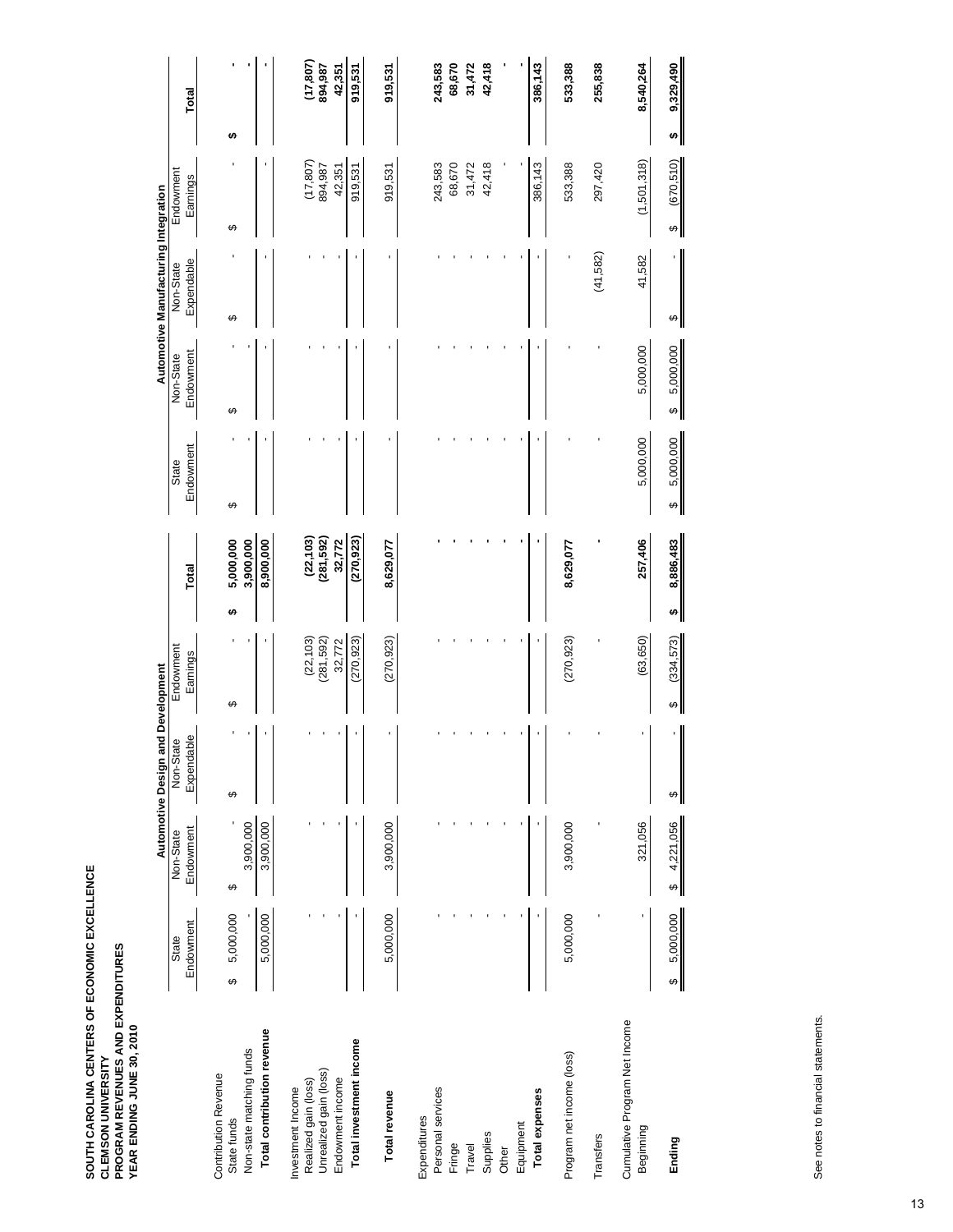|                                            |                    |                        | <b>Automotive Design and Development</b> |                        |   |                             |                    |                        | Automotive Manufacturing Integration |                       |                |  |
|--------------------------------------------|--------------------|------------------------|------------------------------------------|------------------------|---|-----------------------------|--------------------|------------------------|--------------------------------------|-----------------------|----------------|--|
|                                            | Endowment<br>State | Endowment<br>Non-State | Expendable<br>Non-State                  | Endowment<br>Earnings  |   | Total                       | Endowment<br>State | Endowment<br>Non-State | Expendable<br>Non-State              | Endowment<br>Earnings | Total          |  |
| <b>Contribution Revenue</b><br>State funds | 5,000,000<br>↮     | ↮                      | ↮                                        | ↮                      | ↮ | 5,000,000                   | ↮                  | ↮                      | ↮                                    | ↮                     | ↮              |  |
| Non-state matching funds                   |                    | 3,900,000              |                                          |                        |   | 3,900,000                   |                    |                        |                                      |                       |                |  |
| Total contribution revenue                 | 5,000,000          | 3,900,000              |                                          |                        |   | 8,900,000                   |                    |                        |                                      |                       |                |  |
| Realized gain (loss)<br>Investment Income  |                    |                        |                                          | (22, 103)              |   |                             |                    |                        |                                      | (17, 807)             | (17, 807)      |  |
| Unrealized gain (loss)                     |                    |                        |                                          | (281, 592)             |   | $(22, 103)$<br>$(281, 592)$ |                    |                        |                                      | 894,987               | 894,987        |  |
| Endowment income                           |                    |                        |                                          | 32,772                 |   | 32,772                      |                    |                        |                                      | 42,351                | 42,351         |  |
| Total investment income                    |                    |                        |                                          | (270, 923)             |   | (270, 923)                  |                    |                        |                                      | 919,531               | 919,531        |  |
| <b>Total revenue</b>                       | 5,000,000          | 3,900,000              |                                          | (270, 923)             |   | 8,629,077                   |                    |                        |                                      | 919,531               | 919,531        |  |
| Expenditures                               |                    |                        |                                          |                        |   |                             |                    |                        |                                      |                       |                |  |
| Personal services                          |                    |                        |                                          |                        |   |                             |                    |                        |                                      | 243,583               | 243,583        |  |
| Fringe                                     |                    |                        |                                          |                        |   |                             |                    |                        |                                      | 68,670                | 68,670         |  |
| Travel                                     |                    |                        |                                          |                        |   |                             |                    |                        |                                      | 31,472                | 31,472         |  |
| Supplies                                   |                    |                        |                                          |                        |   |                             |                    |                        |                                      | 42,418                | 42,418         |  |
| Other                                      |                    |                        |                                          |                        |   |                             |                    |                        |                                      |                       |                |  |
| Equipment                                  |                    |                        |                                          |                        |   |                             |                    |                        |                                      |                       |                |  |
| Total expenses                             |                    |                        |                                          |                        |   |                             |                    |                        |                                      | 386,143               | 386,143        |  |
| Program net income (loss)                  | 5,000,000          | 3,900,000              |                                          | (270, 923)             |   | 8,629,077                   |                    |                        |                                      | 533,388               | 533,388        |  |
| Transfers                                  |                    |                        |                                          |                        |   |                             |                    |                        | (41,582)                             | 297,420               | 255,838        |  |
| Cumulative Program Net Income<br>Beginning |                    | 321,056                |                                          | (63, 650)              |   | 257,406                     | 5,000,000          | 5,000,000              | 41,582                               | (1,501,318)           | 8,540,264      |  |
| Ending                                     | 5,000,000<br>↮     | 4,221,056<br>↔         | ↮                                        | (334, 573)<br>$\theta$ | ↮ | 8,886,483                   | 5,000,000<br>↮     | 5,000,000<br>↮         | ↮                                    | (670, 510)<br>↮       | 9,329,490<br>↮ |  |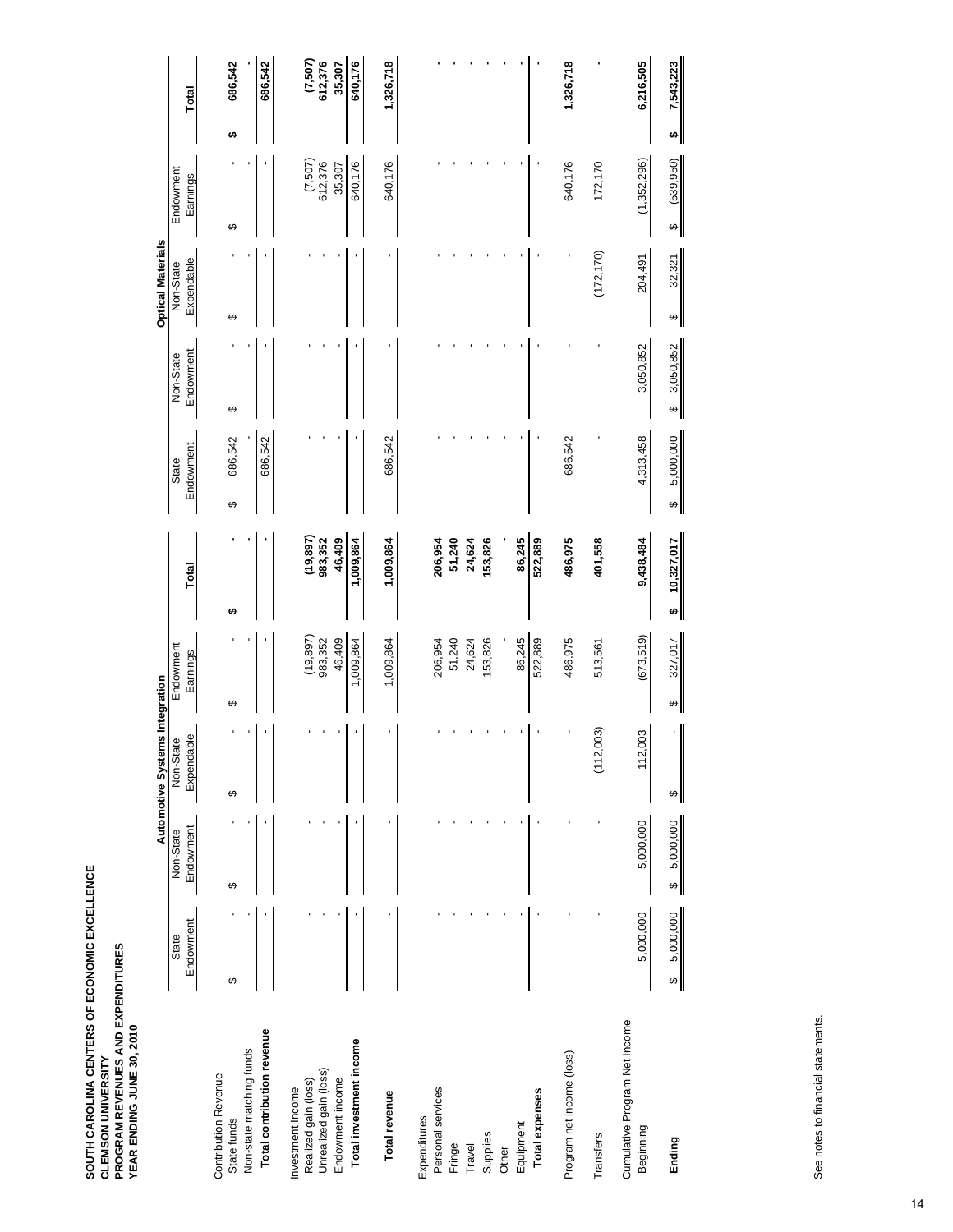|                                            |                |                | Automotive Systems Integration |                         |                      |                       |                       | <b>Optical Materials</b> |                                      |   |                      |
|--------------------------------------------|----------------|----------------|--------------------------------|-------------------------|----------------------|-----------------------|-----------------------|--------------------------|--------------------------------------|---|----------------------|
|                                            | State          | Non-State      | Non-State                      | Endowment               |                      | State                 | Non-State             | Non-State                | Endowment                            |   |                      |
|                                            | Endowment      | Endowment      | Expendable                     | Earnings                | Total                | Endowment             | Endowment             | Expendable               | Earnings                             |   | Total                |
| <b>Contribution Revenue</b><br>State funds | ↮              | ↔              | ↮                              | ↔                       | €A                   | 686,542<br>↮          | ↔                     | ↮                        | ↮                                    | ↮ | 686,542              |
| Non-state matching funds                   |                |                |                                |                         |                      |                       |                       |                          |                                      |   |                      |
| Total contribution revenue                 |                |                |                                |                         |                      | 686,542               |                       |                          |                                      |   | 686,542              |
| Investment Income                          |                |                |                                |                         |                      |                       |                       |                          |                                      |   |                      |
| Realized gain (loss)                       |                |                |                                | $(19, 897)$<br>983, 352 | (19, 897)<br>983,352 |                       |                       |                          | (7,507)<br>612,376                   |   | $(7,507)$<br>612,376 |
| Unrealized gain (loss)<br>Endowment income |                |                |                                | 46,409                  | 46,409               |                       |                       |                          | 35,307                               |   | 35,307               |
|                                            |                |                |                                |                         |                      |                       |                       |                          |                                      |   |                      |
| Total investment income                    |                |                |                                | 1,009,864               | 1,009,864            |                       |                       |                          | 640,176                              |   | 640,176              |
| Total revenue                              |                |                |                                | 1,009,864               | 1,009,864            | 686,542               |                       |                          | 640,176                              |   | 1,326,718            |
| Expenditures                               |                |                |                                |                         |                      |                       |                       |                          |                                      |   |                      |
| Personal services                          |                |                |                                | 206,954                 | 206,954              |                       |                       |                          |                                      |   |                      |
| Fringe                                     |                |                |                                | 51,240                  | 51,240               |                       |                       |                          |                                      |   |                      |
| Travel                                     |                |                |                                | 24,624                  | 24,624               |                       |                       |                          |                                      |   |                      |
| Supplies                                   |                |                |                                | 153,826                 | 153,826              |                       |                       |                          |                                      |   |                      |
| Other                                      |                |                |                                |                         |                      |                       |                       |                          |                                      |   |                      |
| Equipment                                  |                |                |                                | 86,245                  | 86,245               |                       |                       |                          |                                      |   |                      |
| Total expenses                             |                |                |                                | 522,889                 | 522,889              |                       |                       |                          |                                      |   |                      |
| Program net income (loss)                  |                |                |                                | 486,975                 | 486,975              | 686,542               |                       |                          | 640,176                              |   | 1,326,718            |
| Transfers                                  |                |                | ,003)<br>(112)                 | 513,561                 | 401,558              |                       |                       | (172, 170)               | 172,170                              |   |                      |
| Cumulative Program Net Income<br>Beginning | 5,000,000      | 5,000,000      | 003<br>$\frac{2}{1}$           | (673,519)               | 9,438,484            | 4,313,458             | 3,050,852             | 204,491                  | (1,352,296)                          |   | 6,216,505            |
| Ending                                     | 5,000,000<br>↔ | 5,000,000<br>↔ | ↔                              | 327,017<br>↮            | 10,327,017<br>↮      | 5,000,000<br>$\theta$ | 3,050,852<br>$\theta$ | 32,321<br>↔              | (539, 950)<br>$\boldsymbol{\varphi}$ | ↮ | 7,543,223            |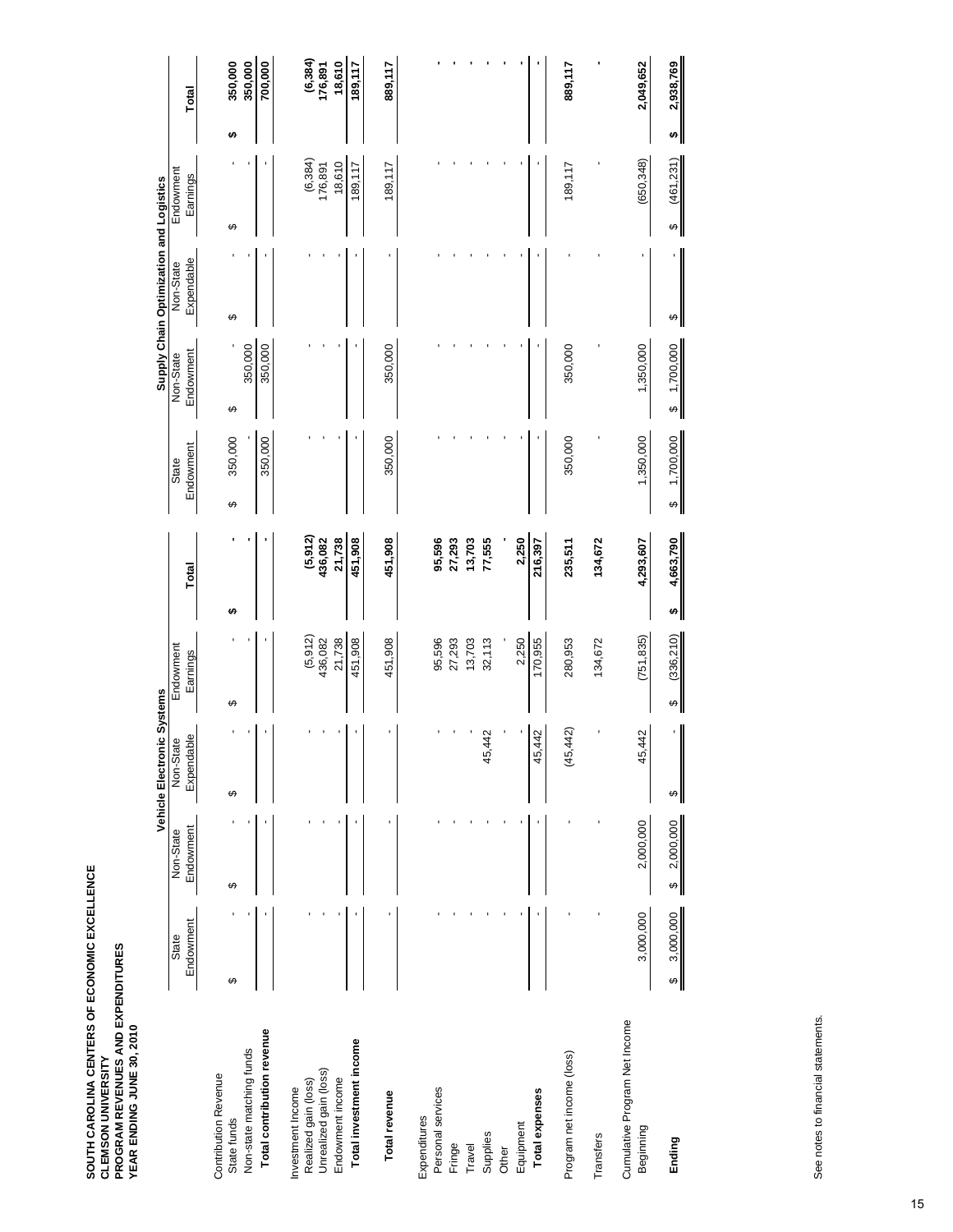|                                            |                |                 | Vehicle Electronic Systems |                 |       |                          |                       |              | Supply Chain Optimization and Logistics |                       |   |                       |
|--------------------------------------------|----------------|-----------------|----------------------------|-----------------|-------|--------------------------|-----------------------|--------------|-----------------------------------------|-----------------------|---|-----------------------|
|                                            | State          | Non-State       | Non-State                  | Endowment       |       |                          | State                 | Non-State    | Non-State                               | Endowment             |   |                       |
|                                            | Endowment      | Endowment       | Expendable                 | Earnings        | Total |                          | Endowment             | Endowment    | Expendable                              | Earnings              |   | Total                 |
| <b>Contribution Revenue</b>                |                |                 |                            |                 |       |                          |                       |              |                                         |                       |   |                       |
| State funds                                | ↮              | ↮               | ↮                          | ↔               | မာ    |                          | 350,000<br>↮          | ↮            | ↮                                       | ↮                     | ↮ | 350,000               |
| Non-state matching funds                   |                |                 |                            |                 |       |                          |                       | 350,000      |                                         |                       |   | 350,000               |
| Total contribution revenue                 |                |                 |                            |                 |       |                          | 350,000               | 350,000      |                                         |                       |   | 700,000               |
| Investment Income                          |                |                 |                            |                 |       |                          |                       |              |                                         |                       |   |                       |
| Realized gain (loss)                       |                |                 |                            | (5, 912)        |       |                          |                       |              |                                         | $(6, 384)$<br>176,891 |   |                       |
| Unrealized gain (loss)                     |                |                 |                            | 436,082         |       | $(5, 912)$<br>$436, 082$ |                       |              |                                         |                       |   | $(6, 384)$<br>176,891 |
| Endowment income                           |                |                 |                            | 21,738          |       | 21,738                   |                       |              |                                         | 18,610                |   | 18,610                |
| Total investment income                    |                |                 |                            | 451,908         |       | 451,908                  |                       |              |                                         | 189,117               |   | 189,117               |
| Total revenue                              |                |                 |                            | 451,908         |       | 451,908                  | 350,000               | 350,000      |                                         | 189,117               |   | 889,117               |
| Expenditures                               |                |                 |                            |                 |       |                          |                       |              |                                         |                       |   |                       |
| Personal services                          |                |                 |                            | 95,596          |       | 95,596                   |                       |              |                                         |                       |   |                       |
| Fringe                                     |                |                 |                            | 27,293          |       | 27,293                   |                       |              |                                         |                       |   |                       |
| Travel                                     |                |                 |                            | 13,703          |       | 13,703                   |                       |              |                                         |                       |   |                       |
| Supplies                                   |                |                 | 442<br>45,                 | 32,113          |       | 77,555                   |                       |              |                                         |                       |   |                       |
| Other                                      |                |                 |                            |                 |       |                          |                       |              |                                         |                       |   |                       |
| Equipment                                  |                |                 |                            | 2,250           |       | 2,250                    |                       |              |                                         |                       |   |                       |
| Total expenses                             |                |                 | 442<br>45,                 | 170,955         |       | 216,397                  |                       |              |                                         |                       |   |                       |
| Program net income (loss)                  |                |                 | 442)<br>(45,               | 280,953         |       | 235,511                  | 350,000               | 350,000      |                                         | 189,117               |   | 889,117               |
| Transfers                                  |                |                 |                            | 134,672         |       | 134,672                  |                       |              |                                         |                       |   |                       |
| Cumulative Program Net Income<br>Beginning | 3,000,000      | 2,000,000       | 42<br>45,                  | (751, 835)      |       | 4,293,607                | 1,350,000             | 1,350,000    |                                         | (650, 348)            |   | 2,049,652             |
| Ending                                     | 3,000,000<br>ക | 2,000,000<br>မာ | ↮                          | (336, 210)<br>↮ | ÷     | 4,663,790                | 1,700,000<br>$\theta$ | \$ 1,700,000 | ↮                                       | (461, 231)<br>↔       | ÷ | 2,938,769             |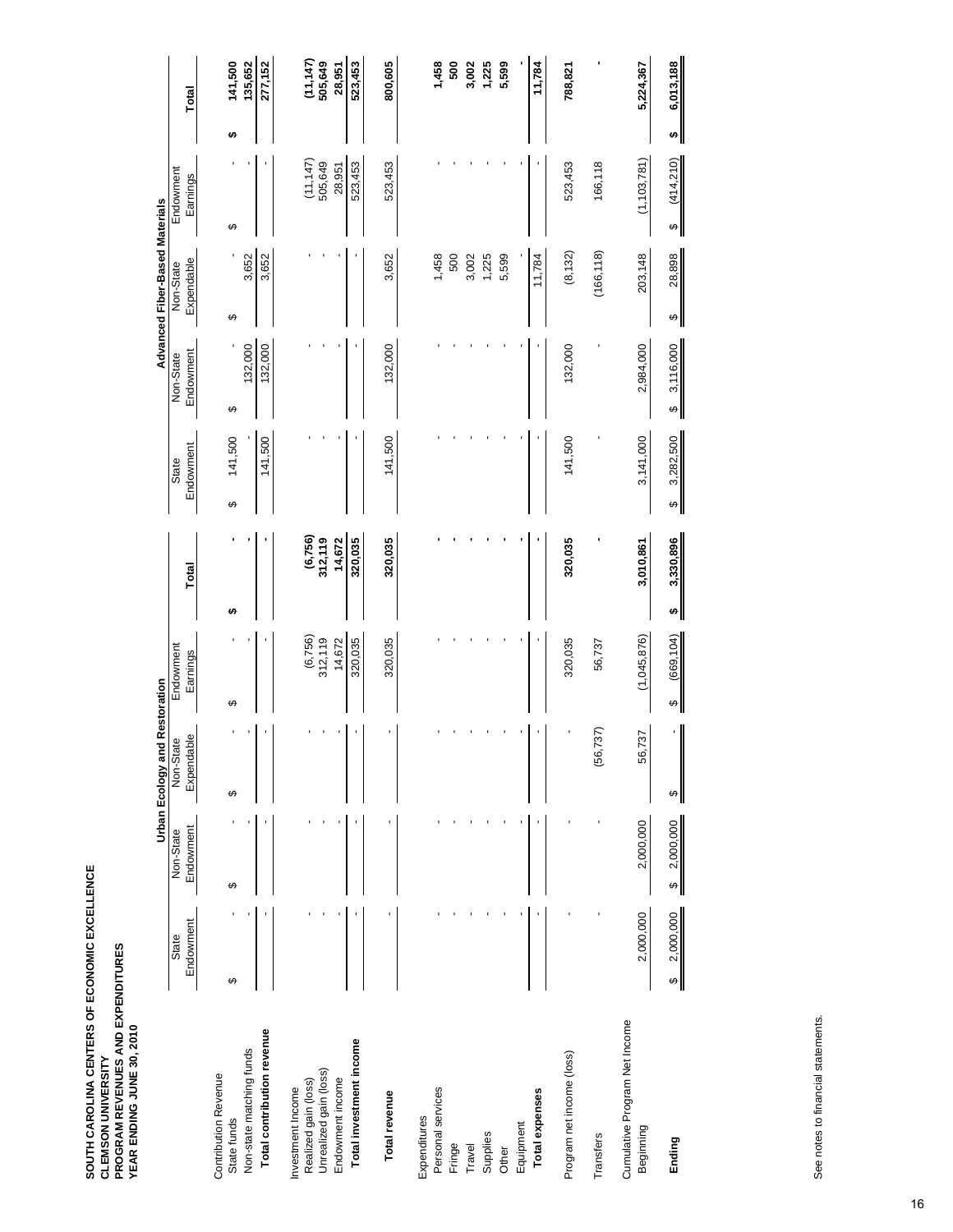|                                                |                 |                 | <b>Urban Ecology and Restoration</b> |                     |                     |                       |                | Advanced Fiber-Based Materials |                        |   |                        |
|------------------------------------------------|-----------------|-----------------|--------------------------------------|---------------------|---------------------|-----------------------|----------------|--------------------------------|------------------------|---|------------------------|
|                                                | State           | Non-State       | Non-State                            | Endowment           |                     | State                 | Non-State      | Non-State                      | Endowment              |   |                        |
|                                                | Endowment       | Endowment       | Expendable                           | Earnings            | Total               | Endowment             | Endowment      | Expendable                     | Earnings               |   | Total                  |
| <b>Contribution Revenue</b><br>State funds     | ↮               | ↮               | ↮                                    | ↮                   | ↮                   | 141,500<br>↮          | ക              | ↮                              | ↮                      | ↮ | 141,500                |
| Non-state matching funds                       |                 |                 |                                      |                     |                     |                       | 132,000        | 3,652                          |                        |   | 135,652                |
| Total contribution revenue                     |                 |                 |                                      |                     |                     | 141,500               | 132,000        | 3,652                          |                        |   | 277,152                |
| Investment Income                              |                 |                 |                                      |                     |                     |                       |                |                                |                        |   |                        |
| Unrealized gain (loss)<br>Realized gain (loss) |                 |                 |                                      | (6, 756)<br>312,119 | (6, 756)<br>312,119 |                       |                |                                | (11, 147)<br>505,649   |   | $(11, 147)$<br>505,649 |
| Endowment income                               |                 |                 |                                      | 14,672              | 14,672              |                       |                |                                | 28,951                 |   | 28,951                 |
| Total investment income                        |                 |                 |                                      | 320,035             | 320,035             |                       |                |                                | 523,453                |   | 523,453                |
| Total revenue                                  |                 |                 |                                      | 320,035             | 320,035             | 141,500               | 132,000        | 3,652                          | 523,453                |   | 800,605                |
| Expenditures                                   |                 |                 |                                      |                     |                     |                       |                |                                |                        |   |                        |
| Personal services                              |                 |                 |                                      |                     |                     |                       |                | 1,458                          |                        |   | 1,458                  |
| Fringe                                         |                 |                 |                                      |                     |                     |                       |                | 500                            |                        |   | 500                    |
| Travel                                         |                 |                 |                                      |                     |                     |                       |                | 3,002                          |                        |   | 3,002                  |
| Supplies                                       |                 |                 |                                      |                     |                     |                       |                | 1,225                          |                        |   | 1,225                  |
| Other                                          |                 |                 |                                      |                     |                     |                       |                | 5,599                          |                        |   | 5,599                  |
| Equipment                                      |                 |                 |                                      |                     |                     |                       |                |                                |                        |   |                        |
| Total expenses                                 |                 |                 |                                      |                     |                     |                       |                | 11,784                         |                        |   | 11,784                 |
| Program net income (loss)                      |                 |                 |                                      | 320,035             | 320,035             | 141,500               | 132,000        | (8, 132)                       | 523,453                |   | 788,821                |
| Transfers                                      |                 |                 | (56, 737)                            | 56,737              |                     |                       |                | (166, 118)                     | 166,118                |   |                        |
| Cumulative Program Net Income<br>Beginning     | 2,000,000       | 2,000,000       | 737<br>56,                           | (1,045,876)         | 3,010,861           | 3,141,000             | 2,984,000      | 203,148                        | (1, 103, 781)          |   | 5,224,367              |
| Ending                                         | 2,000,000<br>မာ | 2,000,000<br>မာ | ↮                                    | (669, 104)<br>↮     | 3,330,896<br>↔      | 3,282,500<br>$\theta$ | 3,116,000<br>Ø | 28,898<br>↔                    | (414, 210)<br>$\theta$ | ÷ | 6,013,188              |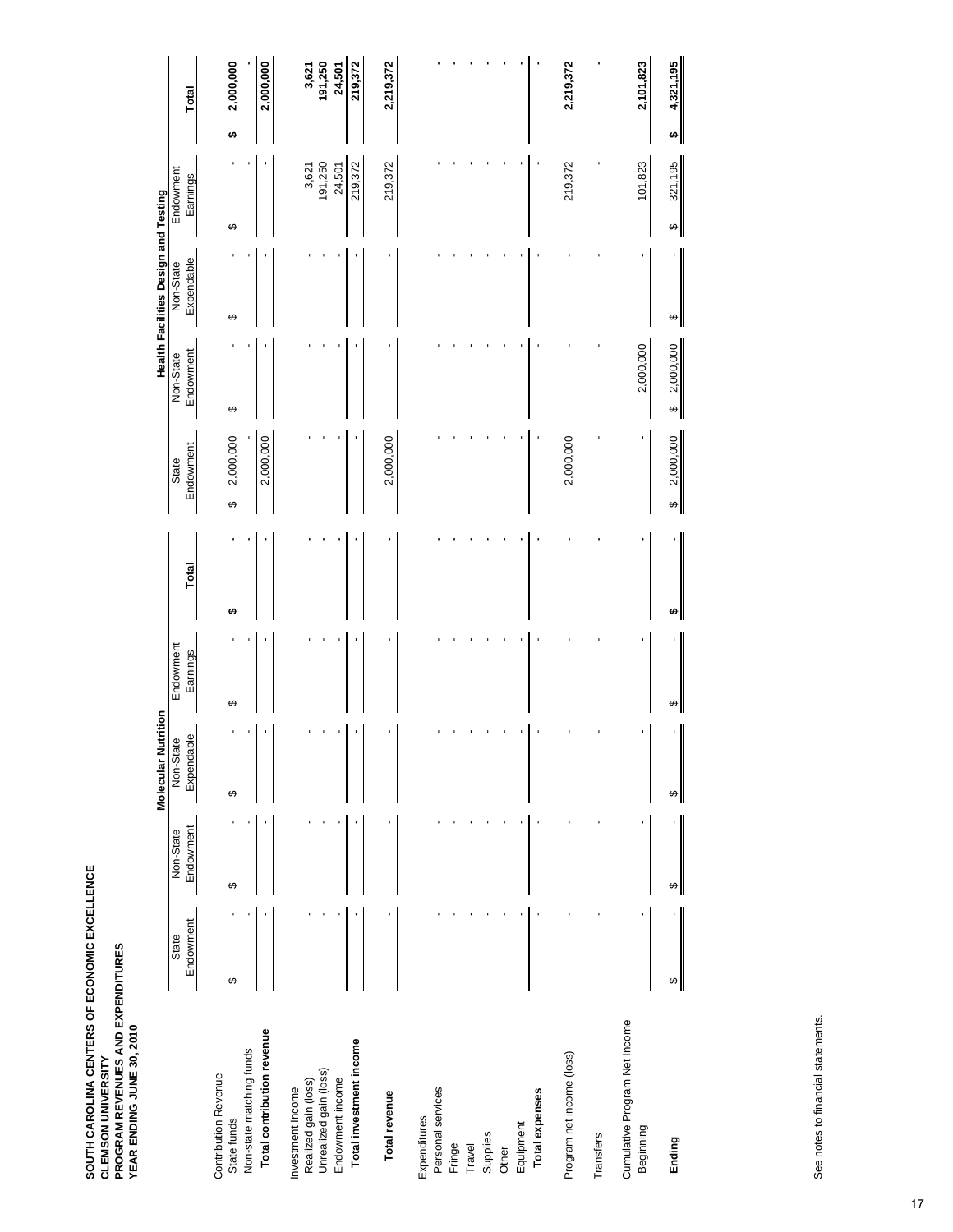|                                                                     |           |           | Molecular Nutrition |           |       |                                |                                | Health Facilities Design and Testing |                  |                  |
|---------------------------------------------------------------------|-----------|-----------|---------------------|-----------|-------|--------------------------------|--------------------------------|--------------------------------------|------------------|------------------|
|                                                                     | State     | Non-State | Non-State           | Endowment |       | State                          | Non-State                      | Non-State                            | Endowment        |                  |
|                                                                     | Endowment | Endowment | Expendable          | Earnings  | Total | Endowment                      | Endowment                      | Expendable                           | Earnings         | Total            |
| <b>Contribution Revenue</b><br>State funds                          | ↮         | ↮         | ↮                   | ↮         | ↮     | 2,000,000<br>↔                 | ↮                              | ↮                                    | ↮                | 2,000,000<br>Ģ   |
| Total contribution revenue<br>Non-state matching funds              |           |           |                     |           |       | 2,000,000                      |                                |                                      |                  | 2,000,000        |
| Unrealized gain (loss)<br>Realized gain (loss)<br>Investment Income |           |           |                     |           |       |                                |                                |                                      | 3,621<br>191,250 | 191,250<br>3,621 |
| Endowment income                                                    |           |           |                     |           |       |                                |                                |                                      | 24,501           | 24,501           |
| Total investment income                                             |           |           |                     |           |       |                                |                                |                                      | 219,372          | 219,372          |
| Total revenue                                                       |           |           |                     |           |       | 2,000,000                      |                                |                                      | 219,372          | 2,219,372        |
| Expenditures                                                        |           |           |                     |           |       |                                |                                |                                      |                  |                  |
| Personal services                                                   |           |           |                     |           |       |                                |                                |                                      |                  |                  |
| Fringe                                                              |           |           |                     |           |       |                                |                                |                                      |                  |                  |
| Travel                                                              |           |           |                     |           |       |                                |                                |                                      |                  |                  |
| Supplies                                                            |           |           |                     |           |       |                                |                                |                                      |                  |                  |
| Other                                                               |           |           |                     |           |       |                                |                                |                                      |                  |                  |
| Equipment                                                           |           |           |                     |           |       |                                |                                |                                      |                  |                  |
| Total expenses                                                      |           |           |                     |           |       |                                |                                |                                      |                  |                  |
| Program net income (loss)                                           |           |           |                     |           |       | 2,000,000                      |                                |                                      | 219,372          | 2,219,372        |
| Transfers                                                           |           |           |                     |           |       |                                |                                |                                      |                  |                  |
| Cumulative Program Net Income<br>Beginning                          |           |           |                     |           |       |                                | 2,000,000                      |                                      | 101,823          | 2,101,823        |
| Ending                                                              | ↮         | ↮         | ↮                   | ↮         | ω,    | 2,000,000<br>$\leftrightarrow$ | 2,000,000<br>$\leftrightarrow$ | ↮                                    | 321,195<br>↮     | 4,321,195<br>↮   |

See notes to financial statements. See notes to financial statements.

∥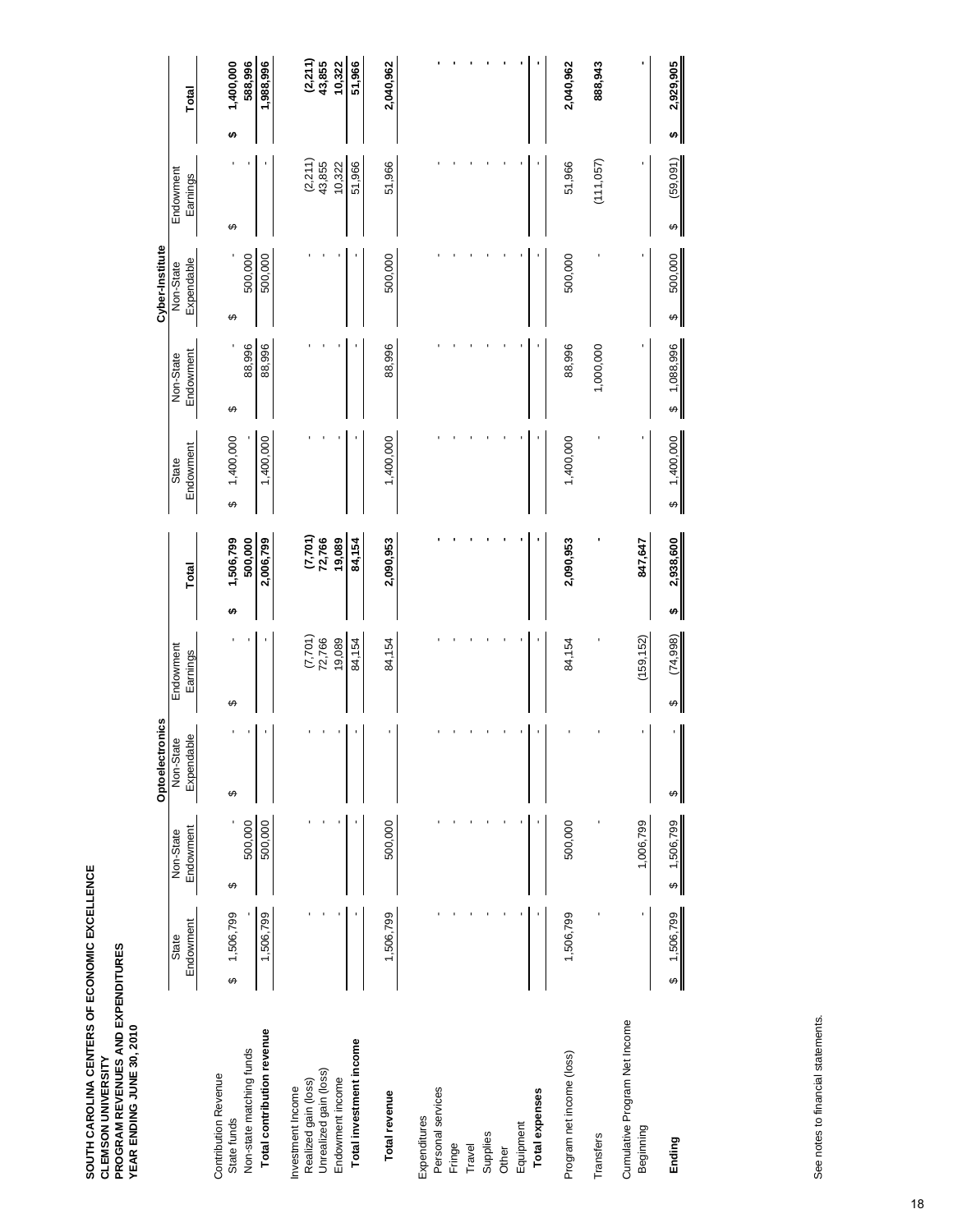|                                            |                                       |                        | Optoelectronics         |                       |       |                       |                                |                        | Cyber-Institute         |                       |   |                     |
|--------------------------------------------|---------------------------------------|------------------------|-------------------------|-----------------------|-------|-----------------------|--------------------------------|------------------------|-------------------------|-----------------------|---|---------------------|
|                                            | Endowment<br>State                    | Endowment<br>Non-State | Expendable<br>Non-State | Endowment<br>Earnings | Total |                       | Endowment<br>State             | Endowment<br>Non-State | Expendable<br>Non-State | Endowment<br>Earnings |   | Total               |
| <b>Contribution Revenue</b><br>State funds | 1,506,799<br>↮                        | ↮                      | ↮                       | ↮                     | မာ    | ↮<br>1,506,799        | 1,400,000                      | ↔                      | ↮                       | ↔                     | ↮ | 1,400,000           |
| Non-state matching funds                   |                                       | 500,000                |                         |                       |       | 500,000               |                                | 88,996                 | 500,000                 |                       |   | 588,996             |
| Total contribution revenue                 | 1,506,799                             | 500,000                |                         |                       |       | 2,006,799             | 1,400,000                      | 88,996                 | 500,000                 |                       |   | 1,988,996           |
| Realized gain (loss)<br>Investment Income  |                                       |                        |                         | (7,701)               |       |                       |                                |                        |                         |                       |   |                     |
| Unrealized gain (loss)                     |                                       |                        |                         | 72,766                |       | $(7,701)$<br>$72,766$ |                                |                        |                         | $(2,211)$<br>43,855   |   | $(2,211)$<br>43,855 |
| Endowment income                           |                                       |                        |                         | 19,089                |       | 19,089                |                                |                        |                         | 10,322                |   | 10,322              |
| Total investment income                    |                                       |                        |                         | 84,154                |       | 84,154                |                                |                        |                         | 51,966                |   | 51,966              |
| Total revenue                              | 1,506,799                             | 500,000                |                         | 84,154                |       | 2,090,953             | 1,400,000                      | 88,996                 | 500,000                 | 51,966                |   | 2,040,962           |
| Personal services<br>Expenditures          |                                       |                        |                         |                       |       |                       |                                |                        |                         |                       |   |                     |
| Fringe                                     |                                       |                        |                         |                       |       |                       |                                |                        |                         |                       |   |                     |
| Travel                                     |                                       |                        |                         |                       |       |                       |                                |                        |                         |                       |   |                     |
| Supplies                                   |                                       |                        |                         |                       |       |                       |                                |                        |                         |                       |   |                     |
| Other                                      |                                       |                        |                         |                       |       |                       |                                |                        |                         |                       |   |                     |
| Equipment                                  |                                       |                        |                         |                       |       |                       |                                |                        |                         |                       |   |                     |
| Total expenses                             |                                       |                        |                         |                       |       |                       |                                |                        |                         |                       |   |                     |
| Program net income (loss)                  | 1,506,799                             | 500,000                |                         | 84,154                |       | 2,090,953             | 1,400,000                      | 88,996                 | 500,000                 | 51,966                |   | 2,040,962           |
| Transfers                                  |                                       |                        |                         |                       |       |                       |                                | 1,000,000              |                         | (111, 057)            |   | 888,943             |
| Cumulative Program Net Income<br>Beginning |                                       | 1,006,799              |                         | (159, 152)            |       | 847,647               |                                |                        |                         |                       |   |                     |
| Ending                                     | 1,506,799<br>$\overline{\mathcal{F}}$ | \$1,506,799            | $\qquad \qquad \varphi$ | (74, 998)<br>↔        | H)    | 2,938,600             | 1,400,000<br>$\leftrightarrow$ | 1,088,996<br>↔         | 500,000<br>↮            | (59, 091)<br>↔        | ↮ | 2,929,905           |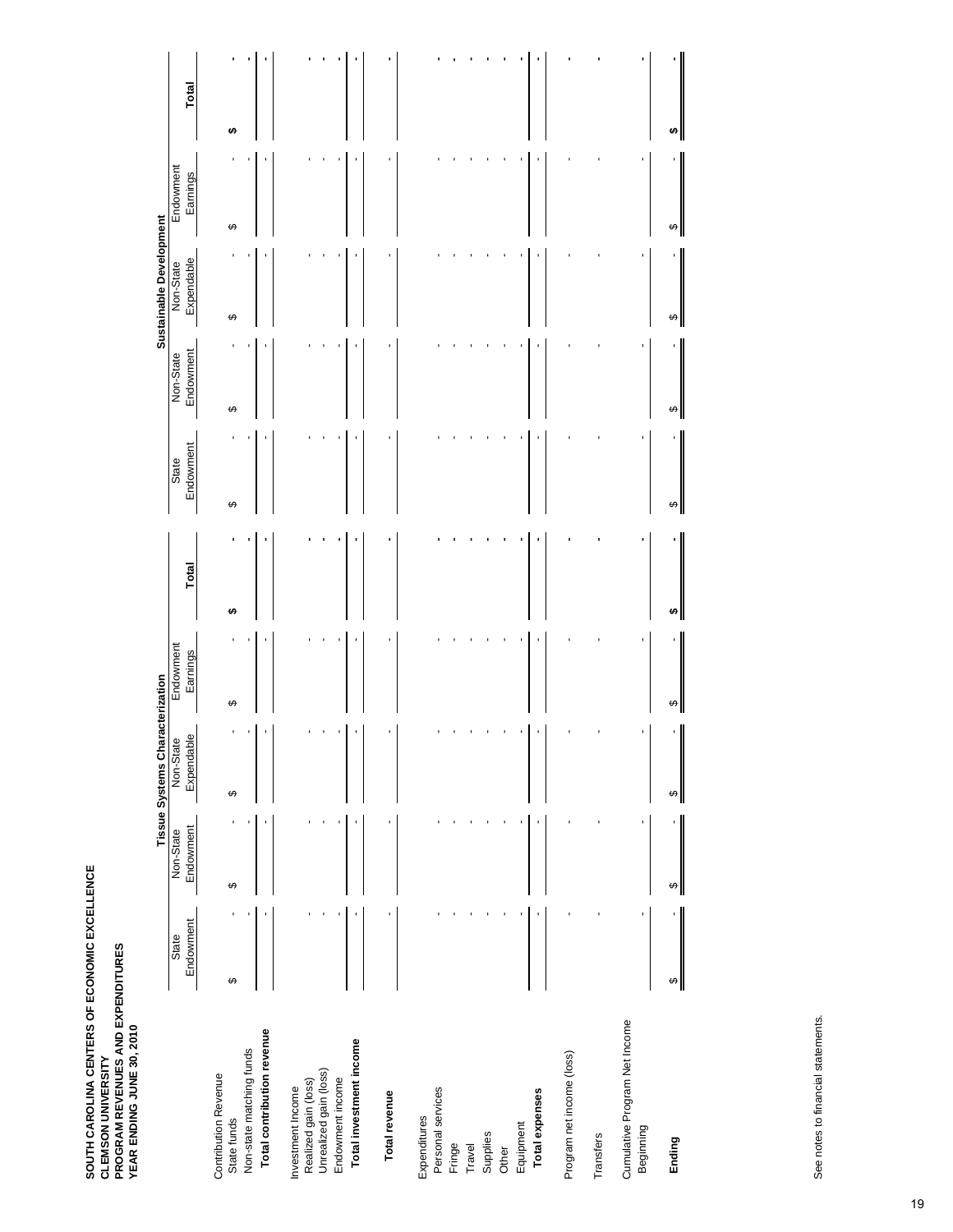|                                                |           |           | Tissue Systems Characterization |           |       |           |           | Sustainable Development |           |       |
|------------------------------------------------|-----------|-----------|---------------------------------|-----------|-------|-----------|-----------|-------------------------|-----------|-------|
|                                                | State     | Non-State | Non-State                       | Endowment |       | State     | Non-State | Non-State               | Endowment |       |
|                                                | Endowment | Endowment | Expendable                      | Earnings  | Total | Endowment | Endowment | Expendable              | Earnings  | Total |
| <b>Contribution Revenue</b><br>State funds     | ↮         | ↮         | ↮                               | ↮         | s,    | ↮         | ↮         | ↮                       | ↮         | ↮     |
| Non-state matching funds                       |           |           |                                 |           |       |           |           |                         |           |       |
| Total contribution revenue                     |           |           |                                 |           |       |           |           |                         |           |       |
| Investment Income                              |           |           |                                 |           |       |           |           |                         |           |       |
| Unrealized gain (loss)<br>Realized gain (loss) |           |           |                                 |           |       |           |           |                         |           |       |
| Endowment income                               |           |           |                                 |           |       |           |           |                         |           |       |
| Total investment income                        |           |           |                                 |           |       |           |           |                         |           |       |
| Total revenue                                  |           |           |                                 |           |       |           |           |                         |           |       |
| Expenditures                                   |           |           |                                 |           |       |           |           |                         |           |       |
| Personal services                              |           |           |                                 |           |       |           |           |                         |           |       |
| Fringe                                         |           |           |                                 |           |       |           |           |                         |           |       |
| Travel                                         |           |           |                                 |           |       |           |           |                         |           |       |
| Supplies                                       |           |           |                                 |           |       |           |           |                         |           |       |
| Other                                          |           |           |                                 |           |       |           |           |                         |           |       |
| Equipment                                      |           |           |                                 |           |       |           |           |                         |           |       |
| Total expenses                                 |           |           |                                 |           |       |           |           |                         |           |       |
| Program net income (loss)                      |           |           |                                 |           |       |           |           |                         |           |       |
| Transfers                                      |           |           |                                 |           |       |           |           |                         |           |       |
| Cumulative Program Net Income<br>Beginning     |           |           |                                 |           |       |           |           |                         |           |       |
| Ending                                         | ↮         | ↮         | ↔                               |           |       | ↮         | ↔         | ↮                       | မာ        |       |

See notes to financial statements. See notes to financial statements.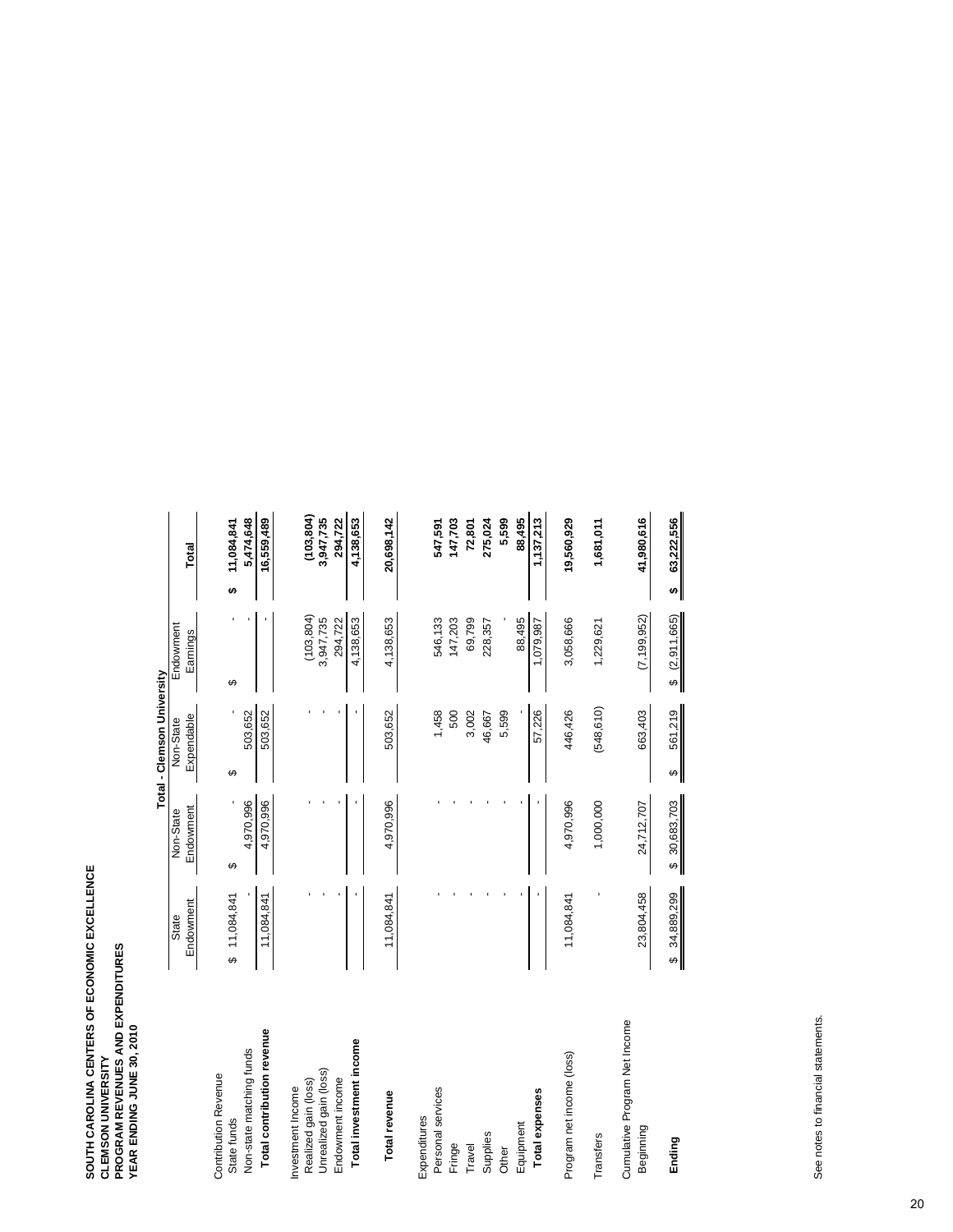|                                            |                    |                        | Total - Clemson University |                         |                         |
|--------------------------------------------|--------------------|------------------------|----------------------------|-------------------------|-------------------------|
|                                            | Endowment<br>State | Endowment<br>Non-State | Expendable<br>Non-State    | Endowment<br>Earnings   | Total                   |
| <b>Contribution Revenue</b><br>State funds | \$11,084,841       | မာ                     | ↔                          | ↔                       | 11,084,841<br>မာ        |
| Non-state matching funds                   |                    | 4,970,996              | 503,652                    |                         | 5,474,648               |
| Total contribution revenue                 | 11,084,841         | 4,970,996              | 503,652                    |                         | 16,559,489              |
| Investment Income                          |                    |                        |                            |                         |                         |
| Realized gain (loss)                       |                    |                        |                            | (103, 804)              | (103, 804)              |
| Unrealized gain (loss)                     |                    |                        |                            | 3,947,735               | 3,947,735               |
| Endowment income                           |                    |                        |                            | 294,722                 | 294,722                 |
| Total investment income                    |                    |                        |                            | 4,138,653               | 4,138,653               |
| Total revenue                              | 11,084,841         | 4,970,996              | 503,652                    | 4,138,653               | 20,698,142              |
| Expenditures                               |                    |                        |                            |                         |                         |
| Personal services                          |                    |                        | 1,458                      | 546,133                 | 547,591                 |
| Fringe                                     |                    |                        | 500                        | 147,203                 | 147,703                 |
| Travel                                     |                    |                        | 3,002                      | 69,799                  | 72,801                  |
| Supplies                                   |                    |                        | 46,667                     | 228,357                 | 275,024                 |
| Other                                      |                    |                        | 5,599                      |                         | 5,599                   |
| Equipment                                  |                    |                        |                            | 88,495                  | 88,495                  |
| Total expenses                             |                    |                        | 57,226                     | 1,079,987               | 1,137,213               |
| Program net income (loss)                  | 11,084,841         | 4,970,996              | 446,426                    | 3,058,666               | 19,560,929              |
| Transfers                                  |                    | 1,000,000              | (548, 610)                 | 1,229,621               | 1,681,011               |
| Cumulative Program Net Income<br>Beginning | 23,804,458         | 24,712,707             | 663,403                    | (7, 199, 952)           | 41,980,616              |
| Ending                                     | \$34,889,299       | \$30,683,703           | 561,219<br>မျ              | (2,911,665)<br>$\Theta$ | 63,222,556<br>$\bullet$ |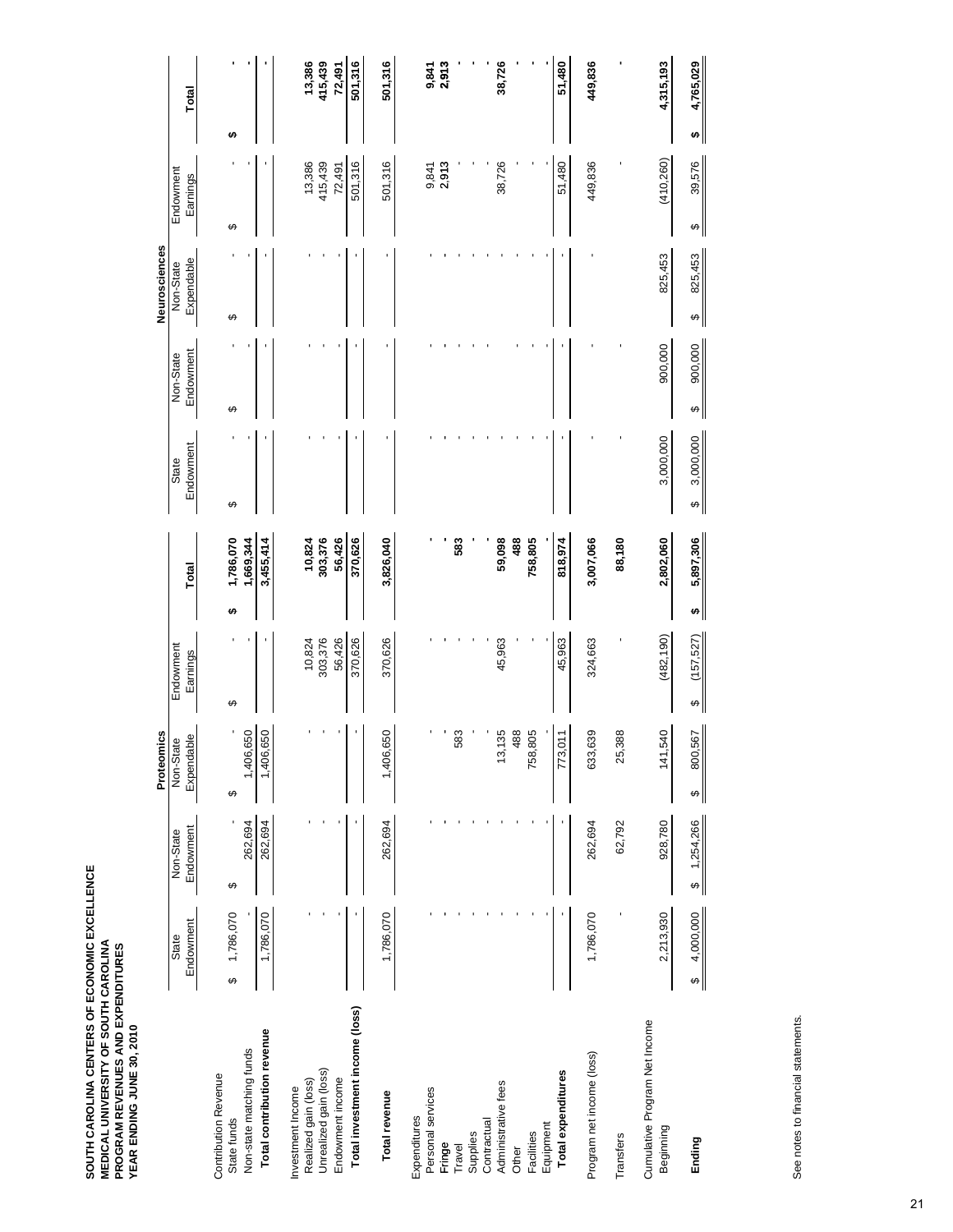|                                            |                       |                       | Proteomics                         |                                 |                  |                                    |                              | Neurosciences                     |                                  |                  |
|--------------------------------------------|-----------------------|-----------------------|------------------------------------|---------------------------------|------------------|------------------------------------|------------------------------|-----------------------------------|----------------------------------|------------------|
|                                            | State                 | Non-State             | Non-State                          | Endowment                       |                  | State                              | Non-State                    | Non-State                         | Endowment                        |                  |
|                                            | Endowment             | Endowment             | Expendable                         | Earnings                        | Total            | Endowment                          | Endowment                    | Expendable                        | Earnings                         | Total            |
| <b>Contribution Revenue</b>                |                       |                       |                                    |                                 |                  |                                    |                              |                                   |                                  |                  |
| State funds                                | 1,786,070<br>↔        | ↮                     | ı<br>↮                             | ↮                               | 1,786,070<br>₩   | ↔                                  | ↔                            | ↮                                 | ↔                                | ₩                |
| Non-state matching funds                   |                       | 262,694               | 1,406,650                          |                                 | 1,669,344        |                                    |                              |                                   |                                  |                  |
| Total contribution revenue                 | 1,786,070             | 262,694               | 1,406,650                          |                                 | 3,455,414        |                                    |                              |                                   |                                  |                  |
| Realized gain (loss)<br>Investment Income  |                       |                       |                                    | 10,824                          | 10,824           |                                    |                              |                                   | 13,386                           | 13,386           |
| Unrealized gain (loss)                     |                       |                       |                                    | 303,376                         | 303,376          |                                    |                              |                                   | 415,439                          | 415,439          |
| Endowment income                           |                       |                       |                                    | 56,426                          | 56,426           |                                    |                              |                                   | 72,491                           | 72,491           |
| Total investment income (loss)             |                       |                       |                                    | 370,626                         | 370,626          |                                    |                              |                                   | 501,316                          | 501,316          |
| Total revenue                              | 1,786,070             | 262,694               | 1,406,650                          | 370,626                         | 3,826,040        |                                    |                              |                                   | 501,316                          | 501,316          |
| Personal services<br>Expenditures          |                       |                       |                                    |                                 |                  |                                    |                              |                                   | 9,841                            | 9,841            |
| Fringe                                     |                       |                       |                                    |                                 |                  |                                    |                              |                                   | 2,913                            | 2,913            |
| Travel                                     |                       |                       | 583                                |                                 | 583              |                                    |                              |                                   |                                  |                  |
| Supplies                                   |                       |                       |                                    |                                 |                  |                                    |                              |                                   |                                  |                  |
| Contractual                                |                       |                       |                                    |                                 |                  |                                    |                              |                                   |                                  |                  |
| Administrative fees                        |                       |                       | 13,135                             | 45,963                          | 59,098           |                                    |                              |                                   | 38,726                           | 38,726           |
| Other                                      |                       |                       | 488                                |                                 | 488              |                                    |                              |                                   |                                  |                  |
| Equipment<br>Facilities                    |                       |                       | 758,805                            |                                 | 758,805          |                                    |                              |                                   |                                  |                  |
| Total expenditures                         |                       |                       | $\overline{21}$<br>773, C          | 45,963                          | 818,974          |                                    |                              |                                   | 51,480                           | 51,480           |
| Program net income (loss)                  | 1,786,070             | 262,694               | 39<br>633,6                        | 324,663                         | 3,007,066        |                                    |                              |                                   | 449,836                          | 449,836          |
| Transfers                                  |                       | 62,792                | 25,388                             |                                 | 88,180           |                                    |                              |                                   |                                  |                  |
| Cumulative Program Net Income<br>Beginning | 2,213,930             | 928,780               | 141,540                            | (482, 190)                      | 2,802,060        | 3,000,000                          | 900,000                      | 825,453                           | (410, 260)                       | 4,315,193        |
| Ending                                     | 4,000,000<br>$\Theta$ | 1,254,266<br>$\Theta$ | 800,567<br>$\qquad \qquad \bullet$ | (157, 527)<br>$\leftrightarrow$ | 5,897,306<br>ิ⇔∥ | 3,000,000<br>$\boldsymbol{\omega}$ | 900,000<br>$\leftrightarrow$ | 825,453<br>$\boldsymbol{\varphi}$ | 39,576<br>$\boldsymbol{\varphi}$ | 4,765,029<br>ิ∞∥ |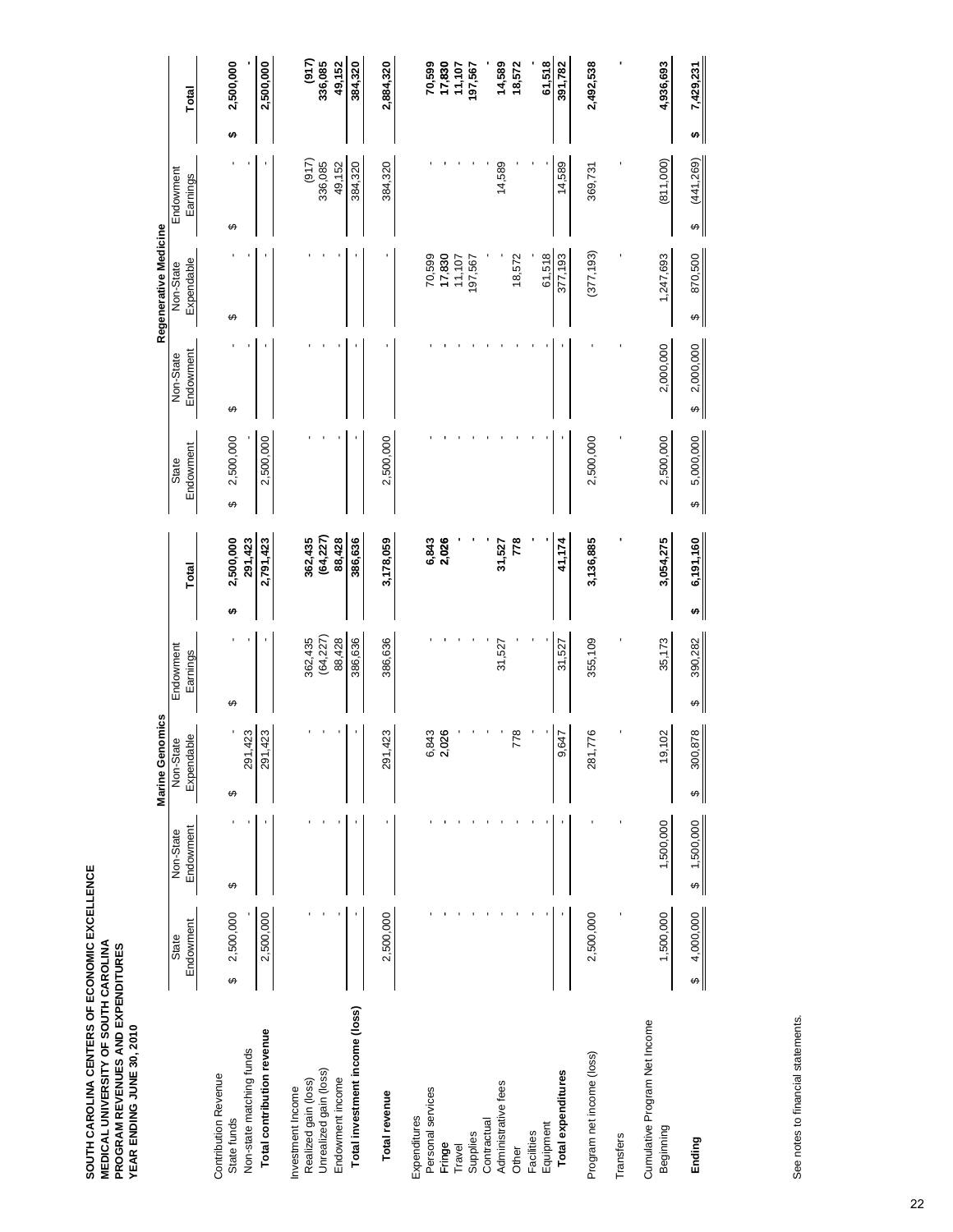|                                            |                |             | <b>Marine Genomics</b> |              |   |                |                |                 | Regenerative Medicine |                 |   |                  |
|--------------------------------------------|----------------|-------------|------------------------|--------------|---|----------------|----------------|-----------------|-----------------------|-----------------|---|------------------|
|                                            | State          | Non-State   | Non-State              | Endowment    |   |                | State          | Non-State       | Non-State             | Endowment       |   |                  |
|                                            | Endowment      | Endowment   | Expendable             | Earnings     |   | Total          | Endowment      | Endowment       | Expendable            | Earnings        |   | Total            |
| <b>Contribution Revenue</b><br>State funds | 2,500,000<br>↮ | ↮           | ↮                      | ↮            | ↮ | 2,500,000      | 2,500,000<br>↮ | ↮               | ↮                     | ↮               | ↮ | 2,500,000        |
| Non-state matching funds                   |                |             | 423<br>291.            |              |   | 291,423        |                |                 |                       |                 |   |                  |
| Total contribution revenue                 | 2,500,000      |             | ,423<br>291            |              |   | 2,791,423      | 2,500,000      |                 |                       |                 |   | 2,500,000        |
| Realized gain (loss)<br>Investment Income  |                |             |                        | 362,435      |   | 362,435        |                |                 |                       | (917)           |   | (917)            |
| Unrealized gain (loss)                     |                |             |                        | (64, 227)    |   | (64, 227)      |                |                 |                       | 336,085         |   | 336,085          |
| Endowment income                           |                |             |                        | 88,428       |   | 88,428         |                |                 |                       | 49,152          |   | 49,152           |
| Total investment income (loss)             |                |             |                        | 386,636      |   | 386,636        |                |                 |                       | 384,320         |   | 384,320          |
| Total revenue                              | 2,500,000      |             | 423<br>291             | 386,636      |   | 3,178,059      | 2,500,000      |                 |                       | 384,320         |   | 2,884,320        |
| Personal services<br>Expenditures          |                |             | 843<br>ن آن            |              |   | 6,843<br>2,026 |                |                 | 70,599                |                 |   | 70,599           |
| Fringe                                     |                |             | 026                    |              |   |                |                |                 | 17,830                |                 |   | 17,830<br>11,107 |
| Supplies<br>Travel                         |                |             |                        |              |   |                |                |                 | 11,107<br>197,567     |                 |   | 197,567          |
| Contractual                                |                |             |                        | 31,527       |   | 31,527         |                |                 |                       |                 |   | 14,589           |
| Administrative fees<br>Other               |                |             | 778                    |              |   | 778            |                |                 | 18,572                | 14,589          |   | 18,572           |
| Facilities                                 |                |             |                        |              |   |                |                |                 |                       |                 |   |                  |
| Equipment                                  |                |             |                        |              |   |                |                |                 | 61,518                |                 |   | 61,518           |
| Total expenditures                         |                |             | 647<br>တံ              | 31,527       |   | 41,174         |                |                 | 377,193               | 14,589          |   | 391,782          |
| Program net income (loss)                  | 2,500,000      |             | 776<br>281,            | 355,109      |   | 3,136,885      | 2,500,000      |                 | (377, 193)            | 369,731         |   | 2,492,538        |
| Transfers                                  |                |             |                        |              |   |                |                |                 |                       |                 |   |                  |
| Cumulative Program Net Income<br>Beginning | 1,500,000      | 1,500,000   | 19,102                 | 35,173       |   | 3,054,275      | 2,500,000      | 2,000,000       | 1,247,693             | (811,000)       |   | 4,936,693        |
| Ending                                     | 4,000,000<br>↮ | \$1,500,000 | 300,878<br>↮           | 390,282<br>↮ | ↮ | 6,191,160      | 5,000,000<br>↮ | 2,000,000<br>မာ | 870,500<br>↮          | (441, 269)<br>↔ | ↮ | 7,429,231        |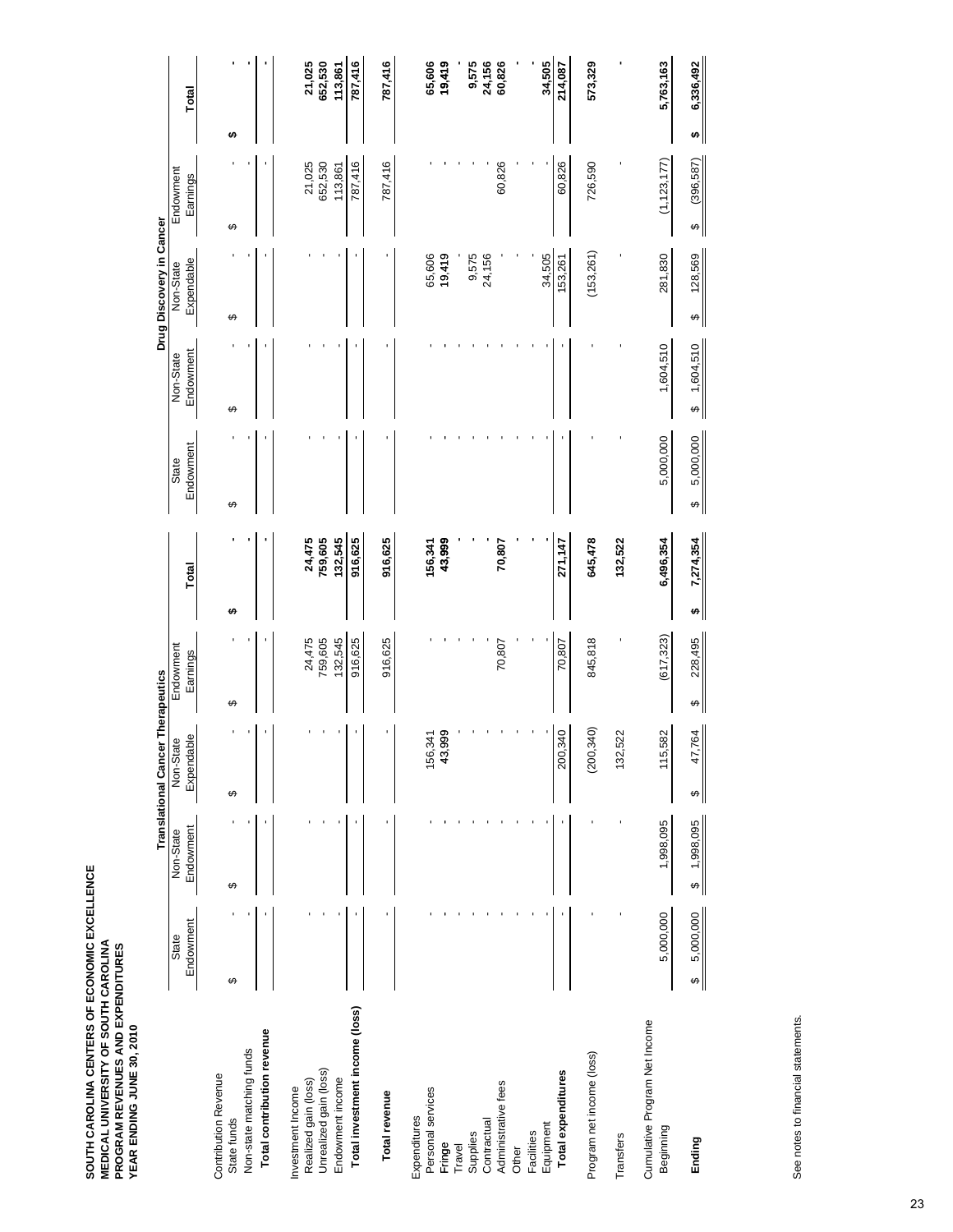|                                            |                |                | <b>Translational Cancer Therapeutics</b> |   |            |                |                |                | Drug Discovery in Cancer |                 |                |
|--------------------------------------------|----------------|----------------|------------------------------------------|---|------------|----------------|----------------|----------------|--------------------------|-----------------|----------------|
|                                            | State          | Non-State      | Non-State                                |   | Endowment  |                | State          | Non-State      | Non-State                | Endowment       |                |
|                                            | Endowment      | Endowment      | Expendable                               |   | Earnings   | Total          | Endowment      | Endowment      | Expendable               | Earnings        | Total          |
| <b>Contribution Revenue</b>                |                |                |                                          |   |            |                |                |                |                          |                 |                |
| State funds                                | ↮              | ↮              | ↮                                        | ↮ |            | ↮              | ↮              | ↮              | ↔                        | ↮               | ₩              |
| Non-state matching funds                   |                |                |                                          |   |            |                |                |                |                          |                 |                |
| Total contribution revenue                 |                |                |                                          |   |            |                |                |                |                          |                 |                |
| Investment Income                          |                |                |                                          |   |            |                |                |                |                          |                 |                |
| Realized gain (loss)                       |                |                |                                          |   | 24,475     | 24,475         |                |                |                          | 21,025          | 21,025         |
| Unrealized gain (loss)                     |                |                |                                          |   | 759,605    | 759,605        |                |                |                          | 652,530         | 652,530        |
| Endowment income                           |                |                |                                          |   | 132,545    | 132,545        |                |                |                          | 113,861         | 113,861        |
| Total investment income (loss)             |                |                |                                          |   | 916,625    | 916,625        |                |                |                          | 787,416         | 787,416        |
| Total revenue                              |                |                |                                          |   | 916,625    | 916,625        |                |                |                          | 787,416         | 787,416        |
| Expenditures                               |                |                |                                          |   |            |                |                |                |                          |                 |                |
| Personal services                          |                |                | 156,341                                  |   |            | 156,341        |                |                | 65,606                   |                 | 65,606         |
| Fringe                                     |                |                | 43,999                                   |   |            | 43,999         |                |                | 19,419                   |                 | 19,419         |
| Travel                                     |                |                |                                          |   |            |                |                |                |                          |                 |                |
| Supplies                                   |                |                |                                          |   |            |                |                |                | 9,575                    |                 | 9,575          |
| Contractual                                |                |                |                                          |   |            |                |                |                | 24,156                   |                 | 24,156         |
| Administrative fees                        |                |                |                                          |   | 70,807     | 70,807         |                |                |                          | 60,826          | 60,826         |
| Other                                      |                |                |                                          |   |            |                |                |                |                          |                 |                |
| Facilities                                 |                |                |                                          |   |            |                |                |                |                          |                 |                |
| Equipment                                  |                |                |                                          |   |            |                |                |                | 34,505                   |                 | 34,505         |
| Total expenditures                         |                |                | 200,340                                  |   | 70,807     | 271,147        |                |                | 153,261                  | 60,826          | 214,087        |
| Program net income (loss)                  |                |                | (200, 340)                               |   | 845,818    | 645,478        |                |                | (153, 261)               | 726,590         | 573,329        |
| Transfers                                  |                |                | 132,522                                  |   |            | 132,522        |                |                |                          |                 |                |
| Cumulative Program Net Income<br>Beginning | 5,000,000      | 1,998,095      | 115,582                                  |   | (617, 323) | 6,496,354      | 5,000,000      | 1,604,510      | 281,830                  | (1, 123, 177)   | 5,763,163      |
| Ending                                     | 5,000,000<br>↮ | 1,998,095<br>↮ | 47,764<br>↮                              | ↔ | 228,495    | 7,274,354<br>↮ | 5,000,000<br>↮ | 1,604,510<br>↮ | 128,569<br>↮             | (396, 587)<br>↮ | 6,336,492<br>↮ |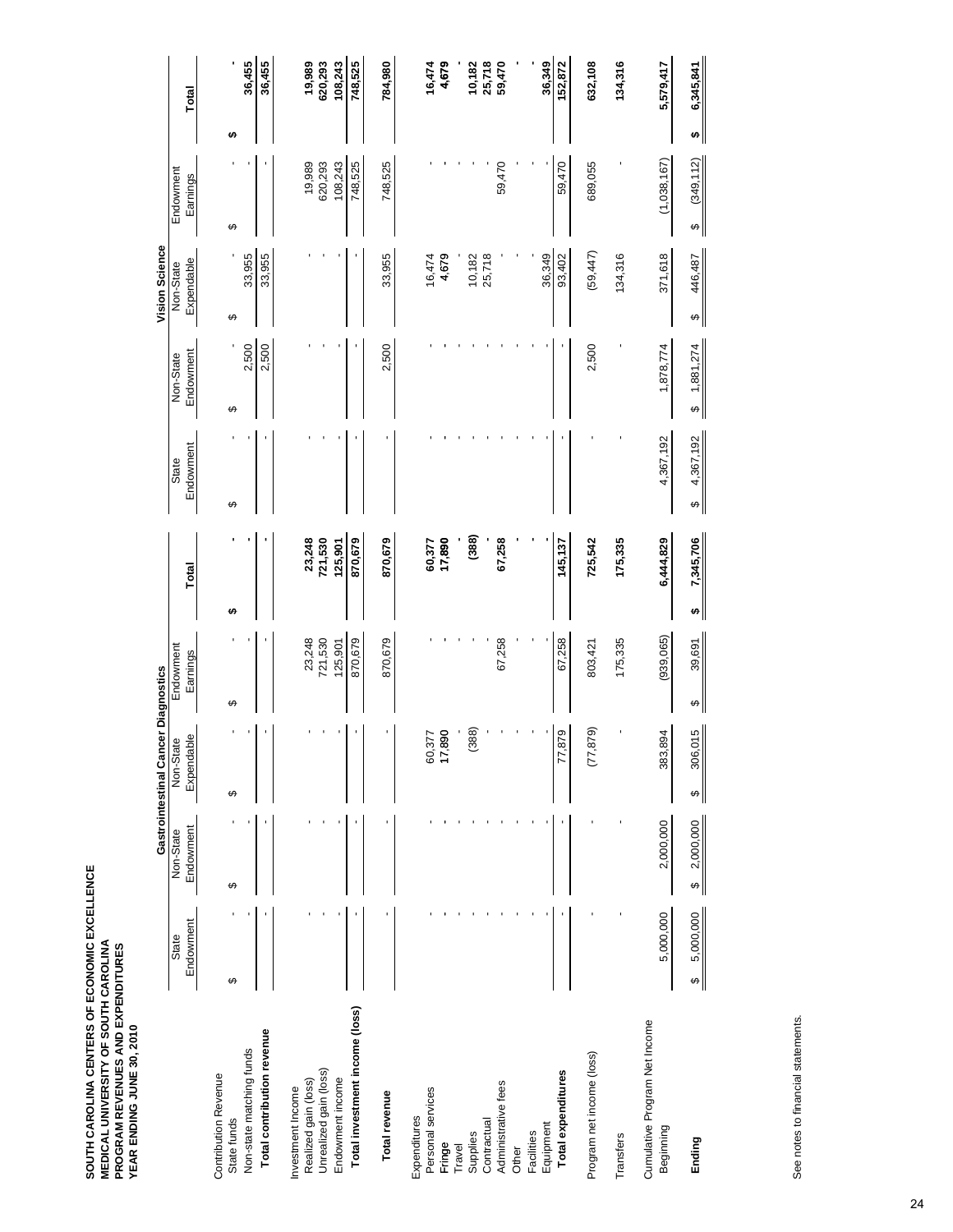|                                            |                |                                    | Gastrointestinal Cancer Diagnostics |             |                |                |                                     | Vision Science |                 |                |
|--------------------------------------------|----------------|------------------------------------|-------------------------------------|-------------|----------------|----------------|-------------------------------------|----------------|-----------------|----------------|
|                                            | State          | Non-State                          | Non-State                           | Endowment   |                | State          | Non-State                           | Non-State      | Endowment       |                |
|                                            | Endowment      | Endowment                          | Expendable                          | Earnings    | Total          | Endowment      | Endowment                           | Expendable     | Earnings        | Total          |
| <b>Contribution Revenue</b>                |                |                                    |                                     |             |                |                |                                     |                |                 |                |
| State funds                                | ↮              | ↮                                  | ↮                                   | ↮           | ↮              | ↮              | ↮                                   | ↔              | ↮               | ↮              |
| Non-state matching funds                   |                |                                    |                                     |             |                |                | 2,500                               | 33,955         |                 | 36,455         |
| Total contribution revenue                 |                |                                    |                                     |             |                |                | 2,500                               | 33,955         |                 | 36,455         |
| Investment Income                          |                |                                    |                                     |             |                |                |                                     |                |                 |                |
| Realized gain (loss)                       |                |                                    |                                     | 23,248      | 23,248         |                |                                     |                | 19,989          | 19,989         |
| Unrealized gain (loss)                     |                |                                    |                                     | 721,530     | 721,530        |                |                                     |                | 620,293         | 620,293        |
| Endowment income                           |                |                                    |                                     | 125,901     | 125,901        |                |                                     |                | 108,243         | 108,243        |
| Total investment income (loss)             |                |                                    |                                     | 870,679     | 870,679        |                |                                     |                | 748,525         | 748,525        |
| Total revenue                              |                |                                    |                                     | 870,679     | 870,679        |                | 2,500                               | 33,955         | 748,525         | 784,980        |
| Expenditures                               |                |                                    |                                     |             |                |                |                                     |                |                 |                |
| Personal services                          |                |                                    | 60,377                              |             | 60,377         |                |                                     | 16,474         |                 | 16,474         |
| Fringe                                     |                |                                    | 17,890                              |             | 17,890         |                |                                     | 4,679          |                 | 4,679          |
| Travel                                     |                |                                    |                                     |             |                |                |                                     |                |                 |                |
| Supplies                                   |                |                                    | (388)                               |             | (388)          |                |                                     | 10,182         |                 | 10,182         |
| Contractual                                |                |                                    |                                     |             |                |                |                                     | 25,718         |                 | 25,718         |
| Administrative fees                        |                |                                    |                                     | 67,258      | 67,258         |                |                                     |                | 59,470          | 59,470         |
| Other                                      |                |                                    |                                     |             |                |                |                                     |                |                 |                |
| Facilities                                 |                |                                    |                                     |             |                |                |                                     |                |                 |                |
| Equipment                                  |                |                                    |                                     |             |                |                |                                     | 36,349         |                 | 36,349         |
| Total expenditures                         |                |                                    | 77,879                              | 67,258      | 145,137        |                |                                     | 93,402         | 59,470          | 152,872        |
| Program net income (loss)                  |                |                                    | (77, 879)                           | 803,421     | 725,542        |                | 2,500                               | (59, 447)      | 689,055         | 632,108        |
| Transfers                                  |                |                                    |                                     | 175,335     | 175,335        |                |                                     | 134,316        |                 | 134,316        |
| Cumulative Program Net Income<br>Beginning | 5,000,000      | 2,000,000                          | 383,894                             | (939,065)   | 6,444,829      | 4,367,192      | 1,878,774                           | 371,618        | (1,038,167)     | 5,579,417      |
| Ending                                     | 5,000,000<br>↮ | 2,000,000<br>$\boldsymbol{\omega}$ | 306,015<br>↮                        | 39,691<br>↔ | 7,345,706<br>↮ | 4,367,192<br>↮ | 1,881,274<br>$\boldsymbol{\varphi}$ | 446,487<br>↮   | (349, 112)<br>↮ | 6,345,841<br>↮ |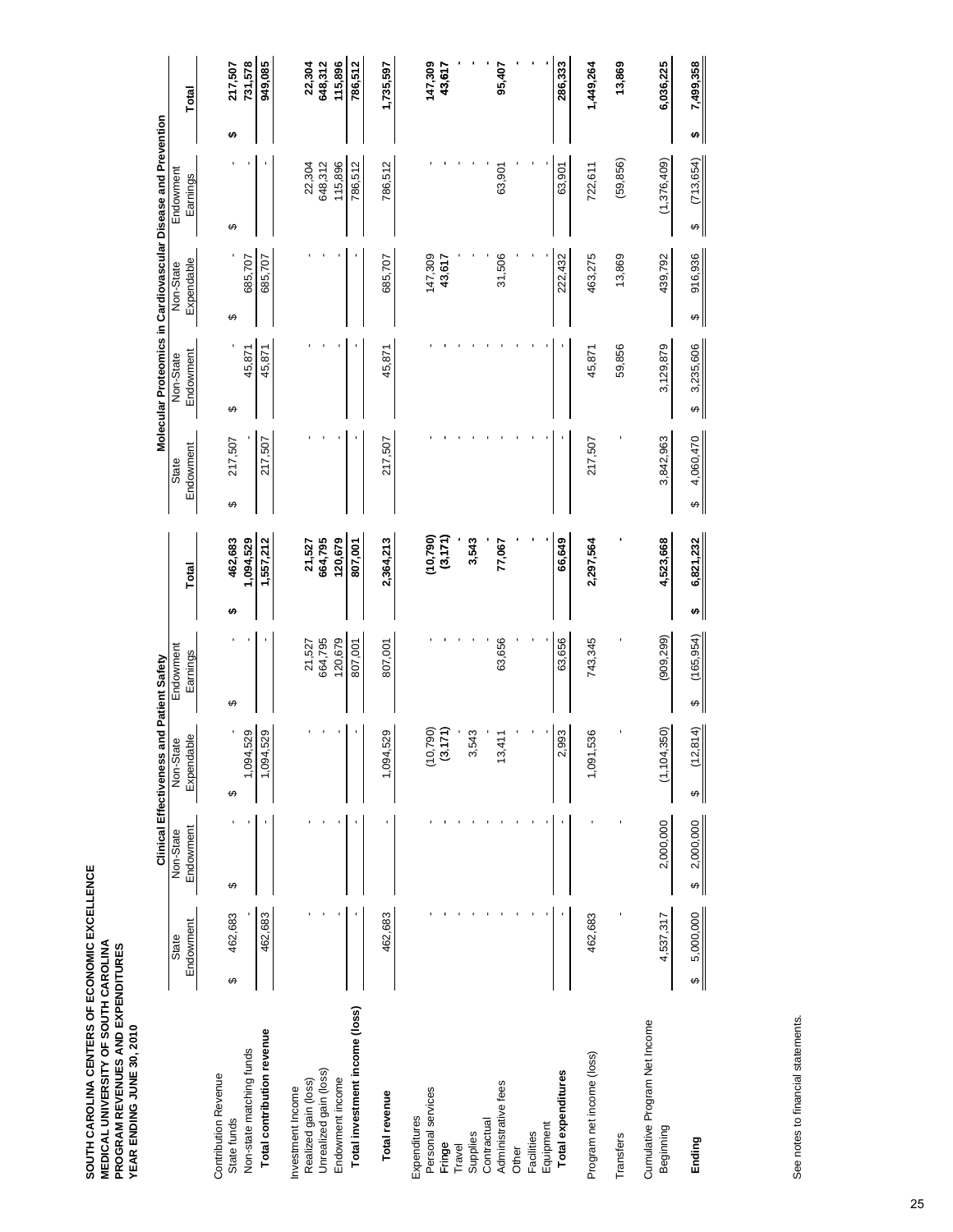|                                            |                |                       | Clinical Effectiveness and Patient Safety |                   |   |                    |                | Molecular Proteomics in Cardiovascular Disease and Prevention |              |                   |   |                    |
|--------------------------------------------|----------------|-----------------------|-------------------------------------------|-------------------|---|--------------------|----------------|---------------------------------------------------------------|--------------|-------------------|---|--------------------|
|                                            | State          | Non-State             | Non-State                                 | Endowment         |   |                    | State          | Non-State                                                     | Non-State    | Endowment         |   |                    |
|                                            | Endowment      | Endowment             | Expendable                                | Earnings          |   | Total              | Endowment      | Endowment                                                     | Expendable   | Earnings          |   | Total              |
| <b>Contribution Revenue</b>                |                |                       |                                           |                   |   |                    |                |                                                               |              |                   |   |                    |
| State funds                                | 462,683<br>↮   | ↮                     | ↮                                         | ക                 | ↮ | 462,683            | 217,507<br>↮   | ↮                                                             | ↮            | ↮                 | ↮ | 217,507            |
| Non-state matching funds                   |                |                       | 529<br>1,094.                             |                   |   | 1,094,529          |                | 45,871                                                        | 685,707      |                   |   | 731,578            |
| Total contribution revenue                 | 462,683        |                       | 529<br>1,094,                             |                   |   | 1,557,212          | 217,507        | 45,871                                                        | 685,707      |                   |   | 949,085            |
| Investment Income                          |                |                       |                                           |                   |   |                    |                |                                                               |              |                   |   |                    |
| Realized gain (loss)                       |                |                       |                                           | 664,795<br>21,527 |   | 21,527             |                |                                                               |              | 648,312<br>22,304 |   | 22,304             |
| Unrealized gain (loss)<br>Endowment income |                |                       |                                           | 120,679           |   | 664,795<br>120,679 |                |                                                               |              | 115,896           |   | 115,896<br>648,312 |
| Total investment income (loss)             |                |                       |                                           | 807,001           |   | 807,001            |                |                                                               |              | 786,512           |   | 786,512            |
|                                            |                |                       |                                           |                   |   |                    |                |                                                               |              |                   |   |                    |
| Total revenue                              | 462,683        |                       | 529<br>1,094,                             | 807,001           |   | 2,364,213          | 217,507        | 45,871                                                        | 685,707      | 786,512           |   | 1,735,597          |
| Personal services<br>Expenditures          |                |                       |                                           |                   |   | (10, 790)          |                |                                                               | 147,309      |                   |   | 147,309            |
| Fringe                                     |                |                       | $(10,790)$<br>$(3,171)$                   |                   |   | (3,171)            |                |                                                               | 43,617       |                   |   | 43,617             |
| Travel                                     |                |                       |                                           |                   |   |                    |                |                                                               |              |                   |   |                    |
| Supplies                                   |                |                       | 543<br>ω,                                 |                   |   | 3,543              |                |                                                               |              |                   |   |                    |
| Administrative fees<br>Contractual         |                |                       | 411<br>$\frac{3}{2}$                      | 63,656            |   | 77,067             |                |                                                               | 31,506       | 63,901            |   | 95,407             |
| Other                                      |                |                       |                                           |                   |   |                    |                |                                                               |              |                   |   |                    |
| Facilities                                 |                |                       |                                           |                   |   |                    |                |                                                               |              |                   |   |                    |
| Equipment                                  |                |                       |                                           |                   |   |                    |                |                                                               |              |                   |   |                    |
| Total expenditures                         |                |                       | 993<br>ςi                                 | 63,656            |   | 66,649             |                |                                                               | 222,432      | 63,901            |   | 286,333            |
| Program net income (loss)                  | 462,683        |                       | 536<br>1,091,1                            | 743,345           |   | 2,297,564          | 217,507        | 45,871                                                        | 463,275      | 722,611           |   | 1,449,264          |
| Transfers                                  |                |                       |                                           |                   |   |                    |                | 59,856                                                        | 13,869       | (59, 856)         |   | 13,869             |
| Cumulative Program Net Income<br>Beginning | 4,537,317      | 2,000,000             | ,350)<br>(1, 104,                         | (909, 299)        |   | 4,523,668          | 3,842,963      | 3,129,879                                                     | 439,792      | (1,376,409)       |   | 6,036,225          |
| Ending                                     | 5,000,000<br>↮ | 2,000,000<br>$\theta$ | (12, 814)<br>↔                            | (165, 954)<br>↮   | ↮ | 6,821,232          | 4,060,470<br>↮ | 3,235,606<br>↔                                                | 916,936<br>↔ | (713, 654)<br>↮   | ↮ | 7,499,358          |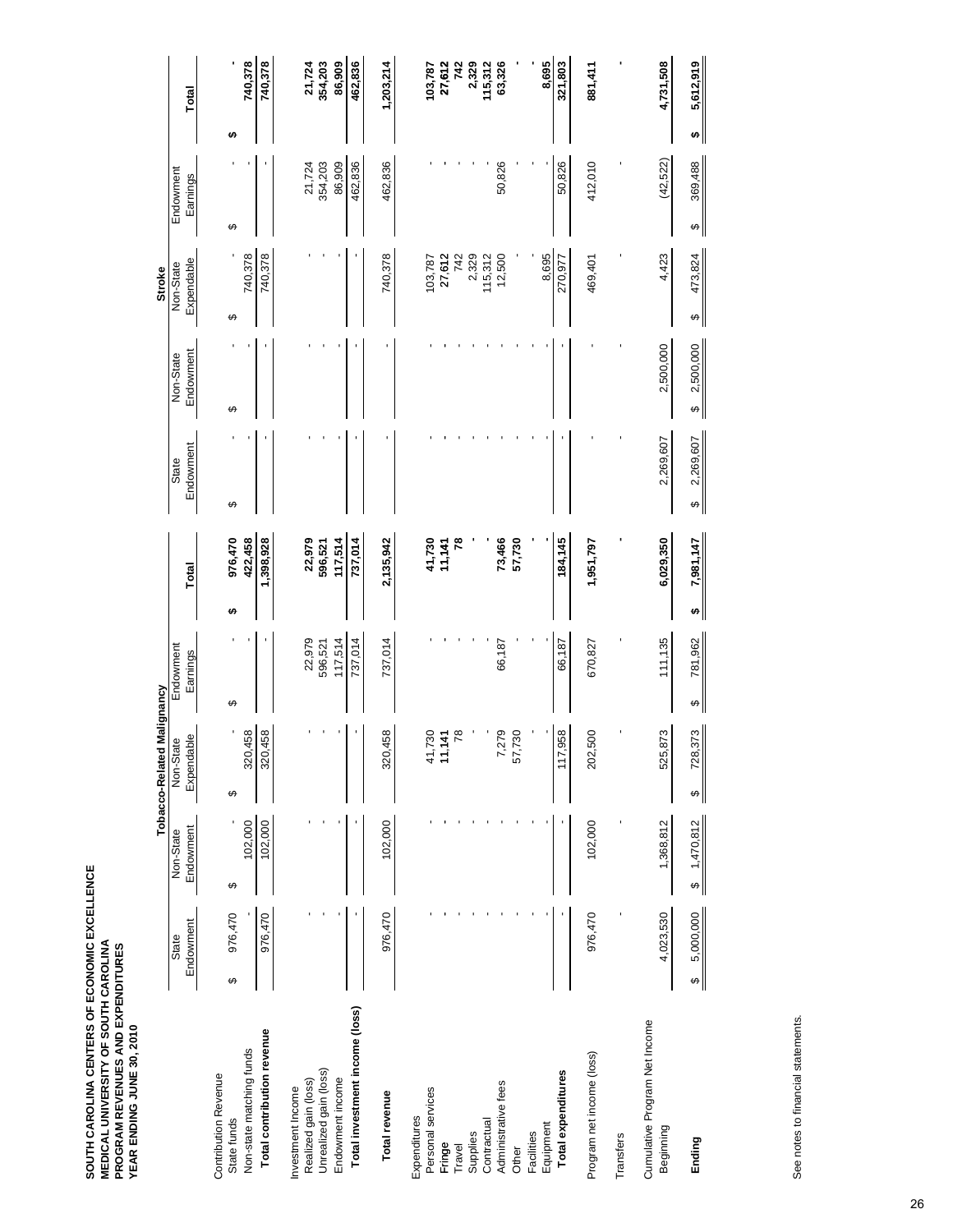|                                            |                |             | Tobacco-Related Malignancy |              |                 |                |                | <b>Stroke</b> |              |                |
|--------------------------------------------|----------------|-------------|----------------------------|--------------|-----------------|----------------|----------------|---------------|--------------|----------------|
|                                            | State          | Non-State   | Non-State                  | Endowment    |                 | State          | Non-State      | Non-State     | Endowment    |                |
|                                            | Endowment      | Endowment   | Expendable                 | Earnings     | Total           | Endowment      | Endowment      | Expendable    | Earnings     | Total          |
| <b>Contribution Revenue</b><br>State funds | 976,470<br>↮   | ↮           | ↮                          | ക            | 976,470<br>₩    | ↮              | ↮              | ↮             | ↮            | ↮              |
| Non-state matching funds                   |                | 102,000     | 320,458                    |              | 422,458         |                |                | 740,378       |              | 740,378        |
| Total contribution revenue                 | 976,470        | 102,000     | 320,458                    |              | 1,398,928       |                |                | 740,378       |              | 740,378        |
| Realized gain (loss)<br>Investment Income  |                |             |                            | 22,979       | 22,979          |                |                |               | 21,724       | 21,724         |
| Unrealized gain (loss)                     |                |             |                            | 596,521      | 596,521         |                |                |               | 354,203      | 354,203        |
| Endowment income                           |                |             |                            | 117,514      | 117,514         |                |                |               | 86,909       | 86,909         |
| Total investment income (loss)             |                |             |                            | 737,014      | 737,014         |                |                |               | 462,836      | 462,836        |
| Total revenue                              | 976,470        | 102,000     | 320,458                    | 737,014      | 2,135,942       |                |                | 740,378       | 462,836      | 1,203,214      |
| Personal services<br>Expenditures          |                |             | 41,730                     |              | 41,730          |                |                | 103,787       |              | 103,787        |
| Fringe                                     |                |             | 11,141                     |              | 11,141          |                |                | 27,612        |              | 27,612         |
| Travel                                     |                |             | 78                         |              |                 | 78             |                | 742           |              | 742            |
| Supplies                                   |                |             |                            |              |                 |                |                | 2,329         |              | 2,329          |
| Contractual                                |                |             |                            |              |                 |                |                | 115,312       |              | 115,312        |
| Administrative fees                        |                |             | 7,279<br>57,730            | 66,187       | 73,466          |                |                | 12,500        | 50,826       | 63,326         |
| Other                                      |                |             |                            |              | 57,730          |                |                |               |              |                |
| Facilities                                 |                |             |                            |              |                 |                |                |               |              |                |
| Equipment                                  |                |             |                            |              |                 |                |                | 8,695         |              | 8,695          |
| Total expenditures                         |                |             | 117,958                    | 66,187       | 184,145         |                |                | 270,977       | 50,826       | 321,803        |
| Program net income (loss)                  | 976,470        | 102,000     | 202,500                    | 670,827      | 1,951,797       |                |                | 469,401       | 412,010      | 881,411        |
| Transfers                                  |                |             |                            |              |                 |                |                |               |              |                |
| Cumulative Program Net Income<br>Beginning | 4,023,530      | 1,368,812   | 525,873                    | 111, 135     | 6,029,350       | 2,269,607      | 2,500,000      | 4,423         | (42, 522)    | 4,731,508      |
| Ending                                     | 5,000,000<br>↮ | \$1,470,812 | 728,373<br>↮               | 781,962<br>↔ | 7,981,147<br>s, | 2,269,607<br>↮ | 2,500,000<br>↮ | 473,824<br>↮  | 369,488<br>↮ | 5,612,919<br>↮ |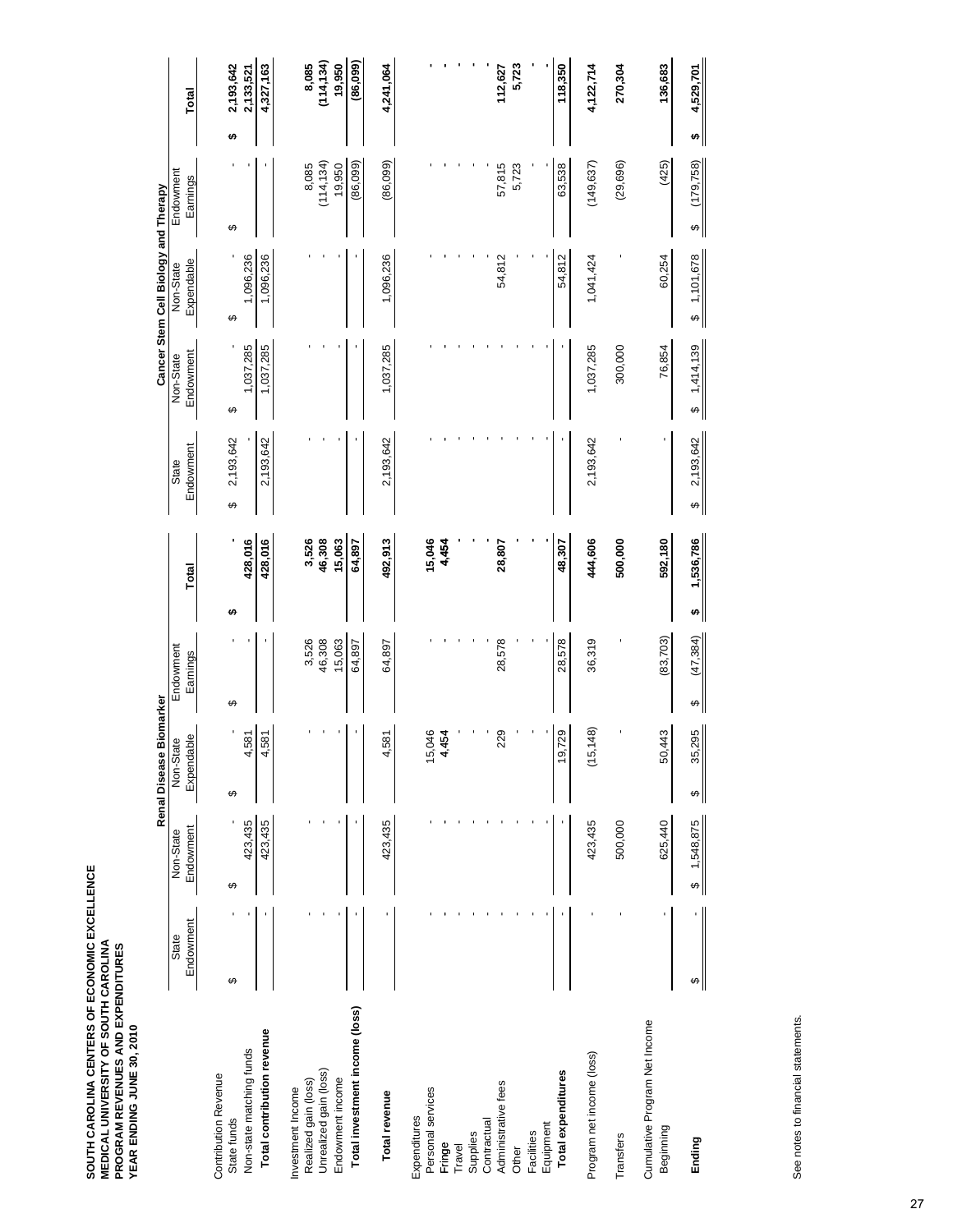|                                            |           |                | Renal Disease Biomarker |                |                |                |                | Cancer Stem Cell Biology and Therapy |                 |                |
|--------------------------------------------|-----------|----------------|-------------------------|----------------|----------------|----------------|----------------|--------------------------------------|-----------------|----------------|
|                                            | State     | Non-State      | Non-State               | Endowment      |                | State          | Non-State      | Non-State                            | Endowment       |                |
|                                            | Endowment | Endowment      | Expendable              | Earnings       | Total          | Endowment      | Endowment      | Expendable                           | Earnings        | Total          |
| <b>Contribution Revenue</b>                |           |                |                         |                |                |                |                |                                      |                 |                |
| State funds                                | ↮         | ↮              | ↮                       | ↮              | 49             | 2,193,642<br>↮ | ↮              | ↮                                    | ↮               | 2,193,642<br>↮ |
| Non-state matching funds                   |           | 423,435        | 4,581                   |                | 428,016        |                | 1,037,285      | 1,096,236                            |                 | 2,133,521      |
| Total contribution revenue                 |           | 423, 435       | 4,581                   |                | 428,016        | 2,193,642      | 1,037,285      | 1,096,236                            |                 | 4,327,163      |
| Investment Income                          |           |                |                         |                |                |                |                |                                      |                 |                |
| Realized gain (loss)                       |           |                |                         | 3,526          | 3,526          |                |                |                                      | 8,085           | 8,085          |
| Unrealized gain (loss)                     |           |                |                         | 46,308         | 46,308         |                |                |                                      | (114, 134)      | (114, 134)     |
| Endowment income                           |           |                |                         | 15,063         | 15,063         |                |                |                                      | 19,950          | 19,950         |
| Total investment income (loss)             |           |                |                         | 64,897         | 64,897         |                |                |                                      | (86,099)        | (86, 099)      |
| Total revenue                              |           | 423,435        | 4,581                   | 64,897         | 492,913        | 2,193,642      | 1,037,285      | 1,096,236                            | (86,099)        | 4,241,064      |
| Expenditures                               |           |                |                         |                |                |                |                |                                      |                 |                |
| Personal services                          |           |                | 15,046                  |                | 15,046         |                |                |                                      |                 |                |
| Fringe                                     |           |                | 4,454                   |                | 4,454          |                |                |                                      |                 |                |
| Travel                                     |           |                |                         |                |                |                |                |                                      |                 |                |
| Contractual<br>Supplies                    |           |                |                         |                |                |                |                |                                      |                 |                |
| Administrative fees                        |           |                | 229                     | 28,578         | 28,807         |                |                | 54,812                               | 57,815          | 112,627        |
| Other                                      |           |                |                         |                |                |                |                |                                      | 5,723           | 5,723          |
| Facilities                                 |           |                |                         |                |                |                |                |                                      |                 |                |
| Equipment                                  |           |                |                         |                |                |                |                |                                      |                 |                |
| Total expenditures                         |           |                | 729<br>19,              | 28,578         | 48,307         |                |                | 54,812                               | 63,538          | 118,350        |
| Program net income (loss)                  |           | 423,435        | 48)<br>(15,1)           | 36,319         | 444,606        | 2,193,642      | 1,037,285      | 1,041,424                            | (149, 637)      | 4,122,714      |
| Transfers                                  |           | 500,000        |                         |                | 500,000        |                | 300,000        |                                      | (29, 696)       | 270,304        |
| Cumulative Program Net Income<br>Beginning |           | 625,440        | 50,443                  | (83, 703)      | 592,180        |                | 76,854         | 60,254                               | (425)           | 136,683        |
| Ending                                     | ↮         | 1,548,875<br>↮ | 35,295<br>↮             | (47, 384)<br>↮ | 1,536,786<br>↮ | 2,193,642<br>↮ | 1,414,139<br>↔ | \$ 1,101,678                         | (179, 758)<br>↮ | 4,529,701<br>↮ |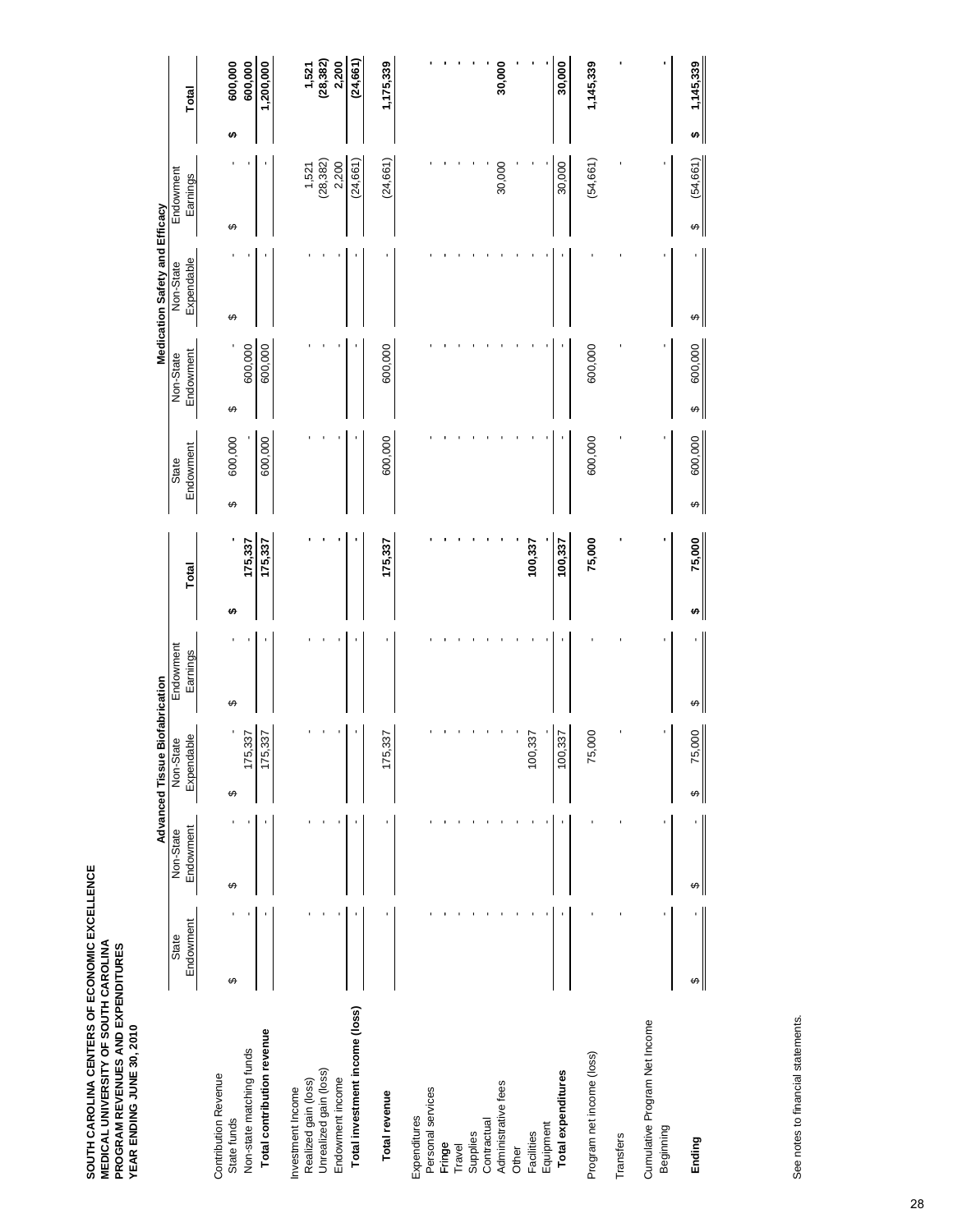|                                            |                    |                        | <b>Advanced Tissue</b>  | <b>Biofabrication</b> |             |                    |                        | Medication Safety and Efficacy |                       |                     |  |
|--------------------------------------------|--------------------|------------------------|-------------------------|-----------------------|-------------|--------------------|------------------------|--------------------------------|-----------------------|---------------------|--|
|                                            | Endowment<br>State | Endowment<br>Non-State | Expendable<br>Non-State | Endowment<br>Earnings | Total       | Endowment<br>State | Endowment<br>Non-State | Expendable<br>Non-State        | Endowment<br>Earnings | Total               |  |
| <b>Contribution Revenue</b>                |                    |                        |                         |                       |             |                    |                        |                                |                       |                     |  |
| State funds                                | ↮                  | ↔                      | ↮                       | ↔                     | ω           | 600,000<br>↮       | ↮                      | ↮                              | ↮                     | 600,000<br>↮        |  |
| Non-state matching funds                   |                    |                        | 337<br>175              |                       | 175,337     |                    | 600,000                |                                |                       | 600,000             |  |
| Total contribution revenue                 |                    |                        | 337<br>175              |                       | 175,337     | 600,000            | 600,000                |                                |                       | 1,200,000           |  |
| Investment Income                          |                    |                        |                         |                       |             |                    |                        |                                |                       |                     |  |
| Realized gain (loss)                       |                    |                        |                         |                       |             |                    |                        |                                | 1,521                 | $1,521$<br>(28,382) |  |
| Unrealized gain (loss)                     |                    |                        |                         |                       |             |                    |                        |                                | (28, 382)             |                     |  |
| Endowment income                           |                    |                        |                         |                       |             |                    |                        |                                | 2,200                 | 2,200               |  |
| Total investment income (loss)             |                    |                        |                         |                       |             |                    |                        |                                | (24, 661)             | (24, 661)           |  |
| Total revenue                              |                    |                        | 337<br>175              |                       | 175,337     | 600,000            | 600,000                |                                | (24, 661)             | 1,175,339           |  |
| Expenditures                               |                    |                        |                         |                       |             |                    |                        |                                |                       |                     |  |
| Personal services                          |                    |                        |                         |                       |             |                    |                        |                                |                       |                     |  |
| Fringe                                     |                    |                        |                         |                       |             |                    |                        |                                |                       |                     |  |
| Travel                                     |                    |                        |                         |                       |             |                    |                        |                                |                       |                     |  |
| Supplies                                   |                    |                        |                         |                       |             |                    |                        |                                |                       |                     |  |
| Contractual                                |                    |                        |                         |                       |             |                    |                        |                                |                       |                     |  |
| Administrative fees                        |                    |                        |                         |                       |             |                    |                        |                                | 30,000                | 30,000              |  |
| Facilities<br>Other                        |                    |                        | ,337<br>100             |                       | 100,337     |                    |                        |                                |                       |                     |  |
| Equipment                                  |                    |                        |                         |                       |             |                    |                        |                                |                       |                     |  |
| Total expenditures                         |                    |                        | 337<br>100,             |                       | 100,337     |                    |                        |                                | 30,000                | 30,000              |  |
| Program net income (loss)                  |                    |                        | 000,<br>75              |                       | 75,000      | 600,000            | 600,000                |                                | (54, 661)             | 1,145,339           |  |
| Transfers                                  |                    |                        |                         |                       |             |                    |                        |                                |                       |                     |  |
| Cumulative Program Net Income<br>Beginning |                    |                        |                         |                       |             |                    |                        |                                |                       |                     |  |
|                                            |                    |                        |                         |                       |             |                    |                        |                                |                       |                     |  |
| Ending                                     | ↔                  | ↮                      | 75,000<br>↔             | ↔                     | 75,000<br>↮ | 600,000<br>↔       | 600,000<br>↔           | ↮                              | (54, 661)<br>↔        | 1,145,339<br>th     |  |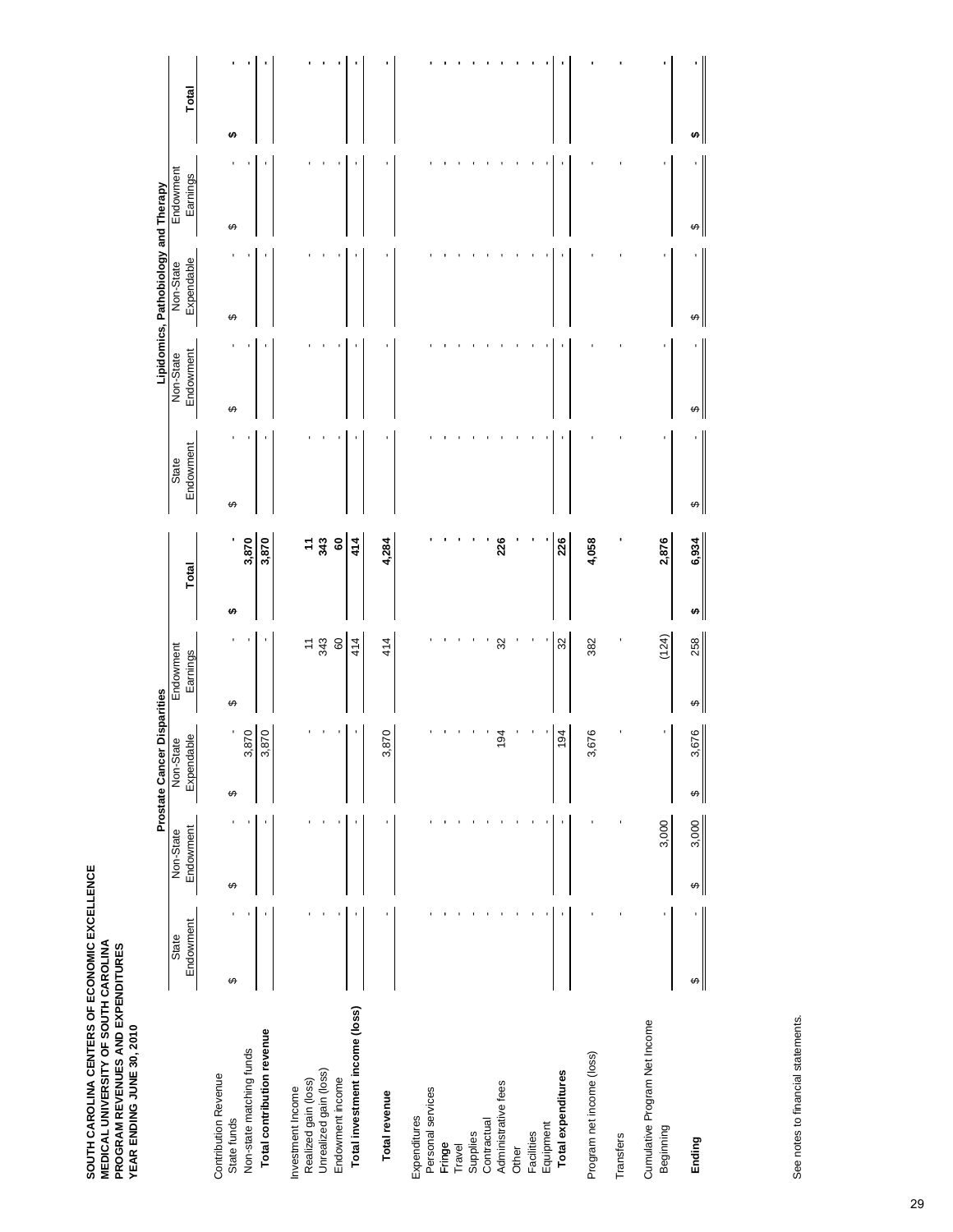|                                                |                    |                        | Prostate Cancer |                         | Disparities |                       |    |                          |                    |                        | Lipidomics, Pathobiology and Therapy |                       |       |
|------------------------------------------------|--------------------|------------------------|-----------------|-------------------------|-------------|-----------------------|----|--------------------------|--------------------|------------------------|--------------------------------------|-----------------------|-------|
|                                                | Endowment<br>State | Endowment<br>Non-State |                 | Expendable<br>Non-State |             | Endowment<br>Earnings |    | Total                    | Endowment<br>State | Endowment<br>Non-State | Expendable<br>Non-State              | Endowment<br>Earnings | Total |
| <b>Contribution Revenue</b><br>State funds     | ↮                  | ↮                      | ↮               | ı                       | ↮           |                       | ŧA | ٠                        | ↮                  | ↮                      | ↮                                    | ↮                     | ↮     |
| Non-state matching funds                       |                    |                        |                 | 3,870                   |             |                       |    | 3,870                    |                    |                        |                                      |                       |       |
| Total contribution revenue                     |                    |                        |                 | 3,870                   |             |                       |    | 3,870                    |                    |                        |                                      |                       |       |
| Investment Income                              |                    |                        |                 |                         |             |                       |    |                          |                    |                        |                                      |                       |       |
| Unrealized gain (loss)<br>Realized gain (loss) |                    |                        |                 |                         |             | 343                   |    | $7\frac{2}{3}$           |                    |                        |                                      |                       |       |
| Endowment income                               |                    |                        |                 |                         |             | $\mbox{ }^\mathsf{O}$ |    | $\overline{\phantom{0}}$ |                    |                        |                                      |                       |       |
| Total investment income (loss)                 |                    |                        |                 |                         |             | 414                   |    | 414                      |                    |                        |                                      |                       | ٠     |
| Total revenue                                  |                    |                        |                 | 870<br>က်               |             | 414                   |    | 4,284                    |                    |                        |                                      |                       |       |
| Expenditures                                   |                    |                        |                 |                         |             |                       |    |                          |                    |                        |                                      |                       |       |
| Personal services                              |                    |                        |                 |                         |             |                       |    |                          |                    |                        |                                      |                       |       |
| Fringe<br>Travel                               |                    |                        |                 |                         |             |                       |    |                          |                    |                        |                                      |                       |       |
| Supplies                                       |                    |                        |                 |                         |             |                       |    |                          |                    |                        |                                      |                       |       |
| Administrative fees<br>Contractual             |                    |                        |                 | 194                     |             | 32                    |    | 226                      |                    |                        |                                      |                       |       |
| Other                                          |                    |                        |                 |                         |             |                       |    |                          |                    |                        |                                      |                       |       |
| Facilities                                     |                    |                        |                 |                         |             |                       |    |                          |                    |                        |                                      |                       |       |
| Equipment                                      |                    |                        |                 |                         |             |                       |    |                          |                    |                        |                                      |                       |       |
| Total expenditures                             |                    |                        |                 | 194                     |             | 32                    |    | 226                      |                    |                        |                                      |                       |       |
| Program net income (loss)                      |                    |                        |                 | 3,676                   |             | 382                   |    | 4,058                    |                    |                        |                                      |                       |       |
| Transfers                                      |                    |                        |                 |                         |             |                       |    |                          |                    |                        |                                      |                       |       |
| Cumulative Program Net Income<br>Beginning     | ı                  | 3,000                  |                 |                         |             | (124)                 |    | 2,876                    |                    |                        |                                      |                       |       |
| Ending                                         | ↮                  | 3,000<br>↮             | ↮               | 676<br>ო,               | ↮           | 258                   | H, | 6,934                    | ↔                  | ↮                      | ↔                                    | ↮                     |       |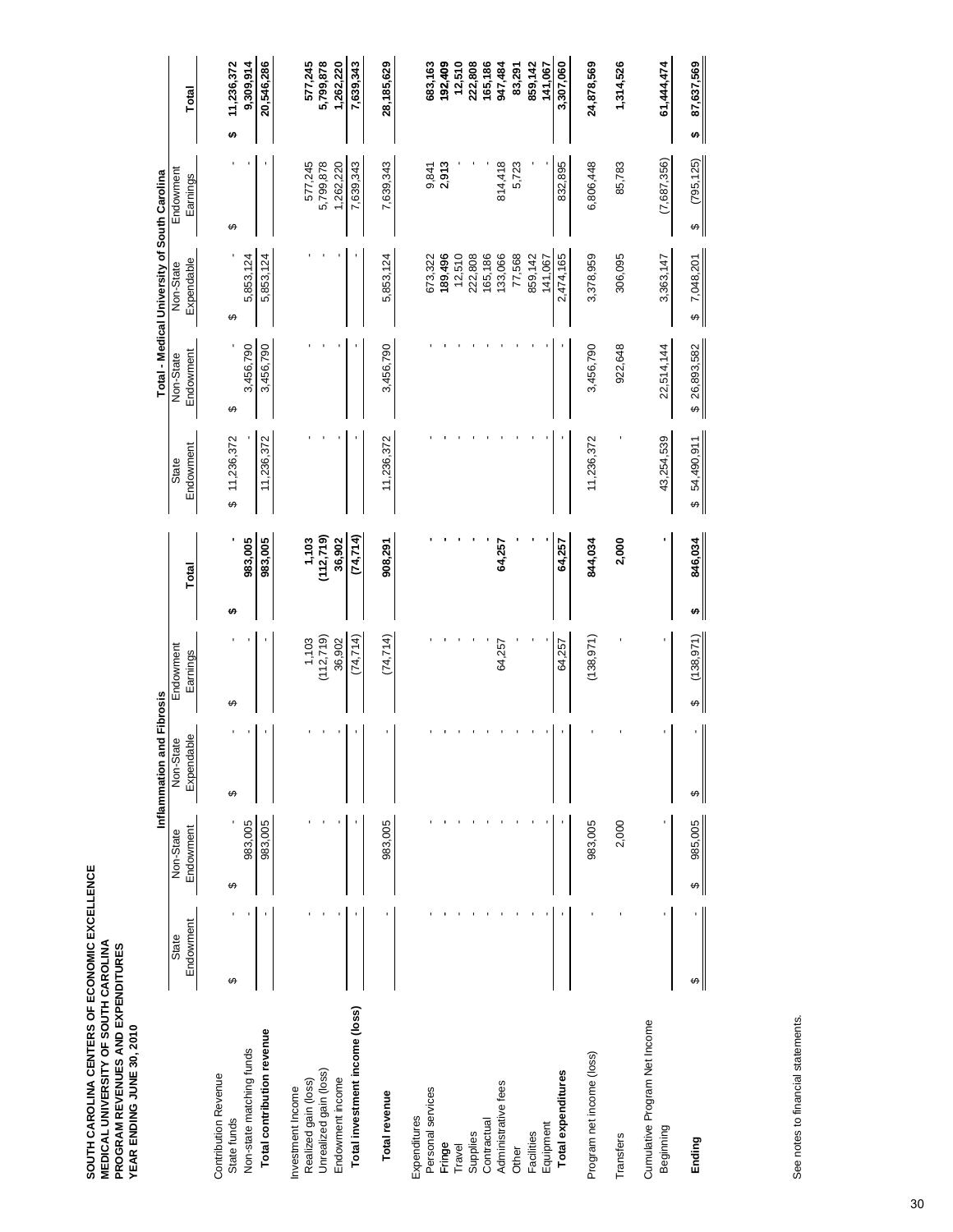|                                            |           |              | Inflammation and Fibrosis |                 |              |                                   |              | Total - Medical University of South Carolina |                   |                 |
|--------------------------------------------|-----------|--------------|---------------------------|-----------------|--------------|-----------------------------------|--------------|----------------------------------------------|-------------------|-----------------|
|                                            | State     | Non-State    | Non-State                 | Endowment       |              | State                             | Non-State    | Non-State                                    | Endowment         |                 |
|                                            | Endowment | Endowment    | Expendable                | Earnings        | Total        | Endowment                         | Endowment    | Expendable                                   | Earnings          | Total           |
| <b>Contribution Revenue</b>                |           |              |                           |                 |              |                                   |              |                                              |                   |                 |
| State funds                                | ↮         | ↮            | ↮                         | ↮               | ↮            | 11,236,372<br>ക                   | ↮            | ↮                                            | ↮                 | 11,236,372<br>↮ |
| Non-state matching funds                   |           | 983,005      |                           |                 | 983,005      |                                   | 3,456,790    | 5,853,124                                    |                   | 9,309,914       |
| Total contribution revenue                 |           | 983,005      |                           |                 | 983,005      | 11,236,372                        | 3,456,790    | 5,853,124                                    |                   | 20,546,286      |
| Investment Income                          |           |              |                           |                 |              |                                   |              |                                              |                   |                 |
| Realized gain (loss)                       |           |              |                           | 1,103           | 1,103        |                                   |              |                                              | 577,245           | 577,245         |
| Unrealized gain (loss)                     |           |              |                           | (112, 719)      | (112, 719)   |                                   |              |                                              | 5,799,878         | 5,799,878       |
| Endowment income                           |           |              |                           | 36,902          | 36,902       |                                   |              |                                              | 1,262,220         | 1,262,220       |
| Total investment income (loss)             |           |              |                           | (74, 714)       | (74, 714)    |                                   |              |                                              | 7,639,343         | 7,639,343       |
| Total revenue                              |           | 983,005      |                           | (74, 714)       | 908,291      | 11,236,372                        | 3,456,790    | 5,853,124                                    | 7,639,343         | 28,185,629      |
| Expenditures                               |           |              |                           |                 |              |                                   |              |                                              |                   |                 |
| Personal services                          |           |              |                           |                 |              |                                   |              | 673,322                                      | 9,841             | 683,163         |
| Fringe                                     |           |              |                           |                 |              |                                   |              | 189,496                                      | 2,913             | 192,409         |
| Travel                                     |           |              |                           |                 |              |                                   |              | 12,510                                       |                   | 12,510          |
| Supplies                                   |           |              |                           |                 |              |                                   |              | 222,808                                      |                   | 222,808         |
| Contractual                                |           |              |                           |                 |              |                                   |              | 165,186                                      |                   | 165,186         |
| Administrative fees                        |           |              |                           | 64,257          | 64,257       |                                   |              | 133,066                                      | 814,418           | 947,484         |
| Other                                      |           |              |                           |                 |              |                                   |              | 77,568                                       | 5,723             | 83,291          |
| Facilities                                 |           |              |                           |                 |              |                                   |              | 859,142                                      |                   | 859,142         |
| Equipment                                  |           |              |                           |                 |              |                                   |              | 141,067                                      |                   | 141,067         |
| Total expenditures                         |           |              |                           | 64,257          | 64,257       |                                   |              | 2,474,165                                    | 832,895           | 3,307,060       |
| Program net income (loss)                  |           | 983,005      |                           | (138, 971)      | 844,034      | 11,236,372                        | 3,456,790    | 3,378,959                                    | 6,806,448         | 24,878,569      |
| Transfers                                  |           | 2,000        |                           |                 | 2,000        |                                   | 922,648      | 306,095                                      | 85,783            | 1,314,526       |
| Cumulative Program Net Income<br>Beginning |           |              |                           |                 |              | 43,254,539                        | 22,514,144   | 3,363,147                                    | (7,687,356)       | 61,444,474      |
| Ending                                     | ↮         | 985,005<br>↮ | ↮                         | (138, 971)<br>↮ | 846,034<br>↮ | 54,490,911<br>$\overline{\Theta}$ | \$26,893,582 | 7,048,201<br>$\overline{\Theta}$             | (795, 125)<br>ิ⇔∥ | 87,637,569<br>৸ |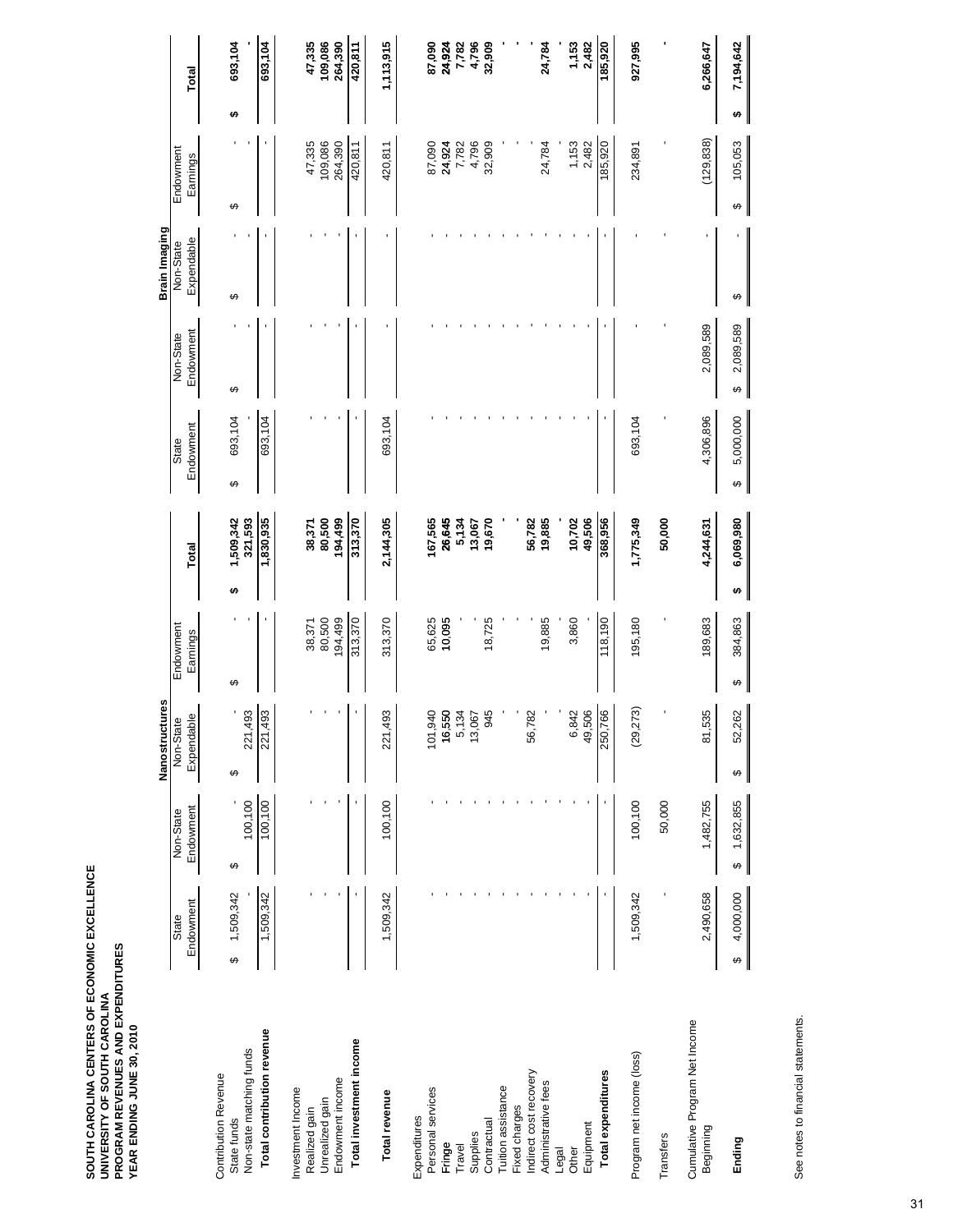|                                            |                |                | Nanostructures                                           |              |                 |                |                | Brain Imaging |                  |   |                 |
|--------------------------------------------|----------------|----------------|----------------------------------------------------------|--------------|-----------------|----------------|----------------|---------------|------------------|---|-----------------|
|                                            | State          | Non-State      | Non-State                                                | Endowment    |                 | State          | Non-State      | Non-State     | Endowment        |   |                 |
|                                            | Endowment      | Endowment      | Expendable                                               | Earnings     | Total           | Endowment      | Endowment      | Expendable    | Earnings         |   | Total           |
| <b>Contribution Revenue</b>                |                |                |                                                          |              |                 |                |                |               |                  |   |                 |
| State funds                                | 1,509,342<br>↮ | ↮              | ↮                                                        | ↮            | 1,509,342<br>မာ | 693,104<br>↮   | ↮              | ↮             | ↮                | ↮ | 693,104         |
| Non-state matching funds                   |                | 100,100        | 221,493                                                  |              | 321,593         |                |                |               |                  |   |                 |
| Total contribution revenue                 | 1,509,342      | 100,100        | 221,493                                                  |              | 1,830,935       | 693,104        |                |               |                  |   | 693,104         |
| Investment Income                          |                |                |                                                          |              |                 |                |                |               |                  |   |                 |
| Realized gain                              |                |                |                                                          | 38,371       | 38,371          |                |                |               | 47,335           |   | 47,335          |
| Unrealized gain                            |                |                |                                                          | 80,500       | 80,500          |                |                |               | 109,086          |   | 109,086         |
| Endowment income                           |                |                |                                                          | 194,499      | 194,499         |                |                |               | 264,390          |   | 264,390         |
| Total investment income                    |                |                |                                                          | 313,370      | 313,370         |                |                |               | 420,811          |   | 420,811         |
| Total revenue                              | 1,509,342      | 100,100        | 221,493                                                  | 313,370      | 2,144,305       | 693,104        |                |               | 420,811          |   | 1,113,915       |
| Expenditures                               |                |                |                                                          |              |                 |                |                |               |                  |   |                 |
| Personal services                          |                |                | 101,940                                                  | 65,625       | 167,565         |                |                |               | 87,090           |   | 87,090          |
| Fringe                                     |                |                | $\begin{array}{c} 16,550 \\ 5,134 \\ 13,067 \end{array}$ | 10,095       | 26,645          |                |                |               | 24,924<br>7,782  |   | 24,924          |
| Travel                                     |                |                |                                                          |              | 5,134           |                |                |               |                  |   | 7,782           |
| Supplies                                   |                |                |                                                          |              | 13,067          |                |                |               | 4,796            |   | 4,796<br>32,909 |
| Contractual                                |                |                | 945                                                      | 18,725       | 19,670          |                |                |               | 32,909           |   |                 |
| Tuition assistance                         |                |                |                                                          |              |                 |                |                |               |                  |   |                 |
| Fixed charges                              |                |                |                                                          |              |                 |                |                |               |                  |   |                 |
| Indirect cost recovery                     |                |                | 82<br>56,7                                               |              | 56,782          |                |                |               |                  |   |                 |
| Administrative fees                        |                |                |                                                          | 19,885       | 19,885          |                |                |               | 24,784           |   | 24,784          |
| Legal                                      |                |                |                                                          |              |                 |                |                |               |                  |   |                 |
| Other                                      |                |                | 6,842<br>49,506                                          | 3,860        | 10,702          |                |                |               | $1,153$<br>2,482 |   | 1,153           |
| Equipment                                  |                |                |                                                          |              | 49,506          |                |                |               |                  |   | 2,482           |
| Total expenditures                         |                |                | 250,766                                                  | 118,190      | 368,956         |                |                |               | 185,920          |   | 185,920         |
| Program net income (loss)                  | 1,509,342      | 100,100        | (29, 273)                                                | 195,180      | 1,775,349       | 693,104        |                |               | 234,891          |   | 927,995         |
| Transfers                                  |                | 50,000         |                                                          |              | 50,000          |                |                |               |                  |   |                 |
| Cumulative Program Net Income<br>Beginning | 2,490,658      | 1,482,755      | 81,535                                                   | 189,683      | 4,244,631       | 4,306,896      | 2,089,589      |               | (129, 838)       |   | 6,266,647       |
| Ending                                     | 4,000,000<br>↔ | 1,632,855<br>Ø | 52,262<br>↮                                              | 384,863<br>↮ | 6,069,980<br>↮  | 5,000,000<br>↔ | 2,089,589<br>↔ | ↮             | 105,053<br>↔     | ↮ | 7,194,642       |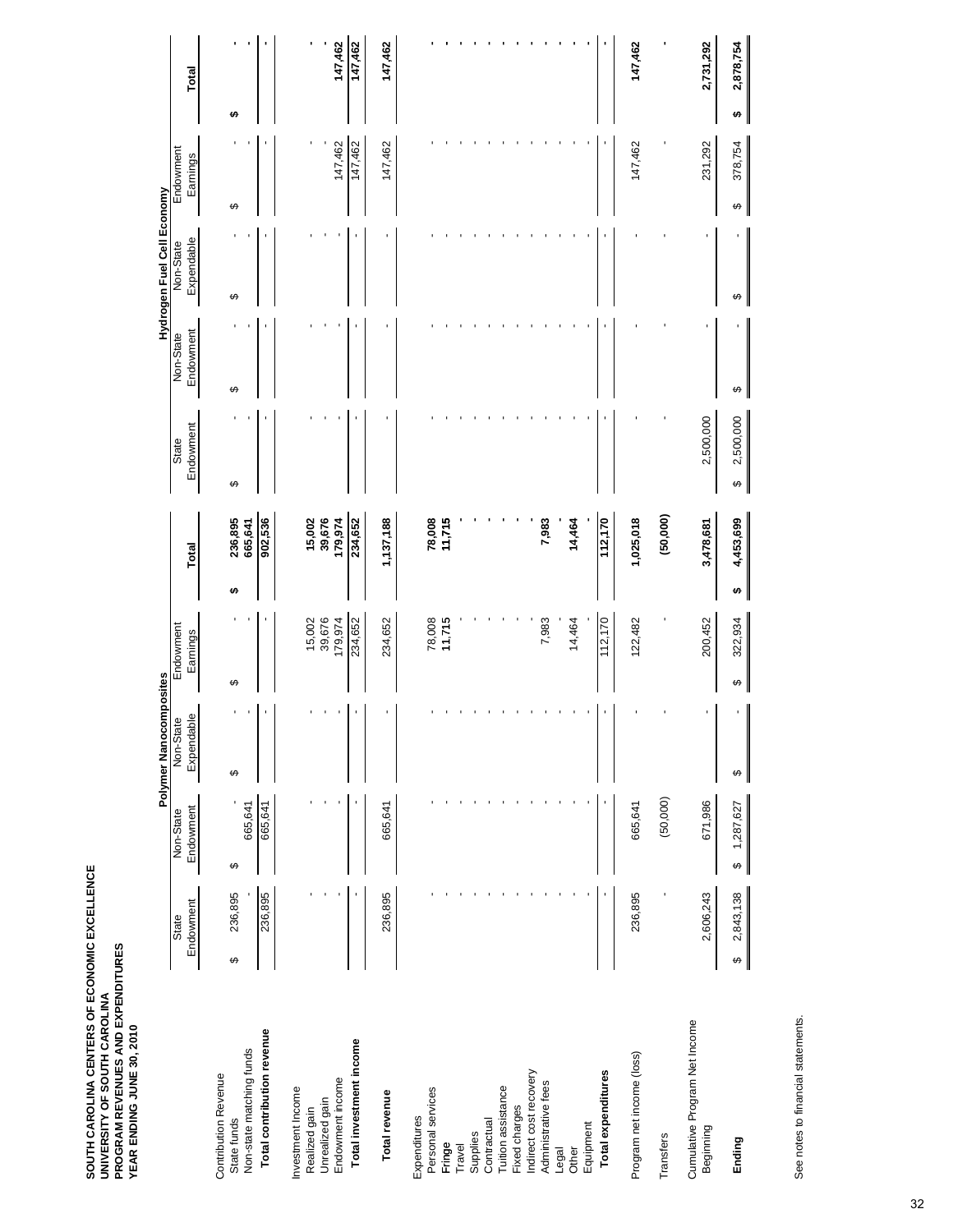| SOUTH CAROLINA CENTERS OF ECONOMIC EXCELLENCE<br>PROGRAM REVENUES AND EXPENDITURES<br>UNIVERSITY OF SOUTH CAROLINA | YEAR ENDING JUNE 30, 2010 |
|--------------------------------------------------------------------------------------------------------------------|---------------------------|
|--------------------------------------------------------------------------------------------------------------------|---------------------------|

|                                            |                |                | Polymer Nanocomposites |              |                 |                |           | Hydrogen Fuel Cell Economy |              |                 |
|--------------------------------------------|----------------|----------------|------------------------|--------------|-----------------|----------------|-----------|----------------------------|--------------|-----------------|
|                                            | State          | Non-State      | Non-State              | Endowment    |                 | State          | Non-State | Non-State                  | Endowment    |                 |
|                                            | Endowment      | Endowment      | Expendable             | Earnings     | Total           | Endowment      | Endowment | Expendable                 | Earnings     | Total           |
| <b>Contribution Revenue</b><br>State funds | 236,895<br>↮   | ↮              | ↮                      | ↔            | 236,895<br>မာ   | ↮              | ↮         | ↮                          | ↮            | ↮               |
| Non-state matching funds                   |                | 665,641        |                        |              | 665,641         |                |           |                            |              |                 |
| Total contribution revenue                 | 236,895        | 665,641        |                        |              | 902,536         |                |           |                            |              |                 |
| Investment Income<br>Realized gain         |                |                |                        | 15,002       | 15,002          |                |           |                            |              |                 |
| Unrealized gain                            |                |                |                        | 39,676       | 39,676          |                |           |                            |              |                 |
| Endowment income                           |                |                |                        | 179,974      | 179,974         |                |           |                            | 147,462      | 147,462         |
| Total investment income                    |                |                |                        | 234,652      | 234,652         |                |           |                            | 147,462      | 147,462         |
| Total revenue                              | 236,895        | 665,641        |                        | 234,652      | 1,137,188       |                |           |                            | 147,462      | 147,462         |
| Expenditures                               |                |                |                        |              |                 |                |           |                            |              |                 |
| Personal services                          |                |                |                        | 78,008       | 78,008          |                |           |                            |              |                 |
| Fringe                                     |                |                |                        | 11,715       | 11,715          |                |           |                            |              |                 |
| Travel                                     |                |                |                        |              |                 |                |           |                            |              |                 |
| Supplies                                   |                |                |                        |              |                 |                |           |                            |              |                 |
| Contractual                                |                |                |                        |              |                 |                |           |                            |              |                 |
| Tuition assistance                         |                |                |                        |              |                 |                |           |                            |              |                 |
| Fixed charges                              |                |                |                        |              |                 |                |           |                            |              |                 |
| Indirect cost recovery                     |                |                |                        |              |                 |                |           |                            |              |                 |
| Administrative fees                        |                |                |                        | 7,983        | 7,983           |                |           |                            |              |                 |
| Legal                                      |                |                |                        |              |                 |                |           |                            |              |                 |
| Other                                      |                |                |                        | 14,464       | 14,464          |                |           |                            |              |                 |
| Equipment                                  |                |                |                        |              |                 |                |           |                            |              |                 |
| <b>Total expenditures</b>                  |                |                |                        | 112,170      | 112,170         |                |           |                            |              |                 |
| Program net income (loss)                  | 236,895        | 665,641        |                        | 122,482      | 1,025,018       |                |           |                            | 147,462      | 147,462         |
| Transfers                                  |                | (50,000)       |                        |              | (50,000)        |                |           |                            |              |                 |
| Cumulative Program Net Income<br>Beginning | 2,606,243      | 671,986        |                        | 200,452      | 3,478,681       | 2,500,000      |           |                            | 231,292      | 2,731,292       |
| Ending                                     | 2,843,138<br>↔ | 1,287,627<br>↔ | ↮                      | 322,934<br>↔ | 4,453,699<br>t, | 2,500,000<br>↔ | ↮         | ↮                          | 378,754<br>↔ | 2,878,754<br>₩, |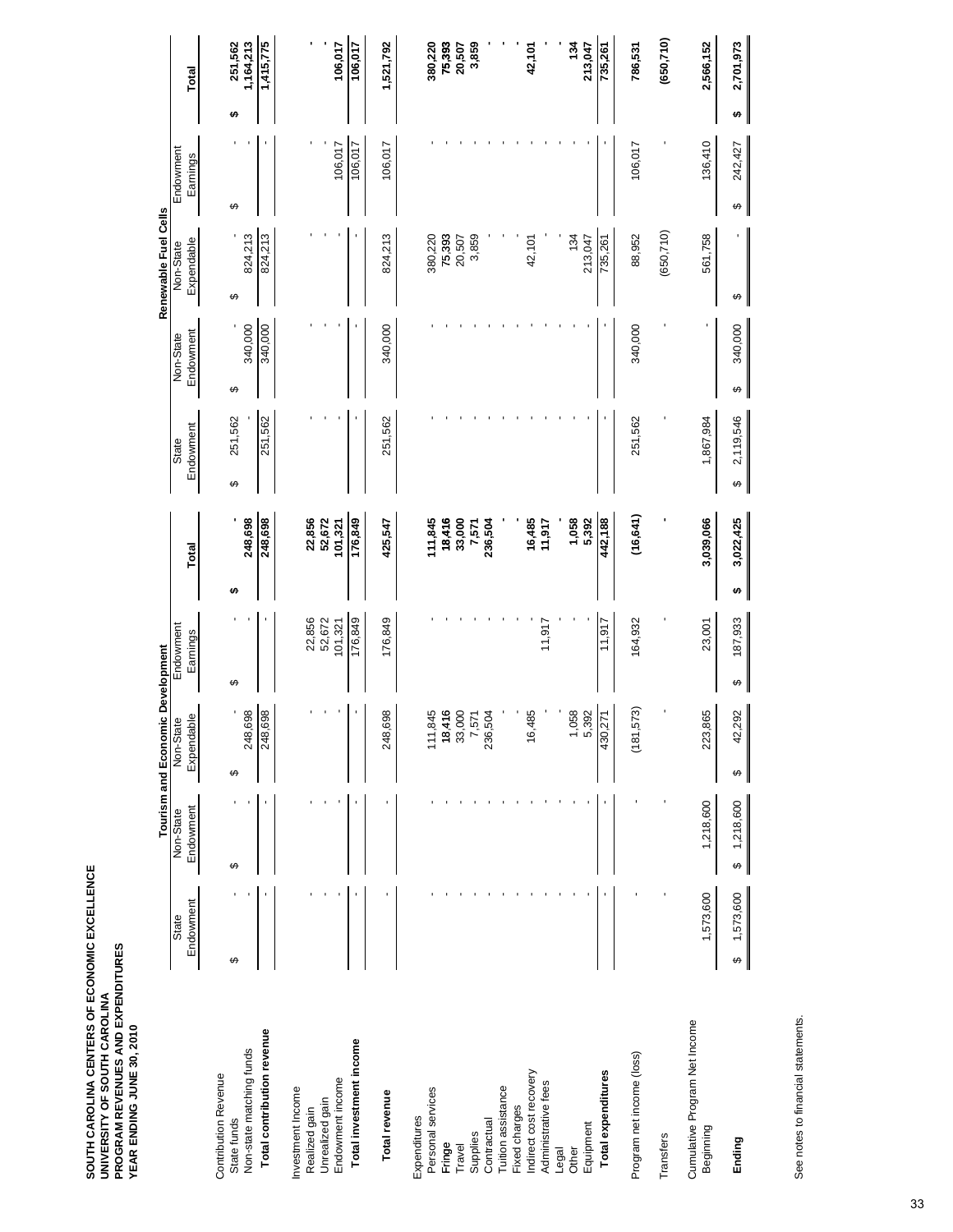|                                            |                    |                        | Tourism and Economic Development                         |                       |                   |                    |                        | Renewable Fuel Cells    |                       |                            |
|--------------------------------------------|--------------------|------------------------|----------------------------------------------------------|-----------------------|-------------------|--------------------|------------------------|-------------------------|-----------------------|----------------------------|
|                                            | Endowment<br>State | Endowment<br>Non-State | Expendable<br>Non-State                                  | Endowment<br>Earnings | Total             | Endowment<br>State | Endowment<br>Non-State | Expendable<br>Non-State | Endowment<br>Earnings | Total                      |
| <b>Contribution Revenue</b>                |                    |                        |                                                          |                       |                   |                    |                        |                         |                       |                            |
| Non-state matching funds<br>State funds    | ↮                  | ↮                      | 248,698<br>↮                                             | ↮                     | 248,698<br>↮      | 251,562<br>↮       | 340,000<br>↔           | 824,213<br>↮            | ↮                     | 251,562<br>1,164,213<br>£۵ |
| Total contribution revenue                 |                    |                        | 869<br>248,                                              |                       | 248,698           | 251,562            | 340,000                | 824,213                 |                       | 1,415,775                  |
| Investment Income<br>Realized gain         |                    |                        |                                                          | 22,856                | 22,856            |                    |                        |                         |                       |                            |
| Unrealized gain                            |                    |                        |                                                          | 52,672                | 52,672            |                    |                        |                         |                       |                            |
| Endowment income                           |                    |                        |                                                          | 101,321               | 101,321           |                    |                        |                         | 106,017               | 106,017                    |
| Total investment income                    |                    |                        |                                                          | 176,849               | 176,849           |                    |                        |                         | 106,017               | 106,017                    |
| Total revenue                              |                    |                        | 698<br>248,                                              | 176,849               | 425,547           | 251,562            | 340,000                | 824,213                 | 106,017               | 1,521,792                  |
| Expenditures                               |                    |                        |                                                          |                       |                   |                    |                        |                         |                       |                            |
| Personal services<br>Fringe                |                    |                        | 111,845                                                  |                       | 111,845<br>18,416 |                    |                        | 75,393<br>380,220       |                       | 380,220<br>75,393          |
| Travel                                     |                    |                        |                                                          |                       | 33,000            |                    |                        | 20,507                  |                       | 20,507                     |
| Supplies                                   |                    |                        | $\begin{array}{c} 18,416 \\ 33,000 \\ 7,571 \end{array}$ |                       | 7,571             |                    |                        | 3,859                   |                       | 3,859                      |
| Contractual                                |                    |                        | 236,504                                                  |                       | 236,504           |                    |                        |                         |                       |                            |
| Tuition assistance                         |                    |                        |                                                          |                       |                   |                    |                        |                         |                       |                            |
| Fixed charges                              |                    |                        |                                                          |                       |                   |                    |                        |                         |                       |                            |
| Indirect cost recovery                     |                    |                        | 16,485                                                   |                       | 16,485            |                    |                        | 42,101                  |                       | 42,101                     |
| Administrative fees                        |                    |                        |                                                          | 11,917                | 11,917            |                    |                        |                         |                       |                            |
| Legal                                      |                    |                        |                                                          |                       |                   |                    |                        |                         |                       |                            |
| Other                                      |                    |                        | 1,058<br>5,392                                           |                       | 1,058<br>5,392    |                    |                        | 134<br>213,047          |                       | 134<br>213,047             |
| Equipment                                  |                    |                        |                                                          |                       |                   |                    |                        |                         |                       |                            |
| Total expenditures                         |                    |                        | 430,271                                                  | 11,917                | 442,188           |                    |                        | 735,261                 |                       | 735,261                    |
| Program net income (loss)                  |                    |                        | 573)<br>(181)                                            | 164,932               | (16, 641)         | 251,562            | 340,000                | 88,952                  | 106,017               | 786,531                    |
| Transfers                                  |                    |                        |                                                          |                       |                   |                    |                        | (650, 710)              |                       | (650,710)                  |
| Cumulative Program Net Income<br>Beginning | 1,573,600          | 1,218,600              | 223,865                                                  | 23,001                | 3,039,066         | 1,867,984          |                        | 561,758                 | 136,410               | 2,566,152                  |
| Ending                                     | 1,573,600<br>↮     | 1,218,600<br>↮         | 42,292<br>↮                                              | 187,933<br>↮          | 3,022,425<br>↮    | 2,119,546<br>↮     | 340,000<br>↔           | ↮                       | 242,427<br>↮          | 2,701,973<br>↮             |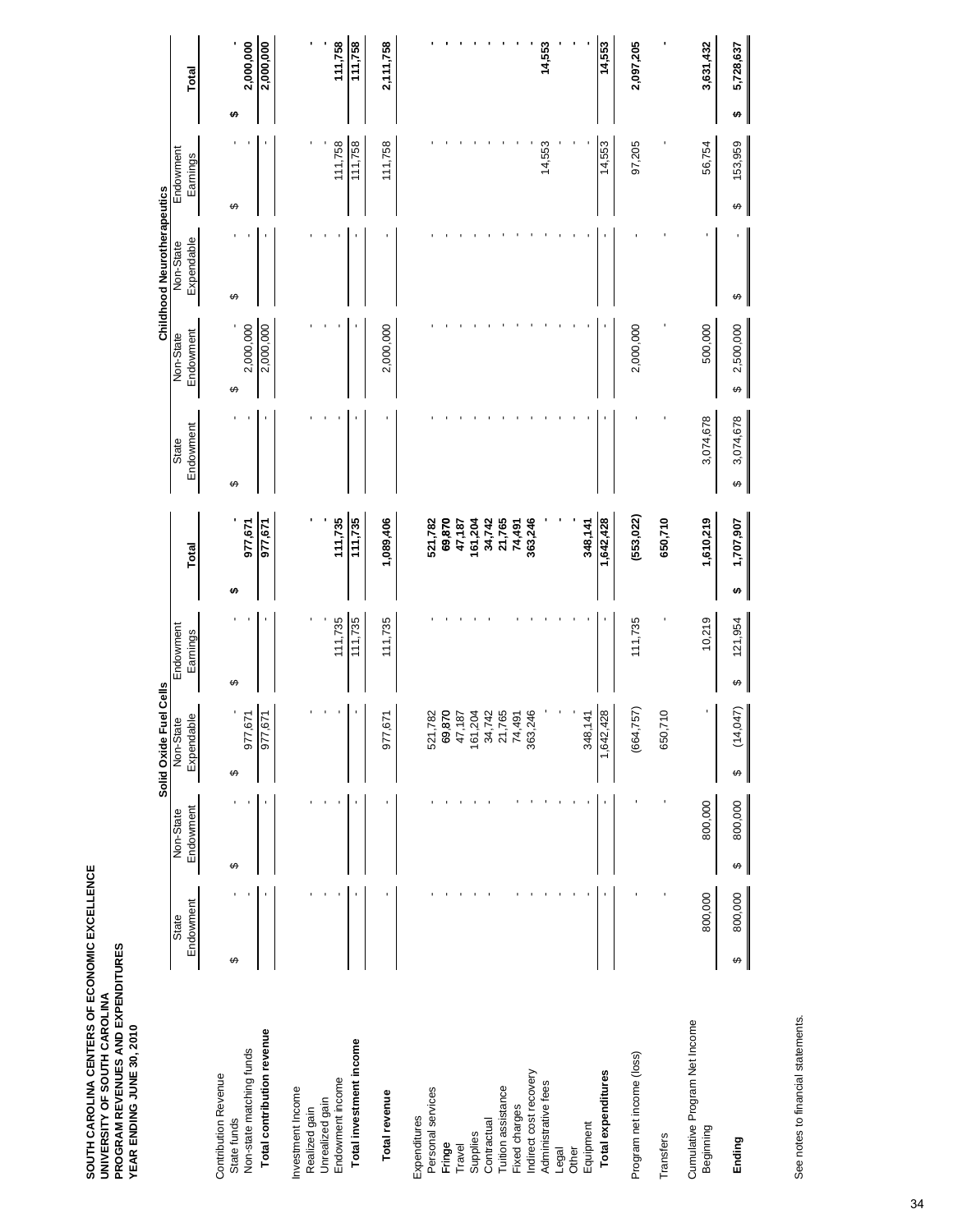|                                            |                    |                        | Solid Oxide Fuel Cells                |                       |                   |                    |                                     | <b>Childhood Neurotherapeutics</b> |                       |                |
|--------------------------------------------|--------------------|------------------------|---------------------------------------|-----------------------|-------------------|--------------------|-------------------------------------|------------------------------------|-----------------------|----------------|
|                                            | Endowment<br>State | Endowment<br>Non-State | Expendable<br>Non-State               | Endowment<br>Earnings | <b>Total</b>      | Endowment<br>State | Endowment<br>Non-State              | Expendable<br>Non-State            | Endowment<br>Earnings | Total          |
| <b>Contribution Revenue</b>                | ↔                  | ↔                      | ↮                                     | ↮                     | G٩                | ↮                  | ↔                                   | ↔                                  | ↮                     | ↮              |
| Non-state matching funds<br>State funds    |                    |                        | 977,671                               |                       | 977,671           |                    | 2,000,000                           |                                    |                       | 2,000,000      |
| Total contribution revenue                 |                    |                        | 071 ل<br>977,                         |                       | 977,671           |                    | 2,000,000                           |                                    |                       | 2,000,000      |
| Investment Income<br>Realized gain         |                    |                        |                                       |                       |                   |                    |                                     |                                    |                       |                |
| Unrealized gain                            |                    |                        |                                       |                       |                   |                    |                                     |                                    |                       |                |
| Endowment income                           |                    |                        |                                       | 111,735               | 111,735           |                    |                                     |                                    | 111,758               | 111,758        |
| Total investment income                    |                    |                        |                                       | 111,735               | 111,735           |                    |                                     |                                    | 111,758               | 111,758        |
| Total revenue                              |                    |                        | 671<br>977,                           | 111,735               | 1,089,406         |                    | 2,000,000                           |                                    | 111,758               | 2,111,758      |
| Expenditures                               |                    |                        |                                       |                       |                   |                    |                                     |                                    |                       |                |
| Personal services<br>Fringe                |                    |                        | 521,782                               |                       | 69,870<br>521,782 |                    |                                     |                                    |                       |                |
| Travel                                     |                    |                        | 69,870<br>47,187                      |                       | 47,187            |                    |                                     |                                    |                       |                |
| Supplies                                   |                    |                        |                                       |                       | 161,204           |                    |                                     |                                    |                       |                |
| Contractual                                |                    |                        |                                       |                       | 34,742            |                    |                                     |                                    |                       |                |
| Tuition assistance<br>Fixed charges        |                    |                        | 161,204<br>34,742<br>21,765<br>74,491 |                       | 21,765<br>74,491  |                    |                                     |                                    |                       |                |
| Indirect cost recovery                     |                    |                        | 246<br>363                            |                       | 363,246           |                    |                                     |                                    |                       |                |
| Administrative fees                        |                    |                        |                                       |                       |                   |                    |                                     |                                    | 14,553                | 14,553         |
| Legal                                      |                    |                        |                                       |                       |                   |                    |                                     |                                    |                       |                |
| Equipment<br>Other                         |                    |                        | 348,141                               |                       | 348,141           |                    |                                     |                                    |                       |                |
| <b>Total expenditures</b>                  |                    |                        | 1,642,428                             |                       | 1,642,428         |                    |                                     |                                    | 14,553                | 14,553         |
| Program net income (loss)                  |                    |                        | (664, 757)                            | 111,735               | (553, 022)        |                    | 2,000,000                           |                                    | 97,205                | 2,097,205      |
| Transfers                                  |                    |                        | 650,710                               |                       | 650,710           |                    |                                     |                                    |                       |                |
| Cumulative Program Net Income<br>Beginning | 800,000            | 800,000                |                                       | 10,219                | 1,610,219         | 3,074,678          | 500,000                             |                                    | 56,754                | 3,631,432      |
| Ending                                     | 800,000<br>↔       | 800,000<br>↮           | (14,047)<br>↮                         | 121,954<br>↮          | 1,707,907<br>↮    | 3,074,678<br>↮     | 2,500,000<br>$\boldsymbol{\varphi}$ | ↮                                  | 153,959<br>↮          | 5,728,637<br>↮ |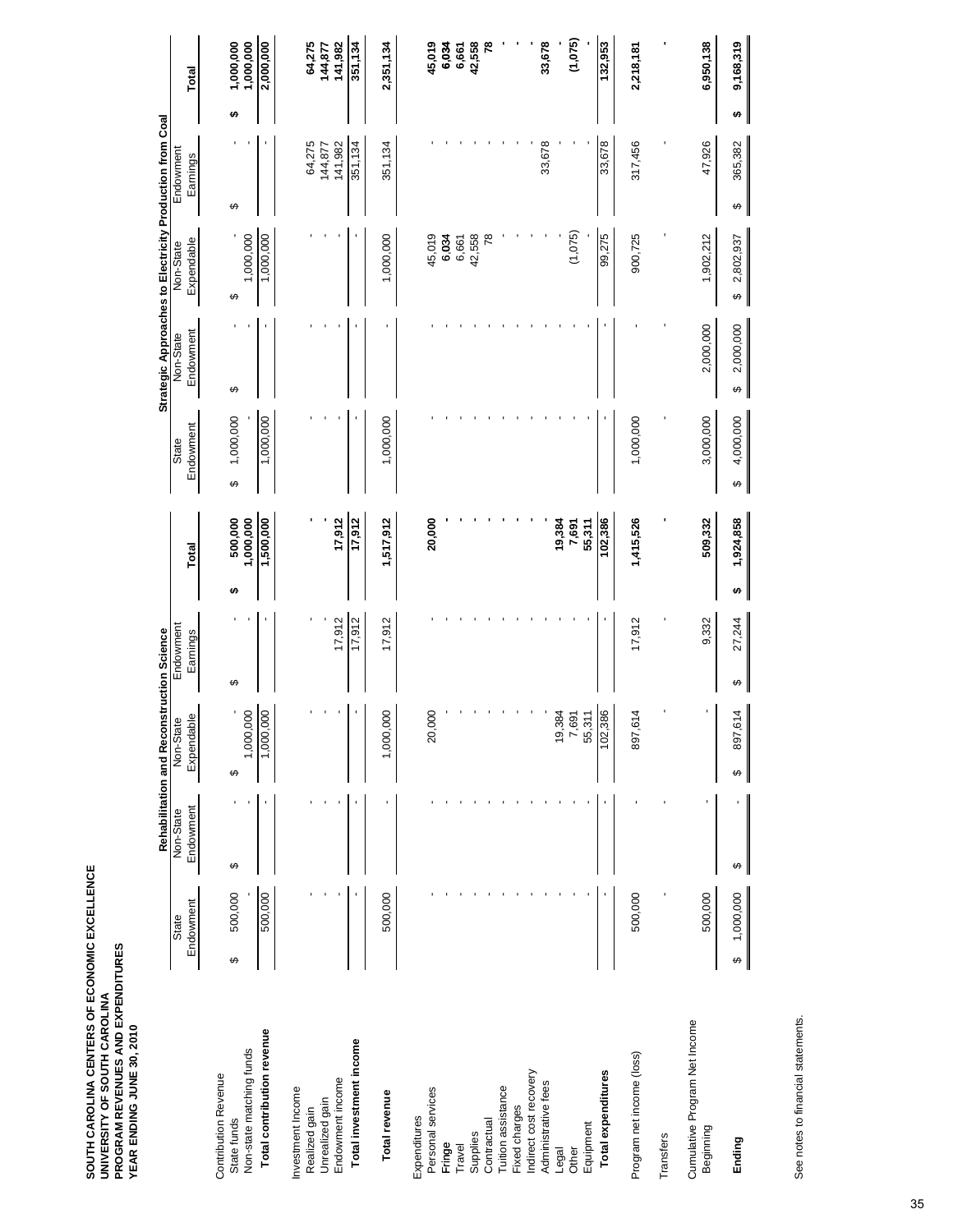|                                            |                       |           | Rehabilitation and Reconstruction Science |             |       |                                     |           |                       | Strategic Approaches to Electricity Production from Coal |                   |    |                   |
|--------------------------------------------|-----------------------|-----------|-------------------------------------------|-------------|-------|-------------------------------------|-----------|-----------------------|----------------------------------------------------------|-------------------|----|-------------------|
|                                            | State                 | Non-State | Non-State                                 | Endowment   |       |                                     | State     | Non-State             | Non-State                                                | Endowment         |    |                   |
|                                            | Endowment             | Endowment | Expendable                                | Earnings    | Total |                                     | Endowment | Endowment             | Expendable                                               | Earnings          |    | Total             |
| <b>Contribution Revenue</b><br>State funds | 500,000<br>↮          | ↔         | ↔                                         | ↮           | မာ    | ↔<br>500,000                        | 1,000,000 | ↮                     | ↔                                                        | ↮                 | မာ | 1,000,000         |
| Non-state matching funds                   |                       |           | 000<br>1,000                              |             |       | 1,000,000                           |           |                       | 1,000,000                                                |                   |    | 1,000,000         |
| Total contribution revenue                 | 500,000               |           | 000<br>1,000,                             |             |       | 1,500,000                           | 1,000,000 |                       | 1,000,000                                                |                   |    | 2,000,000         |
| Investment Income                          |                       |           |                                           |             |       |                                     |           |                       |                                                          |                   |    |                   |
| Unrealized gain<br>Realized gain           |                       |           |                                           |             |       |                                     |           |                       |                                                          | 64,275<br>144,877 |    | 64,275<br>144,877 |
| Endowment income                           |                       |           |                                           | 17,912      |       | 17,912                              |           |                       |                                                          | 141,982           |    | 141,982           |
| Total investment income                    |                       |           |                                           | 17,912      |       | 17,912                              |           |                       |                                                          | 351,134           |    | 351,134           |
| Total revenue                              | 500,000               |           | 000<br>1,000                              | 17,912      |       | 1,517,912                           | 1,000,000 |                       | 1,000,000                                                | 351,134           |    | 2,351,134         |
| Expenditures                               |                       |           |                                           |             |       |                                     |           |                       |                                                          |                   |    |                   |
| Personal services<br>Fringe                |                       |           | 000<br>$\overline{20}$                    |             |       | 20,000                              |           |                       | 45,019<br>6,034                                          |                   |    | 45,019<br>6,034   |
| Travel                                     |                       |           |                                           |             |       |                                     |           |                       | 6,661                                                    |                   |    |                   |
| Supplies                                   |                       |           |                                           |             |       |                                     |           |                       | 42,558                                                   |                   |    | 6,661<br>42,558   |
| Contractual                                |                       |           |                                           |             |       |                                     |           |                       | $\overline{78}$                                          |                   |    | ۴Š                |
| Tuition assistance                         |                       |           |                                           |             |       |                                     |           |                       |                                                          |                   |    |                   |
| Fixed charges                              |                       |           |                                           |             |       |                                     |           |                       |                                                          |                   |    |                   |
| Indirect cost recovery                     |                       |           |                                           |             |       |                                     |           |                       |                                                          |                   |    |                   |
| Administrative fees<br>Legal               |                       |           | ,384<br>é,                                |             |       | 19,384                              |           |                       |                                                          | 33,678            |    | 33,678            |
| Other                                      |                       |           | ,691<br>$\overline{ }$                    |             |       | 7,691                               |           |                       | (1,075)                                                  |                   |    | (1,075)           |
| Equipment                                  |                       |           | 311<br>55                                 |             |       | 55,311                              |           |                       |                                                          |                   |    |                   |
| Total expenditures                         |                       |           | ,386<br>102                               |             |       | 102,386                             |           |                       | 99,275                                                   | 33,678            |    | 132,953           |
| Program net income (loss)                  | 500,000               |           | 614<br>897                                | 17,912      |       | 1,415,526                           | 1,000,000 |                       | 900,725                                                  | 317,456           |    | 2,218,181         |
| Transfers                                  |                       |           |                                           |             |       |                                     |           |                       |                                                          |                   |    |                   |
| Cumulative Program Net Income<br>Beginning | 500,000               |           |                                           | 9,332       |       | 509,332                             | 3,000,000 | 2,000,000             | 1,902,212                                                | 47,926            |    | 6,950,138         |
| Ending                                     | 1,000,000<br>$\theta$ | ↮         | 614<br>897<br>↔                           | 27,244<br>↮ | ↮     | $\boldsymbol{\varphi}$<br>1,924,858 | 4,000,000 | 2,000,000<br>$\theta$ | 2,802,937<br>$\leftrightarrow$                           | 365,382<br>↮      | ↮  | 9,168,319         |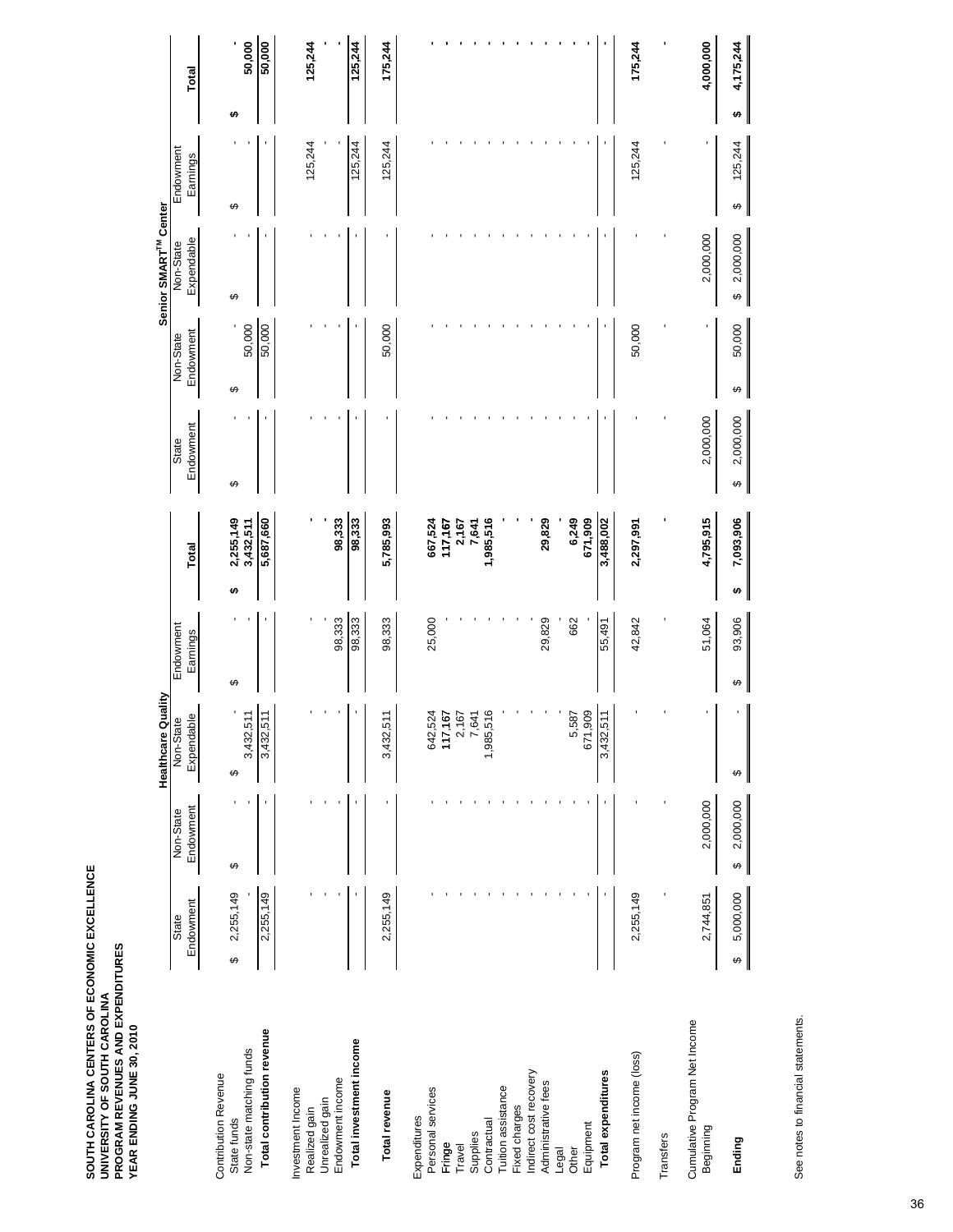|                                            |                |                       | Healthcare Quality     |             |                    |                       |             | Senior SMART <sup>TM</sup> Center |              |       |           |
|--------------------------------------------|----------------|-----------------------|------------------------|-------------|--------------------|-----------------------|-------------|-----------------------------------|--------------|-------|-----------|
|                                            | State          | Non-State             | Non-State              | Endowment   |                    | State                 | Non-State   | Non-State                         | Endowment    |       |           |
|                                            | Endowment      | Endowment             | Expendable             | Earnings    | Total              | Endowment             | Endowment   | Expendable                        | Earnings     | Total |           |
| <b>Contribution Revenue</b><br>State funds | 2,255,149<br>↮ | ↮                     | ↔                      | ↔           | 2,255,149<br>မာ    | ↮                     | ↔           | ↔                                 | ↮            | ↮     |           |
| Non-state matching funds                   |                |                       | 3,432,511              |             | 3,432,511          |                       | 50,000      |                                   |              |       | 50,000    |
| Total contribution revenue                 | 2,255,149      |                       | 511<br>3,432,          |             | 5,687,660          |                       | 50,000      |                                   |              |       | 50,000    |
| Investment Income                          |                |                       |                        |             |                    |                       |             |                                   |              |       |           |
| Unrealized gain<br>Realized gain           |                |                       |                        |             |                    |                       |             |                                   | 125,244      |       | 125,244   |
| Endowment income                           |                |                       |                        | 98,333      | 98,333             |                       |             |                                   |              |       |           |
| Total investment income                    |                |                       |                        | 98,333      | 98,333             |                       |             |                                   | 125,244      |       | 125,244   |
| Total revenue                              | 2,255,149      |                       | 511<br>3,432,          | 98,333      | 5,785,993          |                       | 50,000      |                                   | 125,244      |       | 175,244   |
| Expenditures                               |                |                       |                        |             |                    |                       |             |                                   |              |       |           |
| Personal services<br>Fringe                |                |                       | 524<br>117,167<br>642, | 25,000      | 667,524<br>117,167 |                       |             |                                   |              |       |           |
| Travel                                     |                |                       |                        |             | 2,167              |                       |             |                                   |              |       |           |
| Supplies                                   |                |                       | 2,167<br>7,641<br>,641 |             | 7,641              |                       |             |                                   |              |       |           |
| Contractual                                |                |                       | 516<br>1,985,          |             | 1,985,516          |                       |             |                                   |              |       |           |
| Tuition assistance                         |                |                       |                        |             |                    |                       |             |                                   |              |       |           |
| Fixed charges                              |                |                       |                        |             |                    |                       |             |                                   |              |       |           |
| Indirect cost recovery                     |                |                       |                        |             |                    |                       |             |                                   |              |       |           |
| Administrative fees                        |                |                       |                        | 29,829      | 29,829             |                       |             |                                   |              |       |           |
| Legal                                      |                |                       |                        |             |                    |                       |             |                                   |              |       |           |
| Equipment<br>Other                         |                |                       | 671,909<br>587<br>Ю    | 662         | 6,249<br>671,909   |                       |             |                                   |              |       |           |
| Total expenditures                         |                |                       | 511<br>3,432,          | 55,491      | 3,488,002          |                       |             |                                   |              |       |           |
| Program net income (loss)                  | 2,255,149      |                       |                        | 42,842      | 2,297,991          |                       | 50,000      |                                   | 125,244      |       | 175,244   |
| Transfers                                  |                |                       |                        |             |                    |                       |             |                                   |              |       |           |
| Cumulative Program Net Income<br>Beginning | 2,744,851      | 2,000,000             |                        | 51,064      | 4,795,915          | 2,000,000             |             | 2,000,000                         |              |       | 4,000,000 |
| Ending                                     | 5,000,000<br>↔ | 2,000,000<br>$\Theta$ | ↮                      | 93,906<br>↮ | 7,093,906<br>↮     | 2,000,000<br>$\theta$ | 50,000<br>↮ | 2,000,000<br>$\leftrightarrow$    | 125,244<br>↮ | ↮     | 4,175,244 |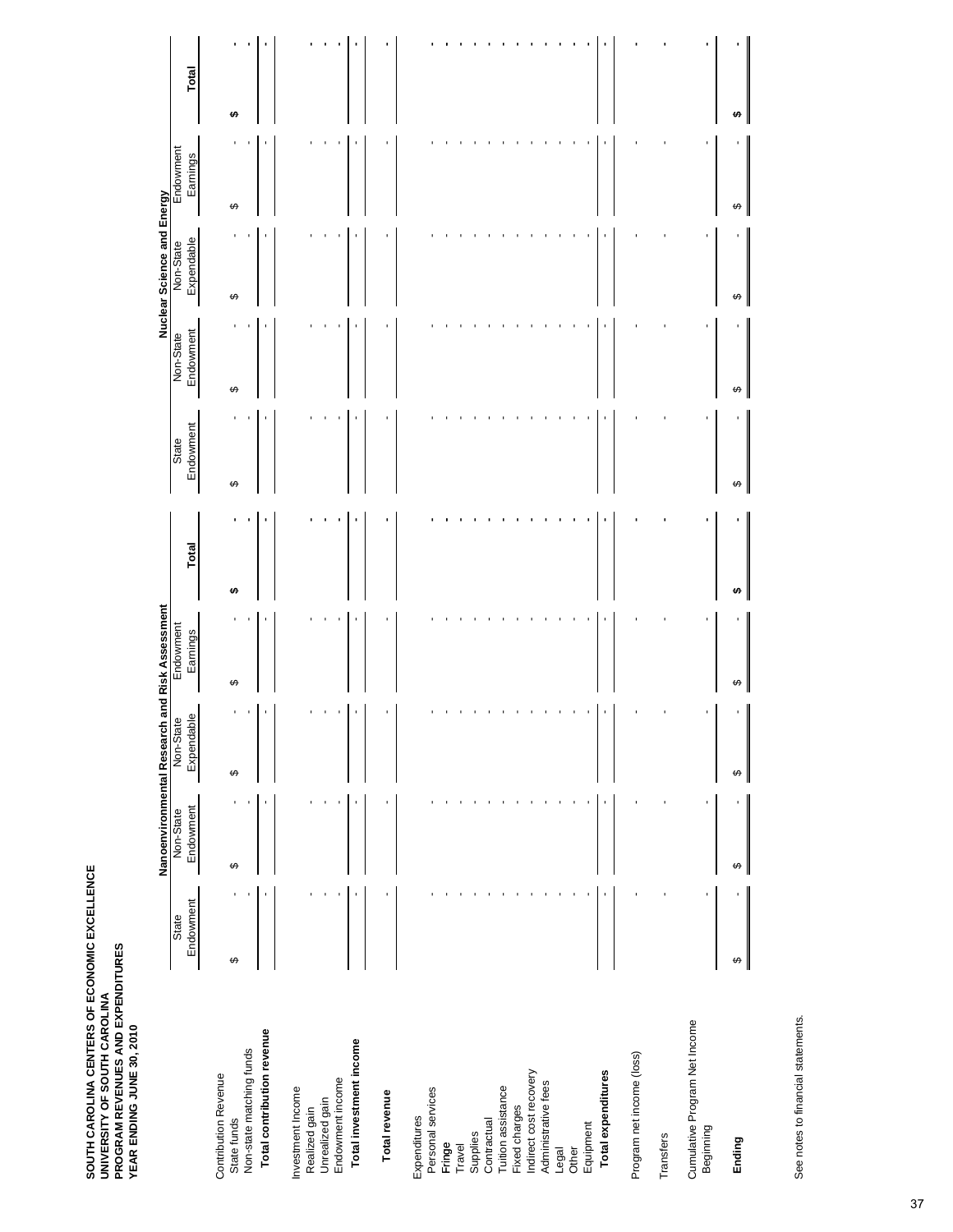|                                            |                    |                | Nanoenvironmental Research |                |                         | and Risk Assessment   |       |                    |                        | Nuclear Science and Energy |                       |       |
|--------------------------------------------|--------------------|----------------|----------------------------|----------------|-------------------------|-----------------------|-------|--------------------|------------------------|----------------------------|-----------------------|-------|
|                                            | Endowment<br>State |                | Endowment<br>Non-State     |                | Expendable<br>Non-State | Endowment<br>Earnings | Total | Endowment<br>State | Endowment<br>Non-State | Expendable<br>Non-State    | Endowment<br>Earnings | Total |
| <b>Contribution Revenue</b><br>State funds | ↮                  | t              | ı<br>↮                     | ↔              |                         | ↮                     | ₩     | ↮                  | ↮                      | ↮                          | ↮                     | ↮     |
| Non-state matching funds                   |                    |                |                            | ٠              |                         |                       |       |                    |                        |                            |                       |       |
| Total contribution revenue                 |                    |                |                            | ı              |                         |                       |       |                    |                        |                            |                       | ı     |
| Investment Income                          |                    |                |                            |                |                         |                       |       |                    |                        |                            |                       |       |
| Unrealized gain<br>Realized gain           |                    |                |                            |                |                         |                       |       |                    |                        |                            |                       |       |
| Endowment income                           |                    |                |                            |                |                         |                       |       |                    |                        |                            |                       |       |
| Total investment income                    |                    | ı              |                            | ٠              |                         |                       |       |                    |                        |                            |                       |       |
| Total revenue                              |                    | ı              |                            | f,             |                         |                       |       |                    |                        |                            |                       |       |
| Expenditures                               |                    |                |                            |                |                         |                       |       |                    |                        |                            |                       |       |
| Personal services                          |                    |                |                            |                |                         |                       |       |                    |                        |                            |                       |       |
| Fringe                                     |                    |                |                            |                |                         |                       |       |                    |                        |                            |                       |       |
| Travel                                     |                    |                |                            |                |                         |                       |       |                    |                        |                            |                       |       |
| Supplies                                   |                    |                |                            |                |                         |                       |       |                    |                        |                            |                       |       |
| Contractual                                |                    |                |                            |                |                         |                       |       |                    |                        |                            |                       |       |
| Tuition assistance                         |                    |                |                            |                |                         |                       |       |                    |                        |                            |                       |       |
| Fixed charges                              |                    |                |                            |                |                         |                       |       |                    |                        |                            |                       |       |
| Indirect cost recovery                     |                    |                |                            |                |                         |                       |       |                    |                        |                            |                       |       |
| Administrative fees                        |                    |                |                            |                |                         |                       |       |                    |                        |                            |                       |       |
| Legal                                      |                    |                |                            |                |                         |                       |       |                    |                        |                            |                       |       |
| Other                                      |                    |                |                            |                |                         |                       |       |                    |                        |                            |                       |       |
| Equipment                                  |                    |                |                            |                |                         |                       |       |                    |                        |                            |                       |       |
| Total expenditures                         |                    | $\blacksquare$ |                            | $\blacksquare$ |                         |                       |       |                    |                        |                            |                       |       |
| Program net income (loss)                  |                    |                |                            |                |                         |                       |       |                    |                        |                            |                       |       |
|                                            |                    |                |                            |                |                         |                       |       |                    |                        |                            |                       |       |
| Transfers                                  |                    |                |                            |                |                         |                       |       |                    |                        |                            |                       |       |
| Cumulative Program Net Income<br>Beginning |                    | ı              |                            | ٠              |                         |                       |       |                    |                        |                            |                       |       |
| Ending                                     | ↔                  |                | ↮                          | ↔              |                         | €.                    |       | G.                 |                        | €.                         | €.                    |       |

See notes to financial statements. See notes to financial statements.

I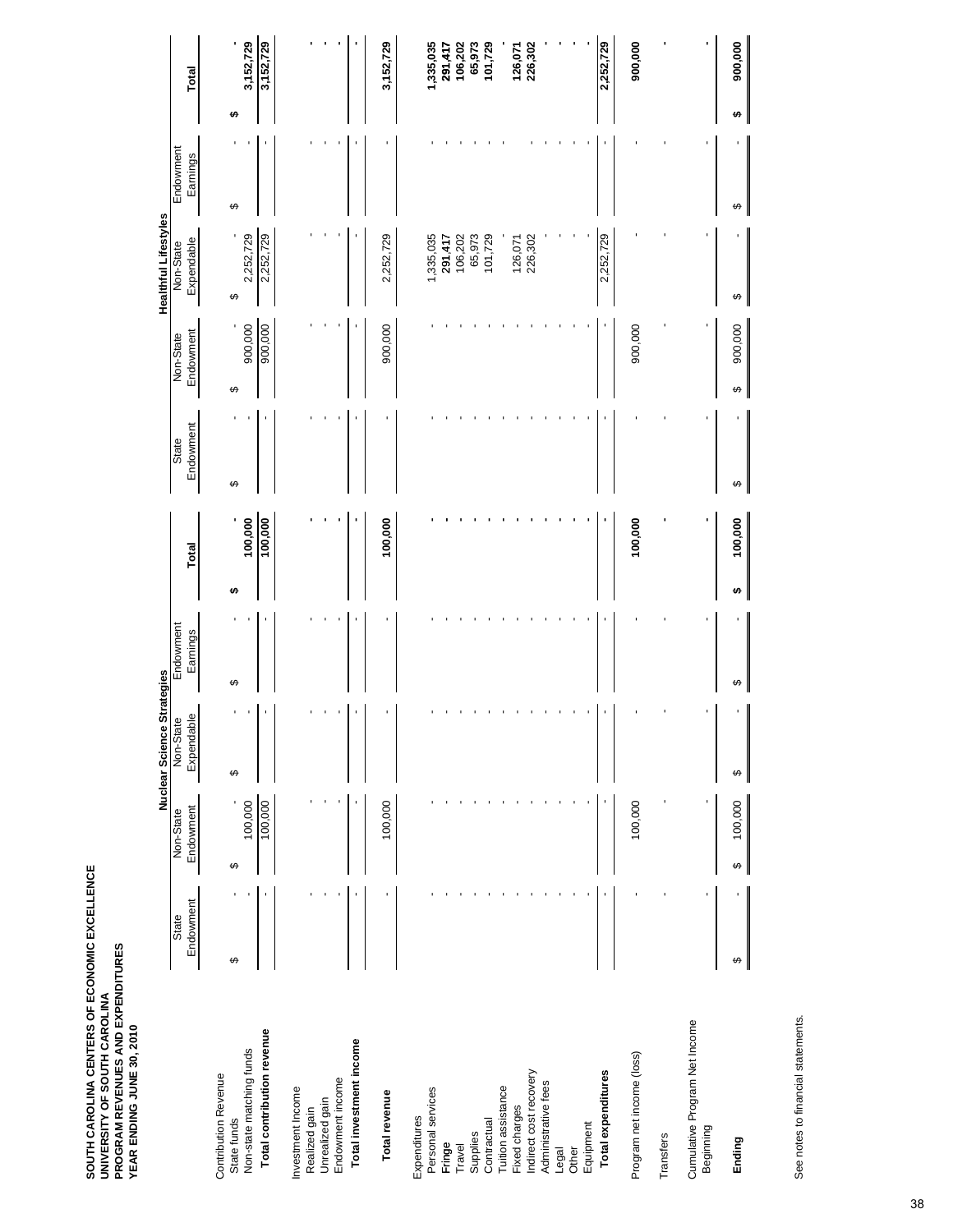|                                            |           |              | Nuclear Science Strategies |           |              |           |              | <b>Healthful Lifestyles</b> |           |              |
|--------------------------------------------|-----------|--------------|----------------------------|-----------|--------------|-----------|--------------|-----------------------------|-----------|--------------|
|                                            | State     | Non-State    | Non-State                  | Endowment |              | State     | Non-State    | Non-State                   | Endowment |              |
|                                            | Endowment | Endowment    | Expendable                 | Earnings  | Total        | Endowment | Endowment    | Expendable                  | Earnings  | Total        |
| <b>Contribution Revenue</b><br>State funds | ↮         | ↔            | ↔                          | $\Theta$  | Ψ            | ↔         | ↔            | ക                           | ↔         | မာ           |
| Non-state matching funds                   |           | 100,000      |                            |           | 100,000      |           | 900,000      | 2,252,729                   |           | 3,152,729    |
| Total contribution revenue                 |           | 100,000      |                            |           | 100,000      |           | 900,000      | 2,252,729                   |           | 3,152,729    |
| Investment Income                          |           |              |                            |           |              |           |              |                             |           |              |
| Realized gain                              |           |              |                            |           |              |           |              |                             |           |              |
| Unrealized gain                            |           |              |                            |           |              |           |              |                             |           |              |
| Endowment income                           |           |              |                            |           |              |           |              |                             |           |              |
| Total investment income                    |           |              |                            |           |              |           |              |                             |           | t            |
| Total revenue                              |           | 100,000      |                            |           | 100,000      |           | 900,000      | 2,252,729                   |           | 3,152,729    |
| Expenditures                               |           |              |                            |           |              |           |              |                             |           |              |
| Personal services                          |           |              |                            |           |              |           |              | 1,335,035                   |           | 1,335,035    |
| Fringe                                     |           |              |                            |           |              |           |              | 291,417                     |           | 291,417      |
| Travel                                     |           |              |                            |           |              |           |              | 106,202                     |           | 106,202      |
| Supplies                                   |           |              |                            |           |              |           |              | 65,973                      |           | 65,973       |
| Contractual                                |           |              |                            |           |              |           |              | 101,729                     |           | 101,729      |
| Tuition assistance                         |           |              |                            |           |              |           |              |                             |           |              |
| Fixed charges                              |           |              |                            |           |              |           |              | 126,071                     |           | 126,071      |
| Indirect cost recovery                     |           |              |                            |           |              |           |              | 226,302                     |           | 226,302      |
| Administrative fees                        |           |              |                            |           |              |           |              |                             |           |              |
| Other<br>Legal                             |           |              |                            |           |              |           |              |                             |           |              |
| Equipment                                  |           |              |                            |           |              |           |              |                             |           |              |
| Total expenditures                         |           |              |                            |           |              |           |              | 2,252,729                   |           | 2,252,729    |
| Program net income (loss)                  |           | 100,000      |                            |           | 100,000      |           | 900,000      |                             |           | 900,000      |
| Transfers                                  |           |              |                            |           |              |           |              |                             |           |              |
| Cumulative Program Net Income<br>Beginning | ı         | ı            |                            |           |              |           |              |                             |           |              |
| Ending                                     | ↮         | 100,000<br>↮ | ↮                          | ↮         | 100,000<br>↮ | ↮         | 900,000<br>↮ | ↮                           | ↮         | 900,000<br>↮ |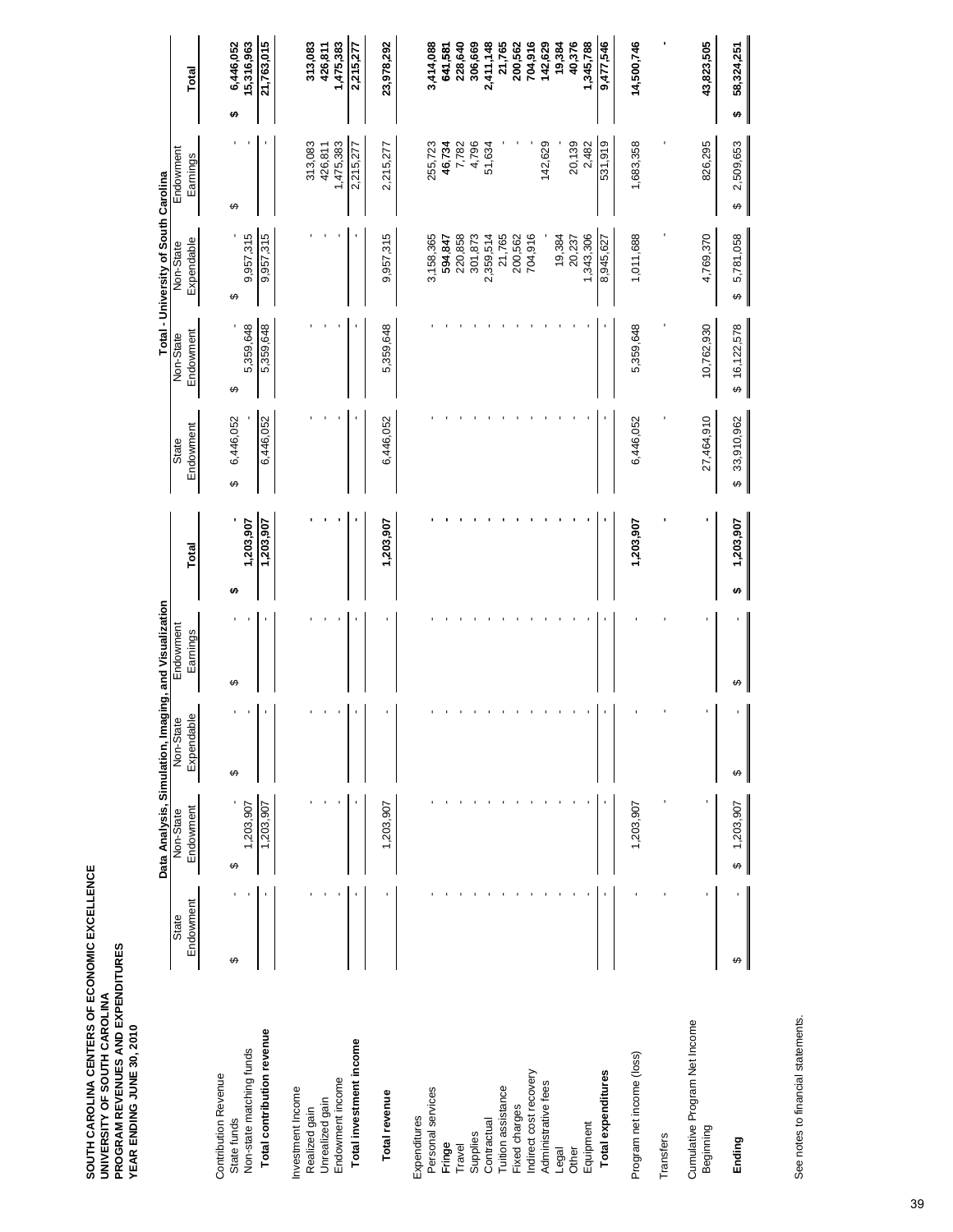|                                                                 |                    |                        |                         | Data Analysis, Simulation, Imaging, and Visualization |                |                        |                        | Total - University of South Carolina |                        |                              |
|-----------------------------------------------------------------|--------------------|------------------------|-------------------------|-------------------------------------------------------|----------------|------------------------|------------------------|--------------------------------------|------------------------|------------------------------|
|                                                                 | Endowment<br>State | Endowment<br>Non-State | Expendable<br>Non-State | Endowment<br>Earnings                                 | Total          | Endowment<br>State     | Endowment<br>Non-State | Expendable<br>Non-State              | Endowment<br>Earnings  | <b>Total</b>                 |
| Non-state matching funds<br>Contribution Revenue<br>State funds | ↮                  | 1,203,907<br>↮         | ↮                       | ↮                                                     | 1,203,907<br>↮ | 6,446,052<br>↮         | 5,359,648<br>↔         | 9,957,315<br>↮                       | ↮                      | 6,446,052<br>15,316,963<br>↮ |
| Total contribution revenue                                      |                    | 1,203,907              |                         |                                                       | 1,203,907      | 6,446,052              | 5,359,648              | 9,957,315                            |                        | 21,763,015                   |
| Investment Income<br>Realized gain                              |                    |                        |                         |                                                       |                |                        |                        |                                      | 313,083                | 313,083                      |
| Unrealized gain                                                 |                    |                        |                         |                                                       |                |                        |                        |                                      | 426,811                | 426,811                      |
| Total investment income<br>Endowment income                     |                    |                        |                         |                                                       |                |                        |                        |                                      | 1,475,383<br>2,215,277 | 1,475,383<br>2,215,277       |
| Total revenue                                                   |                    | 1,203,907              |                         |                                                       | 1,203,907      | 6,446,052              | 5,359,648              | 9,957,315                            | 2,215,277              | 23,978,292                   |
| Expenditures                                                    |                    |                        |                         |                                                       |                |                        |                        |                                      |                        |                              |
| Personal services                                               |                    |                        |                         |                                                       |                |                        |                        | 3,158,365                            | 255,723                | 3,414,088                    |
| Fringe                                                          |                    |                        |                         |                                                       |                |                        |                        | 594,847                              | 46,734                 | 641,581                      |
| Travel                                                          |                    |                        |                         |                                                       |                |                        |                        | 220,858                              | 7,782                  | 228,640                      |
| Supplies                                                        |                    |                        |                         |                                                       |                |                        |                        | 301,873                              | 4,796                  | 306,669                      |
| Contractual                                                     |                    |                        |                         |                                                       |                |                        |                        | 2,359,514                            | 51,634                 | 2,411,148                    |
| Tuition assistance                                              |                    |                        |                         |                                                       |                |                        |                        | 21,765                               |                        | 21,765                       |
| Fixed charges                                                   |                    |                        |                         |                                                       |                |                        |                        | 200,562                              |                        | 200,562                      |
| Indirect cost recovery                                          |                    |                        |                         |                                                       |                |                        |                        | 704,916                              |                        | 704,916                      |
| Administrative fees                                             |                    |                        |                         |                                                       |                |                        |                        |                                      | 142,629                | 142,629                      |
| Legal                                                           |                    |                        |                         |                                                       |                |                        |                        | 19,384                               |                        | 19,384                       |
| Equipment<br>Other                                              |                    |                        |                         |                                                       |                |                        |                        | 1,343,306<br>20,237                  | 20,139<br>2,482        | 40,376<br>1,345,788          |
|                                                                 |                    |                        |                         |                                                       |                |                        |                        |                                      |                        |                              |
| Total expenditures                                              |                    |                        |                         |                                                       |                |                        |                        | 8,945,627                            | 531,919                | 9,477,546                    |
| Program net income (loss)                                       |                    | 1,203,907              |                         |                                                       | 1,203,907      | 6,446,052              | 5,359,648              | 1,011,688                            | 1,683,358              | 14,500,746                   |
| Transfers                                                       |                    |                        |                         |                                                       |                |                        |                        |                                      |                        |                              |
| Cumulative Program Net Income<br>Beginning                      |                    |                        |                         |                                                       |                | 27,464,910             | 10,762,930             | 4,769,370                            | 826,295                | 43,823,505                   |
| Ending                                                          | ↮                  | 1,203,907<br>ക         | ↮                       | ↮                                                     | 1,203,907<br>↮ | 33,910,962<br>$\theta$ | \$16,122,578           | 5,781,058<br>↔                       | 2,509,653<br>↮         | 58,324,251<br>↔              |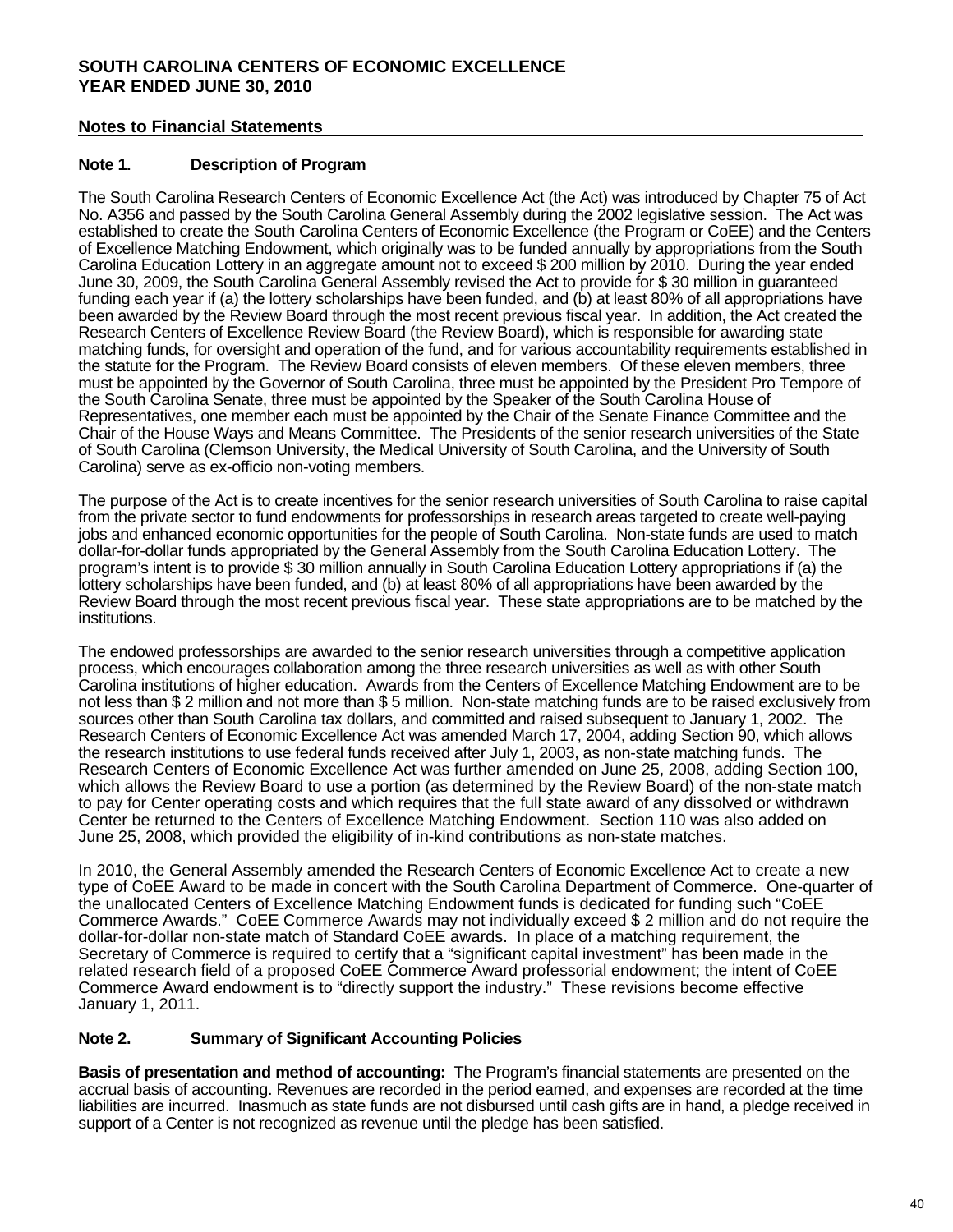### **SOUTH CAROLINA CENTERS OF ECONOMIC EXCELLENCE YEAR ENDED JUNE 30, 2010**

### **Notes to Financial Statements**

#### **Note 1. Description of Program**

The South Carolina Research Centers of Economic Excellence Act (the Act) was introduced by Chapter 75 of Act No. A356 and passed by the South Carolina General Assembly during the 2002 legislative session. The Act was established to create the South Carolina Centers of Economic Excellence (the Program or CoEE) and the Centers of Excellence Matching Endowment, which originally was to be funded annually by appropriations from the South Carolina Education Lottery in an aggregate amount not to exceed \$ 200 million by 2010. During the year ended June 30, 2009, the South Carolina General Assembly revised the Act to provide for \$ 30 million in guaranteed funding each year if (a) the lottery scholarships have been funded, and (b) at least 80% of all appropriations have been awarded by the Review Board through the most recent previous fiscal year. In addition, the Act created the Research Centers of Excellence Review Board (the Review Board), which is responsible for awarding state matching funds, for oversight and operation of the fund, and for various accountability requirements established in the statute for the Program. The Review Board consists of eleven members. Of these eleven members, three must be appointed by the Governor of South Carolina, three must be appointed by the President Pro Tempore of the South Carolina Senate, three must be appointed by the Speaker of the South Carolina House of Representatives, one member each must be appointed by the Chair of the Senate Finance Committee and the Chair of the House Ways and Means Committee. The Presidents of the senior research universities of the State of South Carolina (Clemson University, the Medical University of South Carolina, and the University of South Carolina) serve as ex-officio non-voting members.

The purpose of the Act is to create incentives for the senior research universities of South Carolina to raise capital from the private sector to fund endowments for professorships in research areas targeted to create well-paying jobs and enhanced economic opportunities for the people of South Carolina. Non-state funds are used to match dollar-for-dollar funds appropriated by the General Assembly from the South Carolina Education Lottery. The program's intent is to provide \$ 30 million annually in South Carolina Education Lottery appropriations if (a) the lottery scholarships have been funded, and (b) at least 80% of all appropriations have been awarded by the Review Board through the most recent previous fiscal year. These state appropriations are to be matched by the institutions.

The endowed professorships are awarded to the senior research universities through a competitive application process, which encourages collaboration among the three research universities as well as with other South Carolina institutions of higher education. Awards from the Centers of Excellence Matching Endowment are to be not less than \$ 2 million and not more than \$ 5 million. Non-state matching funds are to be raised exclusively from sources other than South Carolina tax dollars, and committed and raised subsequent to January 1, 2002. The Research Centers of Economic Excellence Act was amended March 17, 2004, adding Section 90, which allows the research institutions to use federal funds received after July 1, 2003, as non-state matching funds. The Research Centers of Economic Excellence Act was further amended on June 25, 2008, adding Section 100, which allows the Review Board to use a portion (as determined by the Review Board) of the non-state match to pay for Center operating costs and which requires that the full state award of any dissolved or withdrawn Center be returned to the Centers of Excellence Matching Endowment. Section 110 was also added on June 25, 2008, which provided the eligibility of in-kind contributions as non-state matches.

 In 2010, the General Assembly amended the Research Centers of Economic Excellence Act to create a new type of CoEE Award to be made in concert with the South Carolina Department of Commerce. One-quarter of the unallocated Centers of Excellence Matching Endowment funds is dedicated for funding such "CoEE Commerce Awards." CoEE Commerce Awards may not individually exceed \$ 2 million and do not require the dollar-for-dollar non-state match of Standard CoEE awards. In place of a matching requirement, the Secretary of Commerce is required to certify that a "significant capital investment" has been made in the related research field of a proposed CoEE Commerce Award professorial endowment; the intent of CoEE Commerce Award endowment is to "directly support the industry." These revisions become effective January 1, 2011.

#### **Note 2. Summary of Significant Accounting Policies**

**Basis of presentation and method of accounting:** The Program's financial statements are presented on the accrual basis of accounting. Revenues are recorded in the period earned, and expenses are recorded at the time liabilities are incurred. Inasmuch as state funds are not disbursed until cash gifts are in hand, a pledge received in support of a Center is not recognized as revenue until the pledge has been satisfied.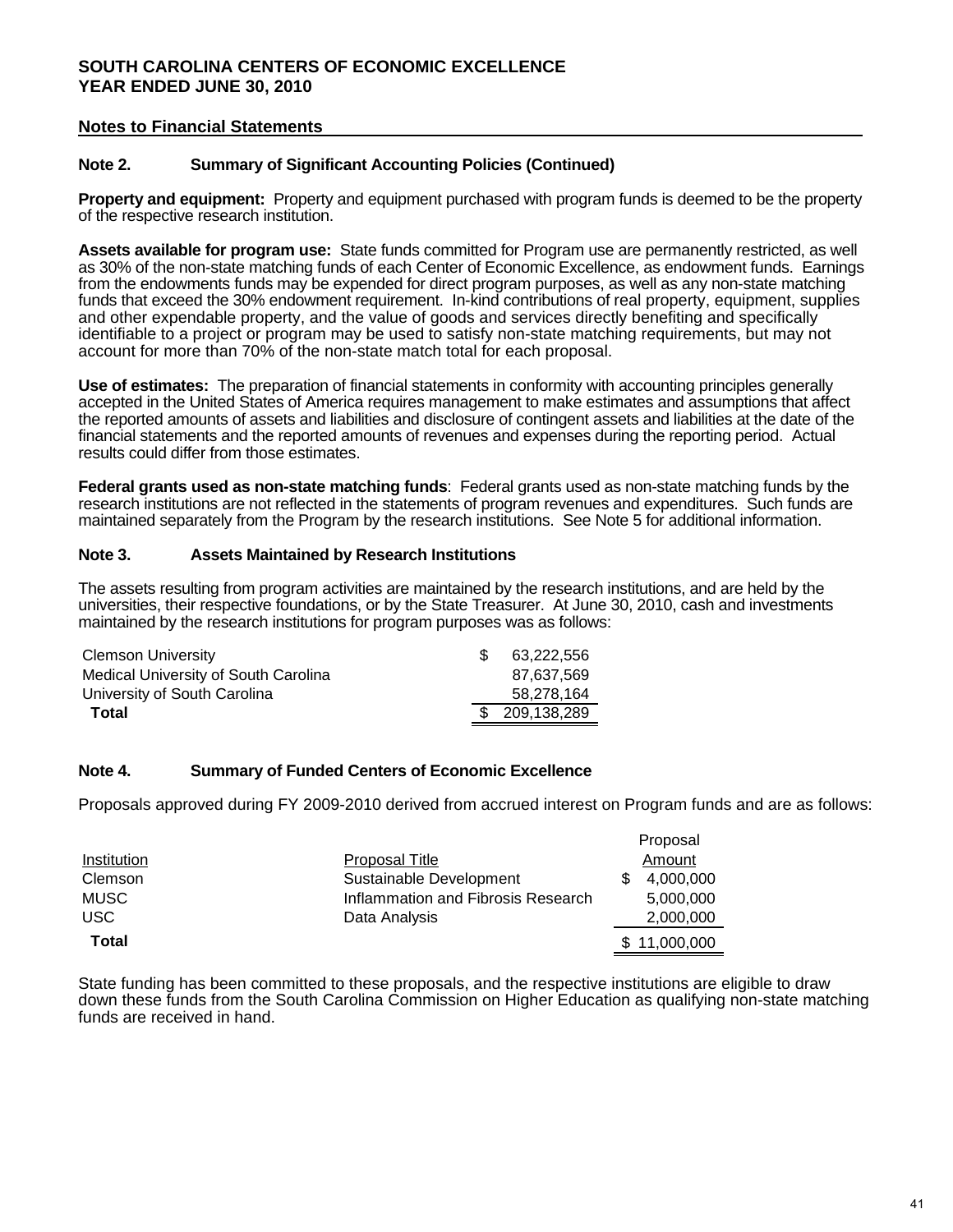### **SOUTH CAROLINA CENTERS OF ECONOMIC EXCELLENCE YEAR ENDED JUNE 30, 2010**

#### **Notes to Financial Statements**

#### **Note 2. Summary of Significant Accounting Policies (Continued)**

**Property and equipment:** Property and equipment purchased with program funds is deemed to be the property of the respective research institution.

**Assets available for program use:** State funds committed for Program use are permanently restricted, as well as 30% of the non-state matching funds of each Center of Economic Excellence, as endowment funds. Earnings from the endowments funds may be expended for direct program purposes, as well as any non-state matching funds that exceed the 30% endowment requirement. In-kind contributions of real property, equipment, supplies and other expendable property, and the value of goods and services directly benefiting and specifically identifiable to a project or program may be used to satisfy non-state matching requirements, but may not account for more than 70% of the non-state match total for each proposal.

**Use of estimates:** The preparation of financial statements in conformity with accounting principles generally accepted in the United States of America requires management to make estimates and assumptions that affect the reported amounts of assets and liabilities and disclosure of contingent assets and liabilities at the date of the financial statements and the reported amounts of revenues and expenses during the reporting period. Actual results could differ from those estimates.

**Federal grants used as non-state matching funds**: Federal grants used as non-state matching funds by the research institutions are not reflected in the statements of program revenues and expenditures. Such funds are maintained separately from the Program by the research institutions. See Note 5 for additional information.

#### **Note 3. Assets Maintained by Research Institutions**

The assets resulting from program activities are maintained by the research institutions, and are held by the universities, their respective foundations, or by the State Treasurer. At June 30, 2010, cash and investments maintained by the research institutions for program purposes was as follows:

| <b>Clemson University</b>            | 63.222.556     |
|--------------------------------------|----------------|
| Medical University of South Carolina | 87.637.569     |
| University of South Carolina         | 58.278.164     |
| Total                                | \$ 209.138.289 |

#### **Note 4. Summary of Funded Centers of Economic Excellence**

Proposals approved during FY 2009-2010 derived from accrued interest on Program funds and are as follows:

Proposal

|             |                                    | <b>Proposal</b> |
|-------------|------------------------------------|-----------------|
| Institution | <b>Proposal Title</b>              | Amount          |
| Clemson     | Sustainable Development            | 4.000.000       |
| <b>MUSC</b> | Inflammation and Fibrosis Research | 5,000,000       |
| <b>USC</b>  | Data Analysis                      | 2,000,000       |
| Total       |                                    | \$11,000,000    |

State funding has been committed to these proposals, and the respective institutions are eligible to draw down these funds from the South Carolina Commission on Higher Education as qualifying non-state matching funds are received in hand.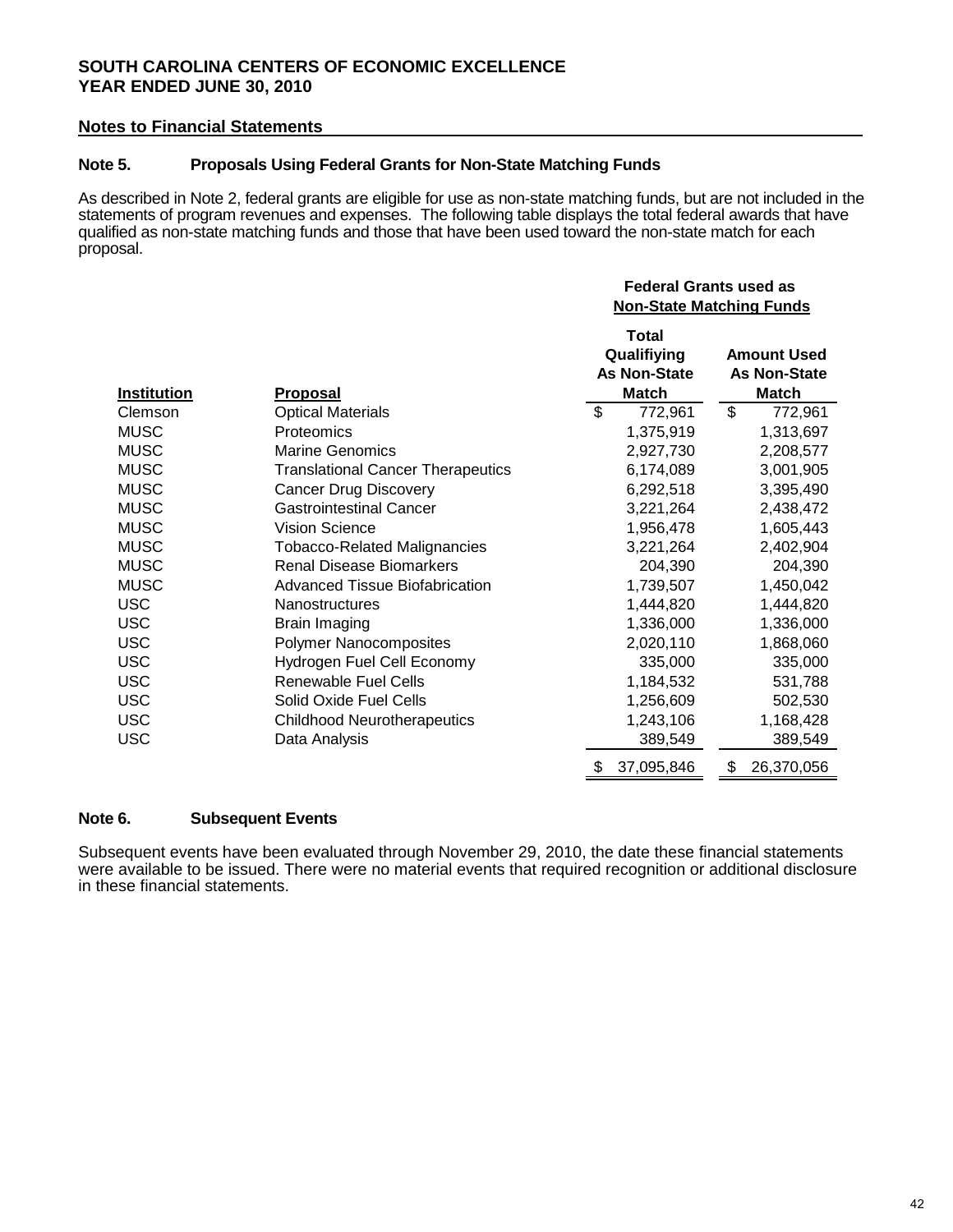### **SOUTH CAROLINA CENTERS OF ECONOMIC EXCELLENCE YEAR ENDED JUNE 30, 2010**

#### **Notes to Financial Statements**

#### **Note 5. Proposals Using Federal Grants for Non-State Matching Funds**

As described in Note 2, federal grants are eligible for use as non-state matching funds, but are not included in the statements of program revenues and expenses. The following table displays the total federal awards that have qualified as non-state matching funds and those that have been used toward the non-state match for each proposal.

|                    |                                          |                                                             | <b>Federal Grants used as</b><br><b>Non-State Matching Funds</b> |
|--------------------|------------------------------------------|-------------------------------------------------------------|------------------------------------------------------------------|
| <b>Institution</b> | <u>Proposal</u>                          | <b>Total</b><br>Qualifiying<br><b>As Non-State</b><br>Match | <b>Amount Used</b><br><b>As Non-State</b><br>Match               |
| Clemson            | <b>Optical Materials</b>                 | \$<br>772,961                                               | \$<br>772,961                                                    |
| <b>MUSC</b>        | Proteomics                               | 1,375,919                                                   | 1,313,697                                                        |
| <b>MUSC</b>        | <b>Marine Genomics</b>                   | 2,927,730                                                   | 2,208,577                                                        |
| <b>MUSC</b>        | <b>Translational Cancer Therapeutics</b> | 6,174,089                                                   | 3,001,905                                                        |
| <b>MUSC</b>        | <b>Cancer Drug Discovery</b>             | 6,292,518                                                   | 3,395,490                                                        |
| <b>MUSC</b>        | <b>Gastrointestinal Cancer</b>           | 3,221,264                                                   | 2,438,472                                                        |
| <b>MUSC</b>        | <b>Vision Science</b>                    | 1,956,478                                                   | 1,605,443                                                        |
| <b>MUSC</b>        | <b>Tobacco-Related Malignancies</b>      | 3,221,264                                                   | 2,402,904                                                        |
| <b>MUSC</b>        | <b>Renal Disease Biomarkers</b>          | 204,390                                                     | 204,390                                                          |
| <b>MUSC</b>        | <b>Advanced Tissue Biofabrication</b>    | 1,739,507                                                   | 1,450,042                                                        |
| <b>USC</b>         | <b>Nanostructures</b>                    | 1,444,820                                                   | 1,444,820                                                        |
| <b>USC</b>         | <b>Brain Imaging</b>                     | 1,336,000                                                   | 1,336,000                                                        |
| <b>USC</b>         | <b>Polymer Nanocomposites</b>            | 2,020,110                                                   | 1,868,060                                                        |
| <b>USC</b>         | Hydrogen Fuel Cell Economy               | 335,000                                                     | 335,000                                                          |
| <b>USC</b>         | Renewable Fuel Cells                     | 1,184,532                                                   | 531,788                                                          |
| <b>USC</b>         | Solid Oxide Fuel Cells                   | 1,256,609                                                   | 502,530                                                          |
| <b>USC</b>         | <b>Childhood Neurotherapeutics</b>       | 1,243,106                                                   | 1,168,428                                                        |
| <b>USC</b>         | Data Analysis                            | 389,549                                                     | 389,549                                                          |
|                    |                                          | 37,095,846<br>\$                                            | \$<br>26,370,056                                                 |

#### **Note 6. Subsequent Events**

Subsequent events have been evaluated through November 29, 2010, the date these financial statements were available to be issued. There were no material events that required recognition or additional disclosure in these financial statements.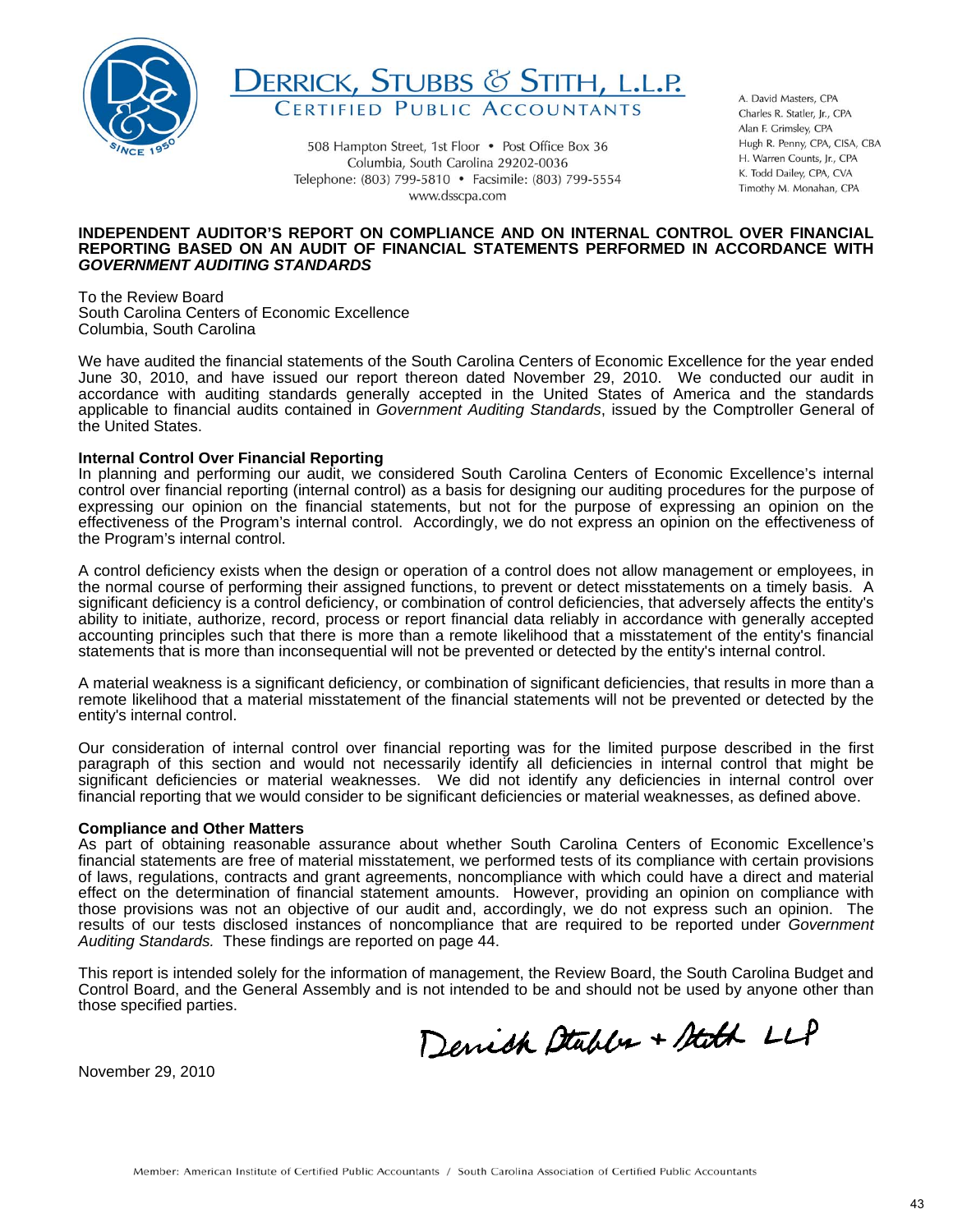



508 Hampton Street, 1st Floor • Post Office Box 36 Columbia, South Carolina 29202-0036 Telephone: (803) 799-5810 • Facsimile: (803) 799-5554 www.dsscpa.com

A. David Masters, CPA Charles R. Statler, Ir. CPA Alan F. Grimsley, CPA Hugh R. Penny, CPA, CISA, CBA H. Warren Counts, Jr., CPA K. Todd Dailey, CPA, CVA Timothy M. Monahan, CPA

#### **INDEPENDENT AUDITOR'S REPORT ON COMPLIANCE AND ON INTERNAL CONTROL OVER FINANCIAL REPORTING BASED ON AN AUDIT OF FINANCIAL STATEMENTS PERFORMED IN ACCORDANCE WITH**  *GOVERNMENT AUDITING STANDARDS*

To the Review Board South Carolina Centers of Economic Excellence Columbia, South Carolina

We have audited the financial statements of the South Carolina Centers of Economic Excellence for the year ended June 30, 2010, and have issued our report thereon dated November 29, 2010. We conducted our audit in accordance with auditing standards generally accepted in the United States of America and the standards applicable to financial audits contained in *Government Auditing Standards*, issued by the Comptroller General of the United States.

#### **Internal Control Over Financial Reporting**

In planning and performing our audit, we considered South Carolina Centers of Economic Excellence's internal control over financial reporting (internal control) as a basis for designing our auditing procedures for the purpose of expressing our opinion on the financial statements, but not for the purpose of expressing an opinion on the effectiveness of the Program's internal control. Accordingly, we do not express an opinion on the effectiveness of the Program's internal control.

A control deficiency exists when the design or operation of a control does not allow management or employees, in the normal course of performing their assigned functions, to prevent or detect misstatements on a timely basis. A significant deficiency is a control deficiency, or combination of control deficiencies, that adversely affects the entity's ability to initiate, authorize, record, process or report financial data reliably in accordance with generally accepted accounting principles such that there is more than a remote likelihood that a misstatement of the entity's financial statements that is more than inconsequential will not be prevented or detected by the entity's internal control.

A material weakness is a significant deficiency, or combination of significant deficiencies, that results in more than a remote likelihood that a material misstatement of the financial statements will not be prevented or detected by the entity's internal control.

Our consideration of internal control over financial reporting was for the limited purpose described in the first paragraph of this section and would not necessarily identify all deficiencies in internal control that might be significant deficiencies or material weaknesses. We did not identify any deficiencies in internal control over financial reporting that we would consider to be significant deficiencies or material weaknesses, as defined above.

#### **Compliance and Other Matters**

 effect on the determination of financial statement amounts. However, providing an opinion on compliance with As part of obtaining reasonable assurance about whether South Carolina Centers of Economic Excellence's financial statements are free of material misstatement, we performed tests of its compliance with certain provisions of laws, regulations, contracts and grant agreements, noncompliance with which could have a direct and material those provisions was not an objective of our audit and, accordingly, we do not express such an opinion. The results of our tests disclosed instances of noncompliance that are required to be reported under *Government Auditing Standards.* These findings are reported on page 44.

This report is intended solely for the information of management, the Review Board, the South Carolina Budget and Control Board, and the General Assembly and is not intended to be and should not be used by anyone other than those specified parties.

Denick Stables + Stath LLP

 $\overline{a}$ November 29, 2010